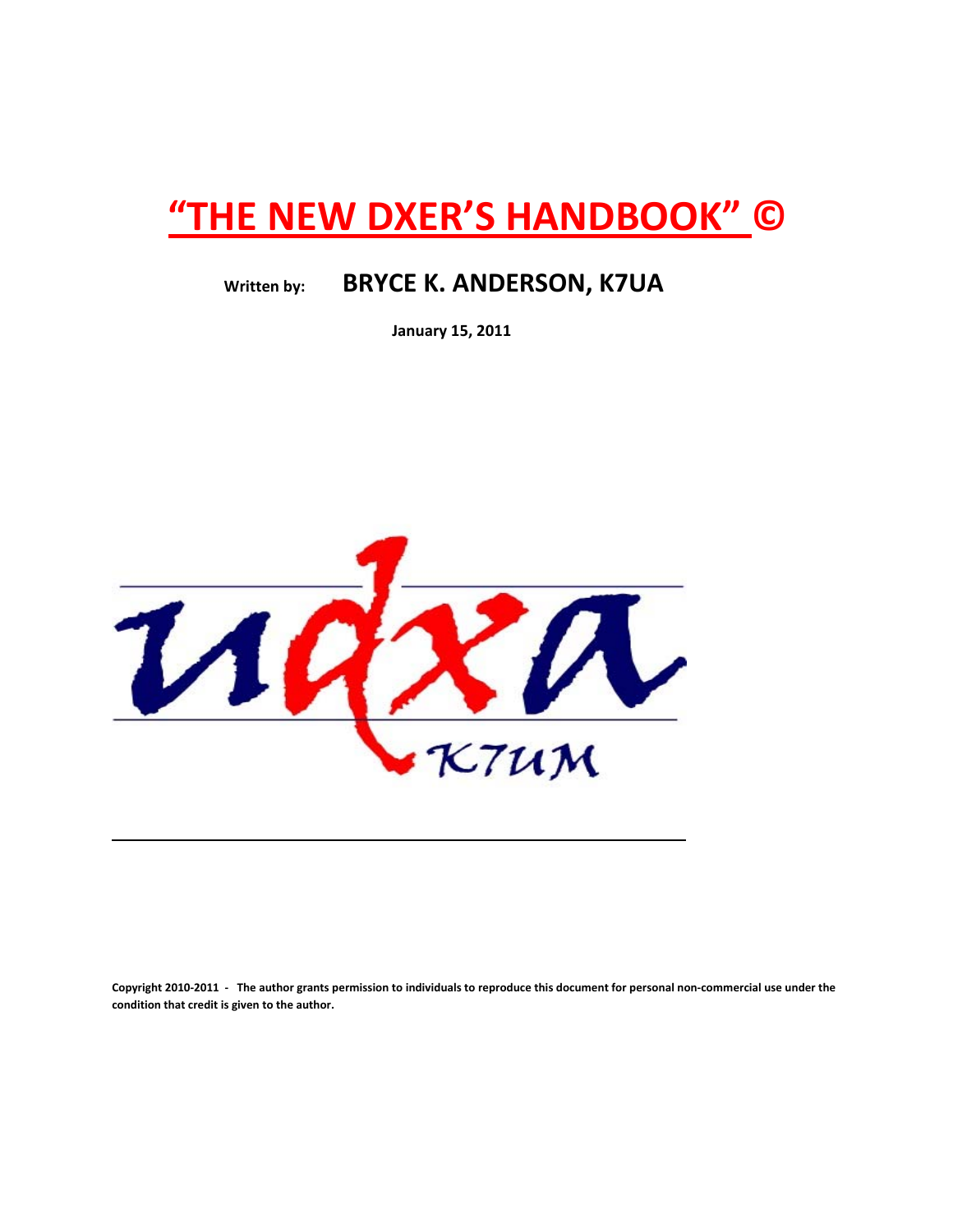# **"THE NEW DXER'S HANDBOOK" ©**

## **Written by: BRYCE K. ANDERSON, K7UA**

 **January 15, 2011**



Copyright 2010-2011 - The author grants permission to individuals to reproduce this document for personal non-commercial use under the **condition that credit is given to the author.**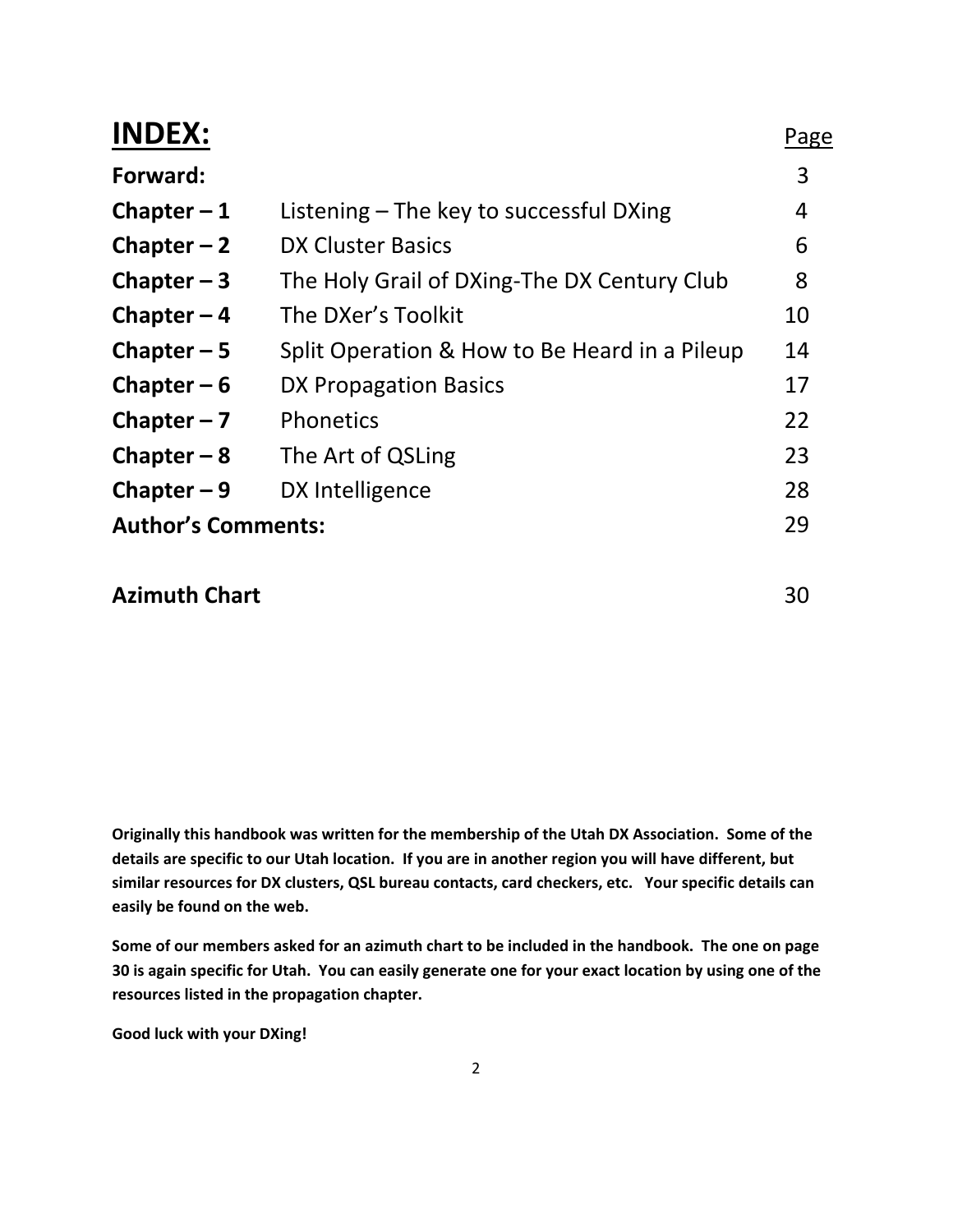| <b>INDEX:</b>             |                                               | Page |
|---------------------------|-----------------------------------------------|------|
| Forward:                  |                                               | 3    |
| Chapter $-1$              | Listening $-$ The key to successful DXing     | 4    |
| Chapter $-2$              | DX Cluster Basics                             | 6    |
| Chapter $-3$              | The Holy Grail of DXing-The DX Century Club   | 8    |
| Chapter $-4$              | The DXer's Toolkit                            | 10   |
| Chapter $-5$              | Split Operation & How to Be Heard in a Pileup | 14   |
| Chapter $-6$              | DX Propagation Basics                         | 17   |
| Chapter $-7$              | <b>Phonetics</b>                              | 22   |
| Chapter $-8$              | The Art of QSLing                             | 23   |
| Chapter $-9$              | DX Intelligence                               | 28   |
| <b>Author's Comments:</b> |                                               | 29   |
|                           |                                               |      |

### **Azimuth Chart** 30

**Originally this handbook was written for the membership of the Utah DX Association. Some of the** details are specific to our Utah location. If you are in another region you will have different, but **similar resources for DX clusters, QSL bureau contacts, card checkers, etc. Your specific details can easily be found on the web.** 

Some of our members asked for an azimuth chart to be included in the handbook. The one on page 30 is again specific for Utah. You can easily generate one for your exact location by using one of the **resources listed in the propagation chapter.**

**Good luck with your DXing!**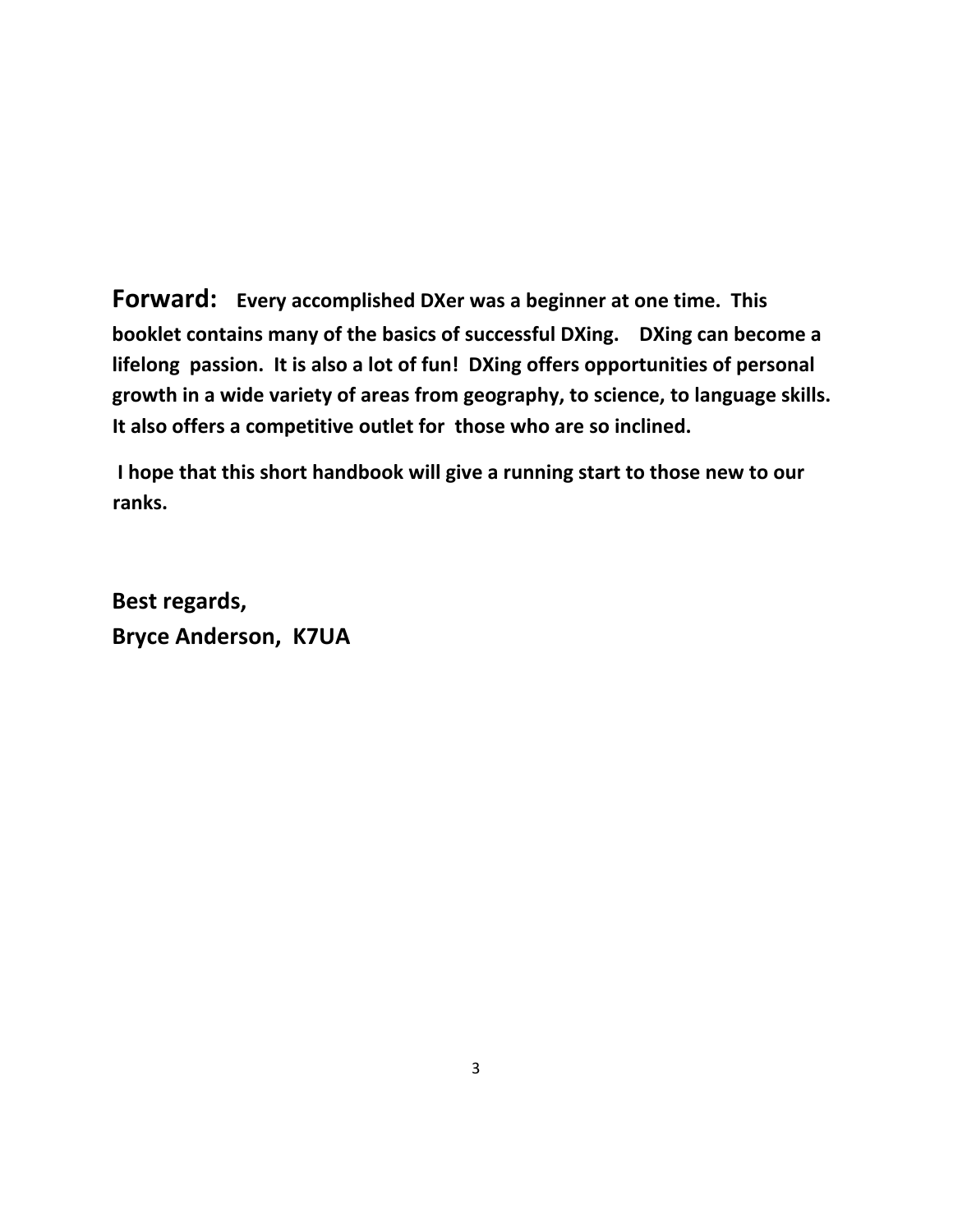**Forward: Every accomplished DXer was a beginner at one time. This booklet contains many of the basics of successful DXing. DXing can become a lifelong passion. It is also a lot of fun! DXing offers opportunities of personal growth in a wide variety of areas from geography, to science, to language skills. It also offers a competitive outlet for those who are so inclined.** 

**I hope that this short handbook will give a running start to those new to our ranks.** 

**Best regards, Bryce Anderson, K7UA**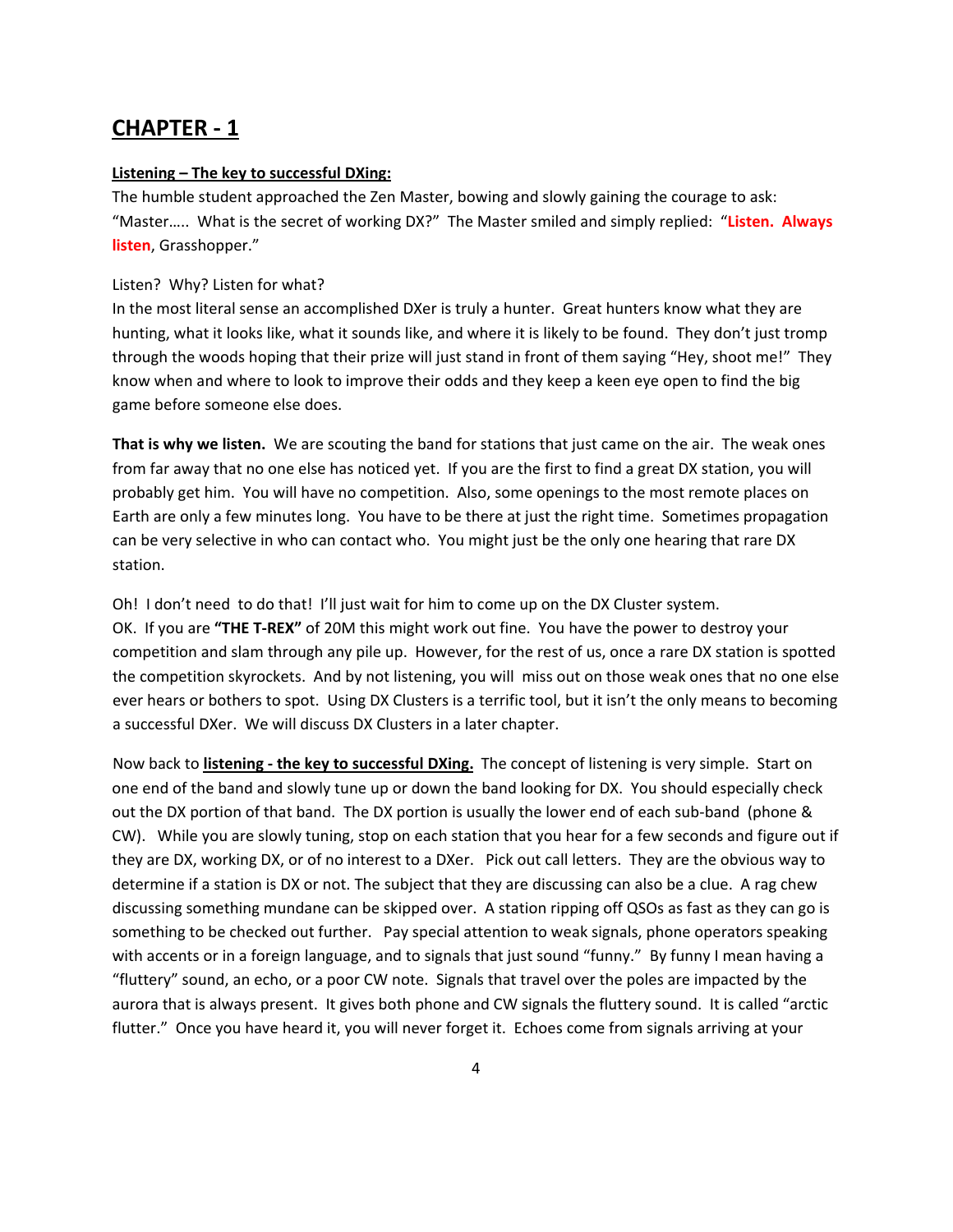#### **Listening – The key to successful DXing:**

The humble student approached the Zen Master, bowing and slowly gaining the courage to ask: "Master….. What is the secret of working DX?" The Master smiled and simply replied: "**Listen. Always listen**, Grasshopper."

#### Listen? Why? Listen for what?

In the most literal sense an accomplished DXer is truly a hunter. Great hunters know what they are hunting, what it looks like, what it sounds like, and where it is likely to be found. They don't just tromp through the woods hoping that their prize will just stand in front of them saying "Hey, shoot me!" They know when and where to look to improve their odds and they keep a keen eye open to find the big game before someone else does.

**That is why we listen.** We are scouting the band for stations that just came on the air. The weak ones from far away that no one else has noticed yet. If you are the first to find a great DX station, you will probably get him. You will have no competition. Also, some openings to the most remote places on Earth are only a few minutes long. You have to be there at just the right time. Sometimes propagation can be very selective in who can contact who. You might just be the only one hearing that rare DX station.

Oh! I don't need to do that! I'll just wait for him to come up on the DX Cluster system. OK. If you are "THE T-REX" of 20M this might work out fine. You have the power to destroy your competition and slam through any pile up. However, for the rest of us, once a rare DX station is spotted the competition skyrockets. And by not listening, you will miss out on those weak ones that no one else ever hears or bothers to spot. Using DX Clusters is a terrific tool, but it isn't the only means to becoming a successful DXer. We will discuss DX Clusters in a later chapter.

Now back to **listening ‐ the key to successful DXing.** The concept of listening is very simple. Start on one end of the band and slowly tune up or down the band looking for DX. You should especially check out the DX portion of that band. The DX portion is usually the lower end of each sub-band (phone & CW). While you are slowly tuning, stop on each station that you hear for a few seconds and figure out if they are DX, working DX, or of no interest to a DXer. Pick out call letters. They are the obvious way to determine if a station is DX or not. The subject that they are discussing can also be a clue. A rag chew discussing something mundane can be skipped over. A station ripping off QSOs as fast as they can go is something to be checked out further. Pay special attention to weak signals, phone operators speaking with accents or in a foreign language, and to signals that just sound "funny." By funny I mean having a "fluttery" sound, an echo, or a poor CW note. Signals that travel over the poles are impacted by the aurora that is always present. It gives both phone and CW signals the fluttery sound. It is called "arctic flutter." Once you have heard it, you will never forget it. Echoes come from signals arriving at your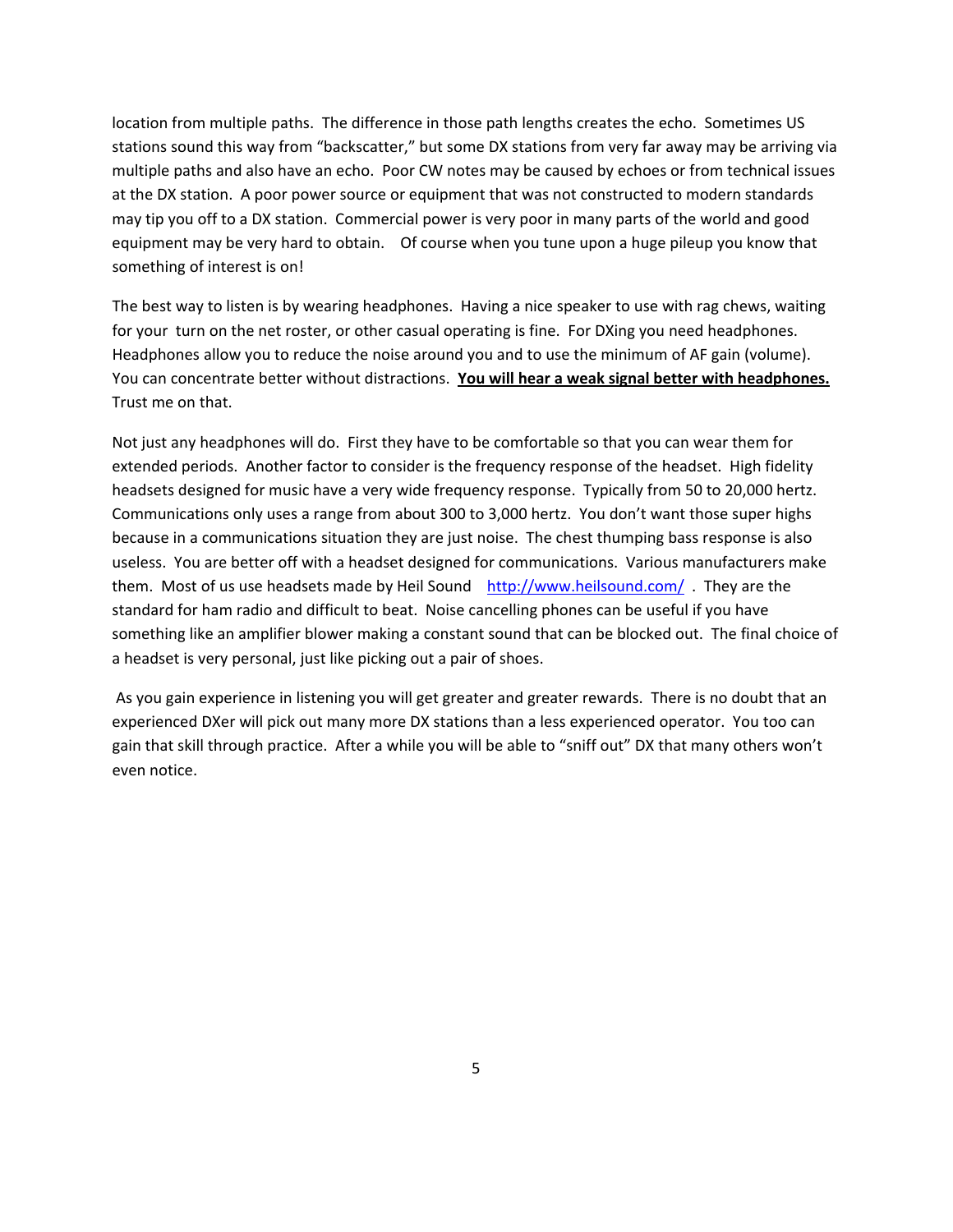location from multiple paths. The difference in those path lengths creates the echo. Sometimes US stations sound this way from "backscatter," but some DX stations from very far away may be arriving via multiple paths and also have an echo. Poor CW notes may be caused by echoes or from technical issues at the DX station. A poor power source or equipment that was not constructed to modern standards may tip you off to a DX station. Commercial power is very poor in many parts of the world and good equipment may be very hard to obtain. Of course when you tune upon a huge pileup you know that something of interest is on!

The best way to listen is by wearing headphones. Having a nice speaker to use with rag chews, waiting for your turn on the net roster, or other casual operating is fine. For DXing you need headphones. Headphones allow you to reduce the noise around you and to use the minimum of AF gain (volume). You can concentrate better without distractions. **You will hear a weak signal better with headphones.** Trust me on that.

Not just any headphones will do. First they have to be comfortable so that you can wear them for extended periods. Another factor to consider is the frequency response of the headset. High fidelity headsets designed for music have a very wide frequency response. Typically from 50 to 20,000 hertz. Communications only uses a range from about 300 to 3,000 hertz. You don't want those super highs because in a communications situation they are just noise. The chest thumping bass response is also useless. You are better off with a headset designed for communications. Various manufacturers make them. Most of us use headsets made by Heil Sound <http://www.heilsound.com/> They are the standard for ham radio and difficult to beat. Noise cancelling phones can be useful if you have something like an amplifier blower making a constant sound that can be blocked out. The final choice of a headset is very personal, just like picking out a pair of shoes.

As you gain experience in listening you will get greater and greater rewards. There is no doubt that an experienced DXer will pick out many more DX stations than a less experienced operator. You too can gain that skill through practice. After a while you will be able to "sniff out" DX that many others won't even notice.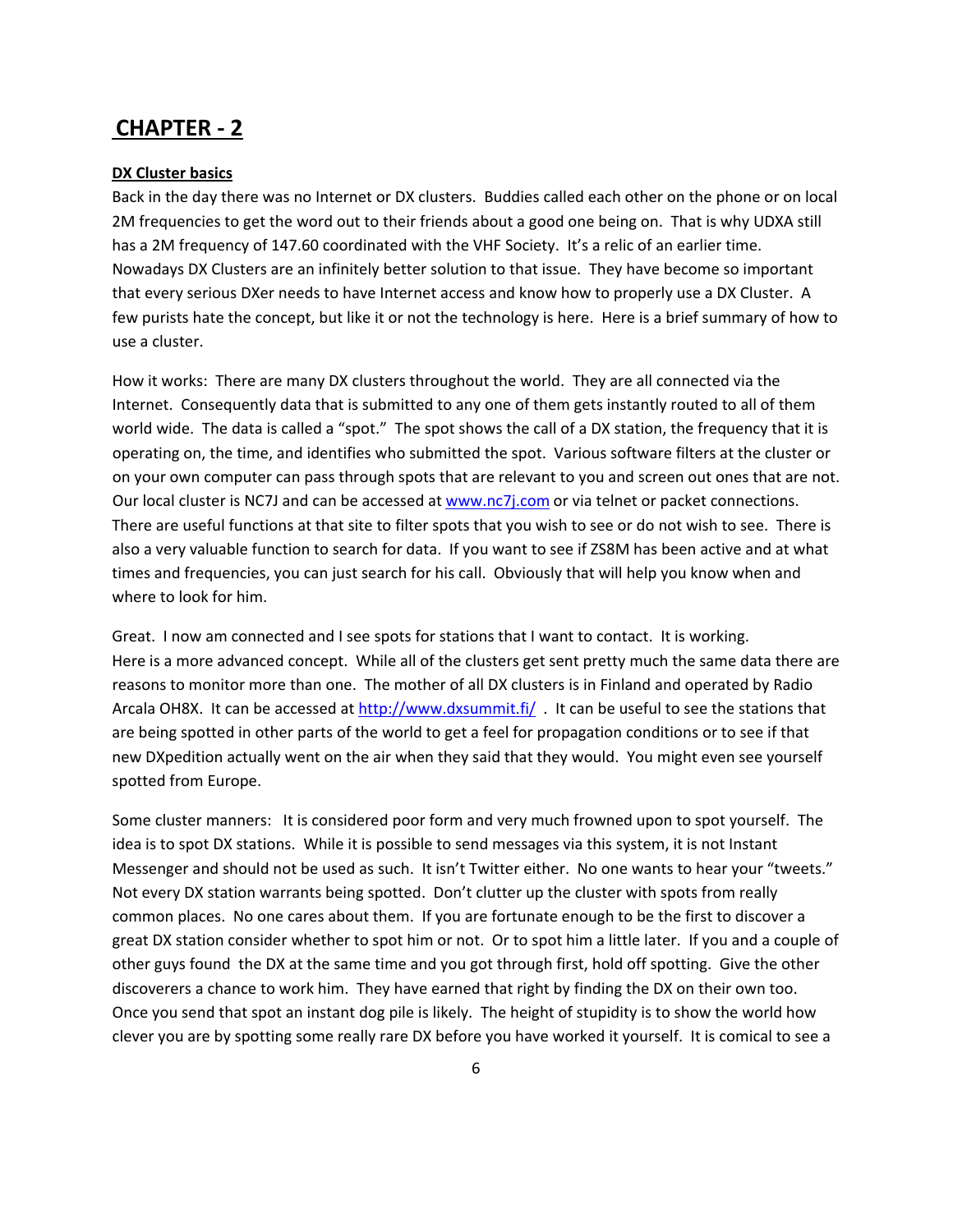#### **DX Cluster basics**

Back in the day there was no Internet or DX clusters. Buddies called each other on the phone or on local 2M frequencies to get the word out to their friends about a good one being on. That is why UDXA still has a 2M frequency of 147.60 coordinated with the VHF Society. It's a relic of an earlier time. Nowadays DX Clusters are an infinitely better solution to that issue. They have become so important that every serious DXer needs to have Internet access and know how to properly use a DX Cluster. A few purists hate the concept, but like it or not the technology is here. Here is a brief summary of how to use a cluster.

How it works: There are many DX clusters throughout the world. They are all connected via the Internet. Consequently data that is submitted to any one of them gets instantly routed to all of them world wide. The data is called a "spot." The spot shows the call of a DX station, the frequency that it is operating on, the time, and identifies who submitted the spot. Various software filters at the cluster or on your own computer can pass through spots that are relevant to you and screen out ones that are not. Our local cluster is NC7J and can be accessed at [www.nc7j.com](http://www.nc7j.com/) or via telnet or packet connections. There are useful functions at that site to filter spots that you wish to see or do not wish to see. There is also a very valuable function to search for data. If you want to see if ZS8M has been active and at what times and frequencies, you can just search for his call. Obviously that will help you know when and where to look for him.

Great. I now am connected and I see spots for stations that I want to contact. It is working. Here is a more advanced concept. While all of the clusters get sent pretty much the same data there are reasons to monitor more than one. The mother of all DX clusters is in Finland and operated by Radio Arcala OH8X. It can be accessed at <http://www.dxsummit.fi/> . It can be useful to see the stations that are being spotted in other parts of the world to get a feel for propagation conditions or to see if that new DXpedition actually went on the air when they said that they would. You might even see yourself spotted from Europe.

Some cluster manners: It is considered poor form and very much frowned upon to spot yourself. The idea is to spot DX stations. While it is possible to send messages via this system, it is not Instant Messenger and should not be used as such. It isn't Twitter either. No one wants to hear your "tweets." Not every DX station warrants being spotted. Don't clutter up the cluster with spots from really common places. No one cares about them. If you are fortunate enough to be the first to discover a great DX station consider whether to spot him or not. Or to spot him a little later. If you and a couple of other guys found the DX at the same time and you got through first, hold off spotting. Give the other discoverers a chance to work him. They have earned that right by finding the DX on their own too. Once you send that spot an instant dog pile is likely. The height of stupidity is to show the world how clever you are by spotting some really rare DX before you have worked it yourself. It is comical to see a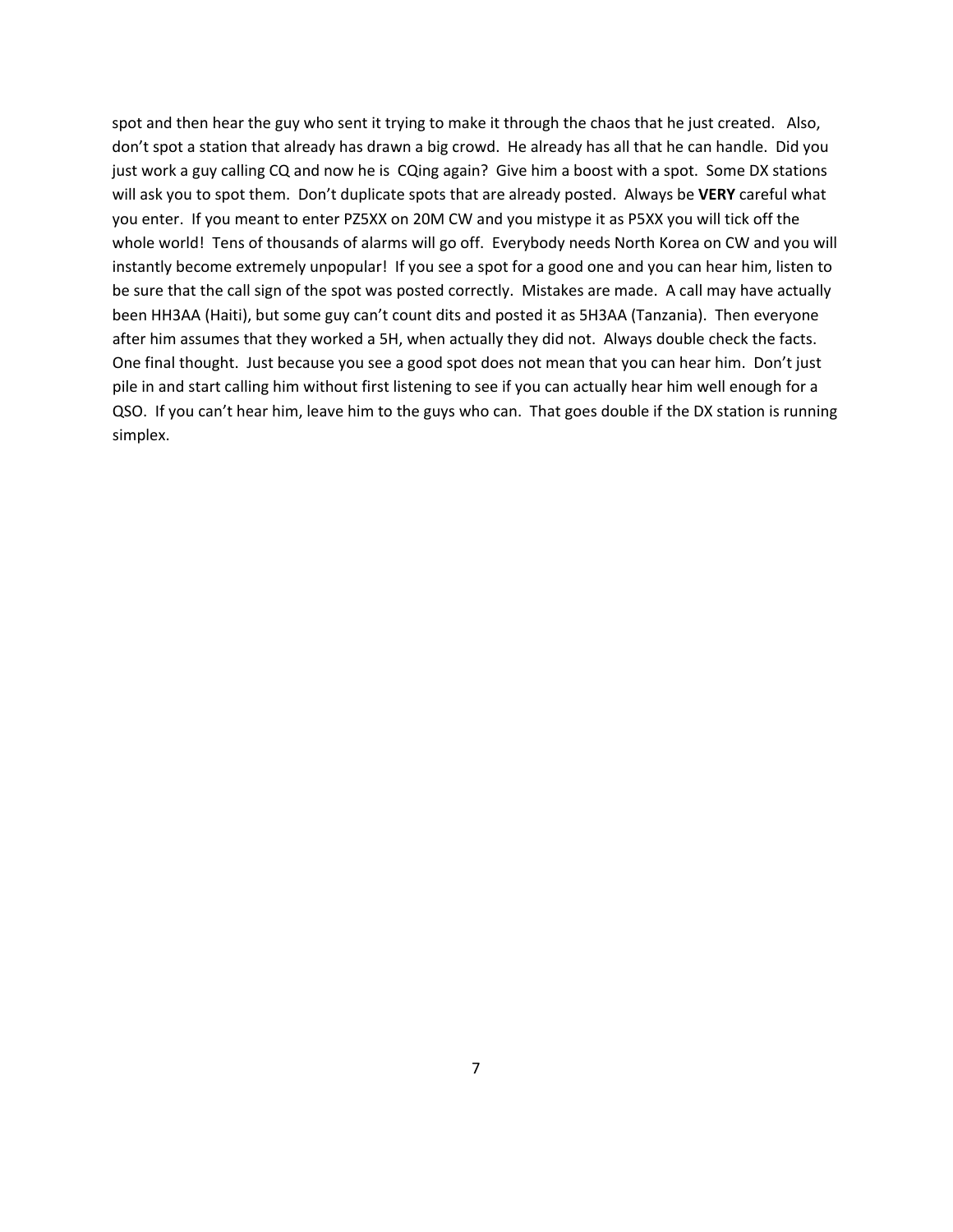spot and then hear the guy who sent it trying to make it through the chaos that he just created. Also, don't spot a station that already has drawn a big crowd. He already has all that he can handle. Did you just work a guy calling CQ and now he is CQing again? Give him a boost with a spot. Some DX stations will ask you to spot them. Don't duplicate spots that are already posted. Always be **VERY** careful what you enter. If you meant to enter PZ5XX on 20M CW and you mistype it as P5XX you will tick off the whole world! Tens of thousands of alarms will go off. Everybody needs North Korea on CW and you will instantly become extremely unpopular! If you see a spot for a good one and you can hear him, listen to be sure that the call sign of the spot was posted correctly. Mistakes are made. A call may have actually been HH3AA (Haiti), but some guy can't count dits and posted it as 5H3AA (Tanzania). Then everyone after him assumes that they worked a 5H, when actually they did not. Always double check the facts. One final thought. Just because you see a good spot does not mean that you can hear him. Don't just pile in and start calling him without first listening to see if you can actually hear him well enough for a QSO. If you can't hear him, leave him to the guys who can. That goes double if the DX station is running simplex.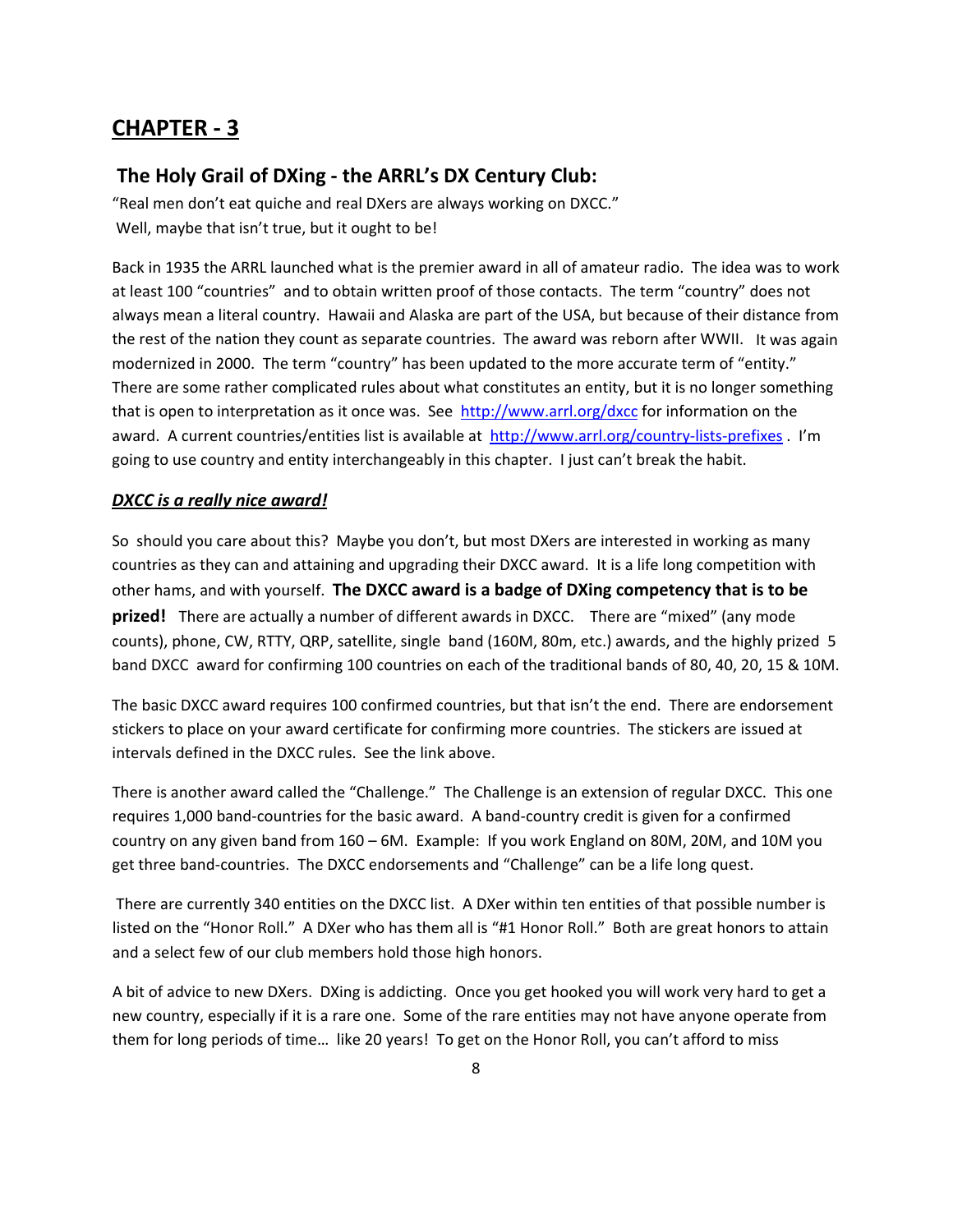### **The Holy Grail of DXing ‐ the ARRL's DX Century Club:**

"Real men don't eat quiche and real DXers are always working on DXCC." Well, maybe that isn't true, but it ought to be!

Back in 1935 the ARRL launched what is the premier award in all of amateur radio. The idea was to work at least 100 "countries" and to obtain written proof of those contacts. The term "country" does not always mean a literal country. Hawaii and Alaska are part of the USA, but because of their distance from the rest of the nation they count as separate countries. The award was reborn after WWII. It was again modernized in 2000. The term "country" has been updated to the more accurate term of "entity." There are some rather complicated rules about what constitutes an entity, but it is no longer something that is open to interpretation as it once was. See <http://www.arrl.org/dxcc> for information on the award. A current countries/entities list is available at [http://www.arrl.org/country](http://www.arrl.org/country-lists-prefixes)-lists-prefixes . I'm going to use country and entity interchangeably in this chapter. I just can't break the habit.

#### *DXCC is a really nice award!*

So should you care about this? Maybe you don't, but most DXers are interested in working as many countries as they can and attaining and upgrading their DXCC award. It is a life long competition with other hams, and with yourself. **The DXCC award is a badge of DXing competency that is to be prized!** There are actually a number of different awards in DXCC. There are "mixed" (any mode counts), phone, CW, RTTY, QRP, satellite, single band (160M, 80m, etc.) awards, and the highly prized 5 band DXCC award for confirming 100 countries on each of the traditional bands of 80, 40, 20, 15 & 10M.

The basic DXCC award requires 100 confirmed countries, but that isn't the end. There are endorsement stickers to place on your award certificate for confirming more countries. The stickers are issued at intervals defined in the DXCC rules. See the link above.

There is another award called the "Challenge." The Challenge is an extension of regular DXCC. This one requires 1,000 band‐countries for the basic award. A band‐country credit is given for a confirmed country on any given band from 160 – 6M. Example: If you work England on 80M, 20M, and 10M you get three band‐countries. The DXCC endorsements and "Challenge" can be a life long quest.

There are currently 340 entities on the DXCC list. A DXer within ten entities of that possible number is listed on the "Honor Roll." A DXer who has them all is "#1 Honor Roll." Both are great honors to attain and a select few of our club members hold those high honors.

A bit of advice to new DXers. DXing is addicting. Once you get hooked you will work very hard to get a new country, especially if it is a rare one. Some of the rare entities may not have anyone operate from them for long periods of time… like 20 years! To get on the Honor Roll, you can't afford to miss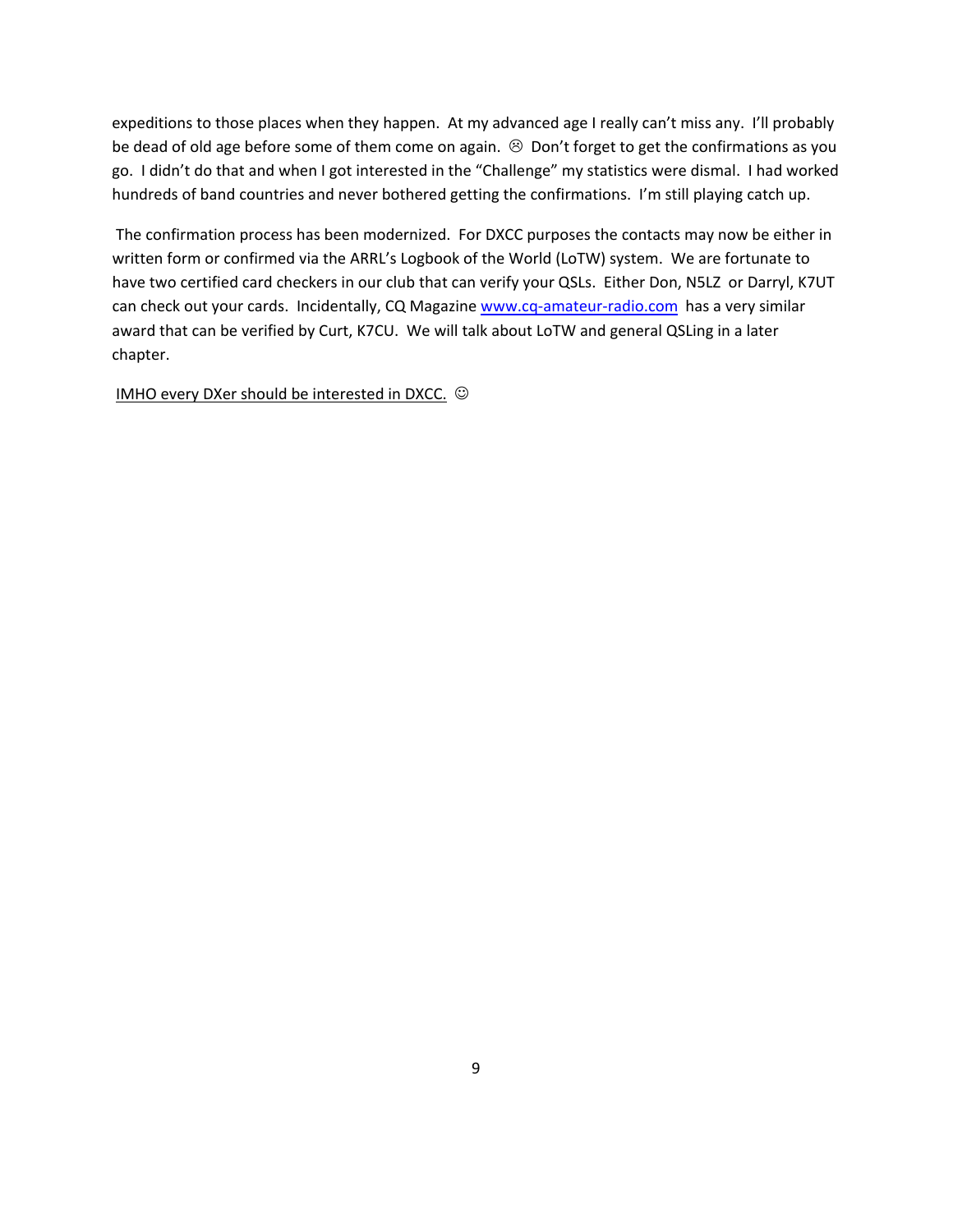expeditions to those places when they happen. At my advanced age I really can't miss any. I'll probably be dead of old age before some of them come on again.  $\otimes$  Don't forget to get the confirmations as you go. I didn't do that and when I got interested in the "Challenge" my statistics were dismal. I had worked hundreds of band countries and never bothered getting the confirmations. I'm still playing catch up.

The confirmation process has been modernized. For DXCC purposes the contacts may now be either in written form or confirmed via the ARRL's Logbook of the World (LoTW) system. We are fortunate to have two certified card checkers in our club that can verify your QSLs. Either Don, N5LZ or Darryl, K7UT can check out your cards. Incidentally, CQ Magazine www.cq-amateur-[radio.com](http://www.cq-amateur-radio.com/) has a very similar award that can be verified by Curt, K7CU. We will talk about LoTW and general QSLing in a later chapter.

IMHO every DXer should be interested in DXCC.  $\odot$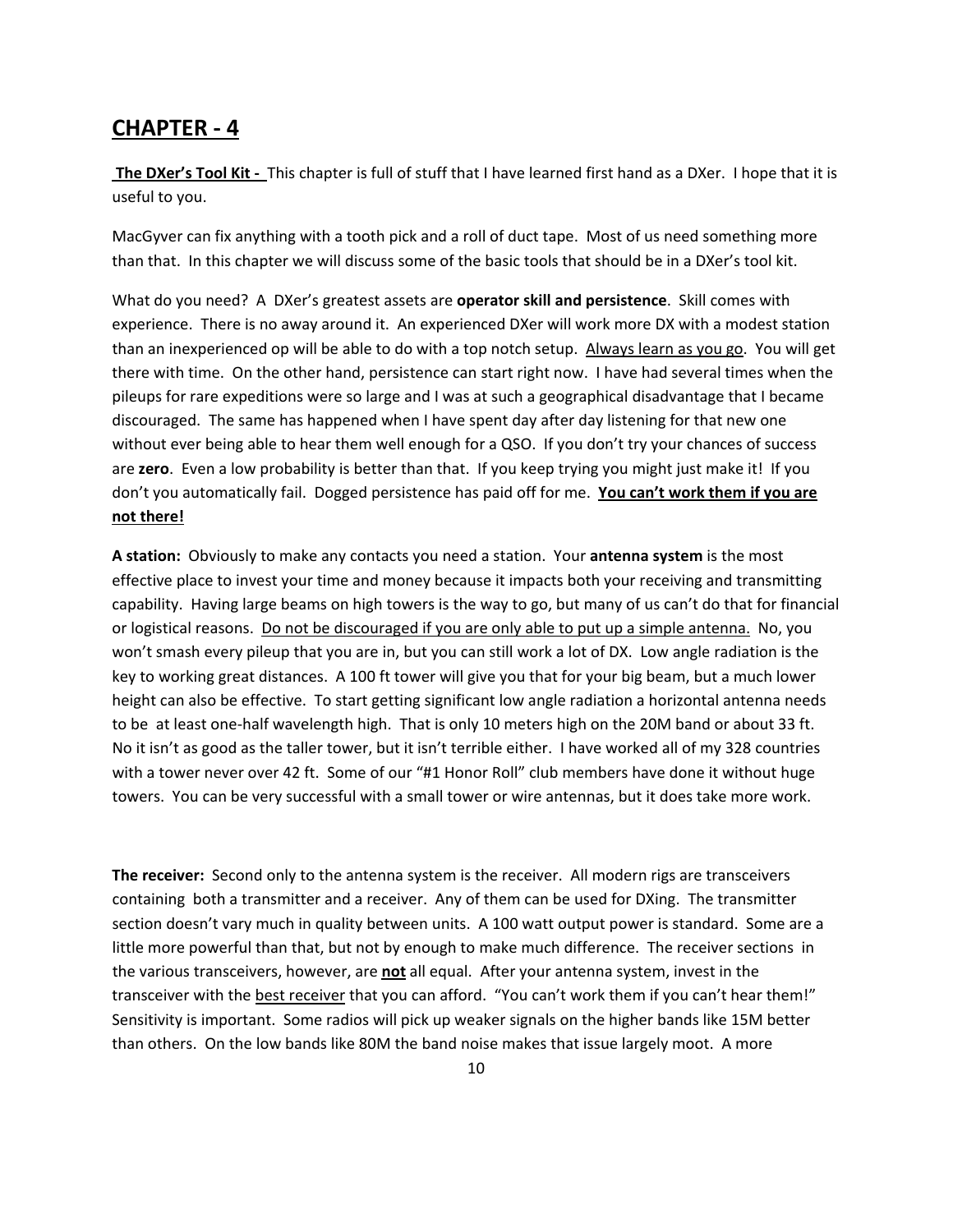**The DXer's Tool Kit ‐** This chapter is full of stuff that I have learned first hand as a DXer. I hope that it is useful to you.

MacGyver can fix anything with a tooth pick and a roll of duct tape. Most of us need something more than that. In this chapter we will discuss some of the basic tools that should be in a DXer's tool kit.

What do you need? A DXer's greatest assets are **operator skill and persistence**. Skill comes with experience. There is no away around it. An experienced DXer will work more DX with a modest station than an inexperienced op will be able to do with a top notch setup. Always learn as you go. You will get there with time. On the other hand, persistence can start right now. I have had several times when the pileups for rare expeditions were so large and I was at such a geographical disadvantage that I became discouraged. The same has happened when I have spent day after day listening for that new one without ever being able to hear them well enough for a QSO. If you don't try your chances of success are **zero**. Even a low probability is better than that. If you keep trying you might just make it! If you don't you automatically fail. Dogged persistence has paid off for me. **You can't work them if you are not there!** 

**A station:** Obviously to make any contacts you need a station. Your **antenna system** is the most effective place to invest your time and money because it impacts both your receiving and transmitting capability. Having large beams on high towers is the way to go, but many of us can't do that for financial or logistical reasons. Do not be discouraged if you are only able to put up a simple antenna. No, you won't smash every pileup that you are in, but you can still work a lot of DX. Low angle radiation is the key to working great distances. A 100 ft tower will give you that for your big beam, but a much lower height can also be effective. To start getting significant low angle radiation a horizontal antenna needs to be at least one-half wavelength high. That is only 10 meters high on the 20M band or about 33 ft. No it isn't as good as the taller tower, but it isn't terrible either. I have worked all of my 328 countries with a tower never over 42 ft. Some of our "#1 Honor Roll" club members have done it without huge towers. You can be very successful with a small tower or wire antennas, but it does take more work.

**The receiver:** Second only to the antenna system is the receiver. All modern rigs are transceivers containing both a transmitter and a receiver. Any of them can be used for DXing. The transmitter section doesn't vary much in quality between units. A 100 watt output power is standard. Some are a little more powerful than that, but not by enough to make much difference. The receiver sections in the various transceivers, however, are **not** all equal. After your antenna system, invest in the transceiver with the best receiver that you can afford. "You can't work them if you can't hear them!" Sensitivity is important. Some radios will pick up weaker signals on the higher bands like 15M better than others. On the low bands like 80M the band noise makes that issue largely moot. A more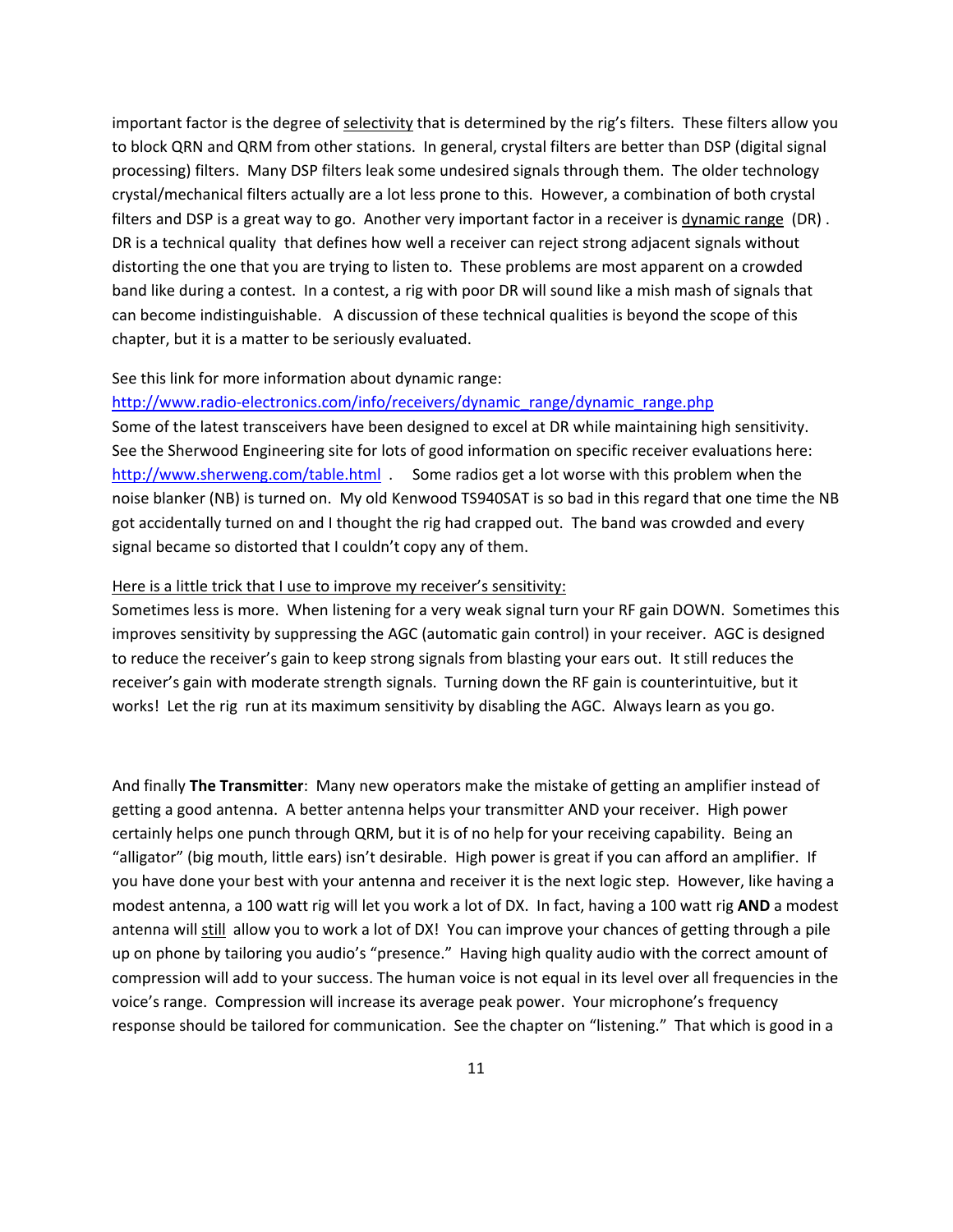important factor is the degree of selectivity that is determined by the rig's filters. These filters allow you to block QRN and QRM from other stations. In general, crystal filters are better than DSP (digital signal processing) filters. Many DSP filters leak some undesired signals through them. The older technology crystal/mechanical filters actually are a lot less prone to this. However, a combination of both crystal filters and DSP is a great way to go. Another very important factor in a receiver is dynamic range (DR) . DR is a technical quality that defines how well a receiver can reject strong adjacent signals without distorting the one that you are trying to listen to. These problems are most apparent on a crowded band like during a contest. In a contest, a rig with poor DR will sound like a mish mash of signals that can become indistinguishable. A discussion of these technical qualities is beyond the scope of this chapter, but it is a matter to be seriously evaluated.

#### See this link for more information about dynamic range:

#### http://www.radio-[electronics.com/info/receivers/dynamic\\_range/dynamic\\_range.php](http://www.radio-electronics.com/info/receivers/dynamic_range/dynamic_range.php)

Some of the latest transceivers have been designed to excel at DR while maintaining high sensitivity. See the Sherwood Engineering site for lots of good information on specific receiver evaluations here: <http://www.sherweng.com/table.html> . Some radios get a lot worse with this problem when the noise blanker (NB) is turned on. My old Kenwood TS940SAT is so bad in this regard that one time the NB got accidentally turned on and I thought the rig had crapped out. The band was crowded and every signal became so distorted that I couldn't copy any of them.

#### Here is a little trick that I use to improve my receiver's sensitivity:

Sometimes less is more. When listening for a very weak signal turn your RF gain DOWN. Sometimes this improves sensitivity by suppressing the AGC (automatic gain control) in your receiver. AGC is designed to reduce the receiver's gain to keep strong signals from blasting your ears out. It still reduces the receiver's gain with moderate strength signals. Turning down the RF gain is counterintuitive, but it works! Let the rig run at its maximum sensitivity by disabling the AGC. Always learn as you go.

And finally **The Transmitter**: Many new operators make the mistake of getting an amplifier instead of getting a good antenna. A better antenna helps your transmitter AND your receiver. High power certainly helps one punch through QRM, but it is of no help for your receiving capability. Being an "alligator" (big mouth, little ears) isn't desirable. High power is great if you can afford an amplifier. If you have done your best with your antenna and receiver it is the next logic step. However, like having a modest antenna, a 100 watt rig will let you work a lot of DX. In fact, having a 100 watt rig **AND** a modest antenna will still allow you to work a lot of DX! You can improve your chances of getting through a pile up on phone by tailoring you audio's "presence." Having high quality audio with the correct amount of compression will add to your success. The human voice is not equal in its level over all frequencies in the voice's range. Compression will increase its average peak power. Your microphone's frequency response should be tailored for communication. See the chapter on "listening." That which is good in a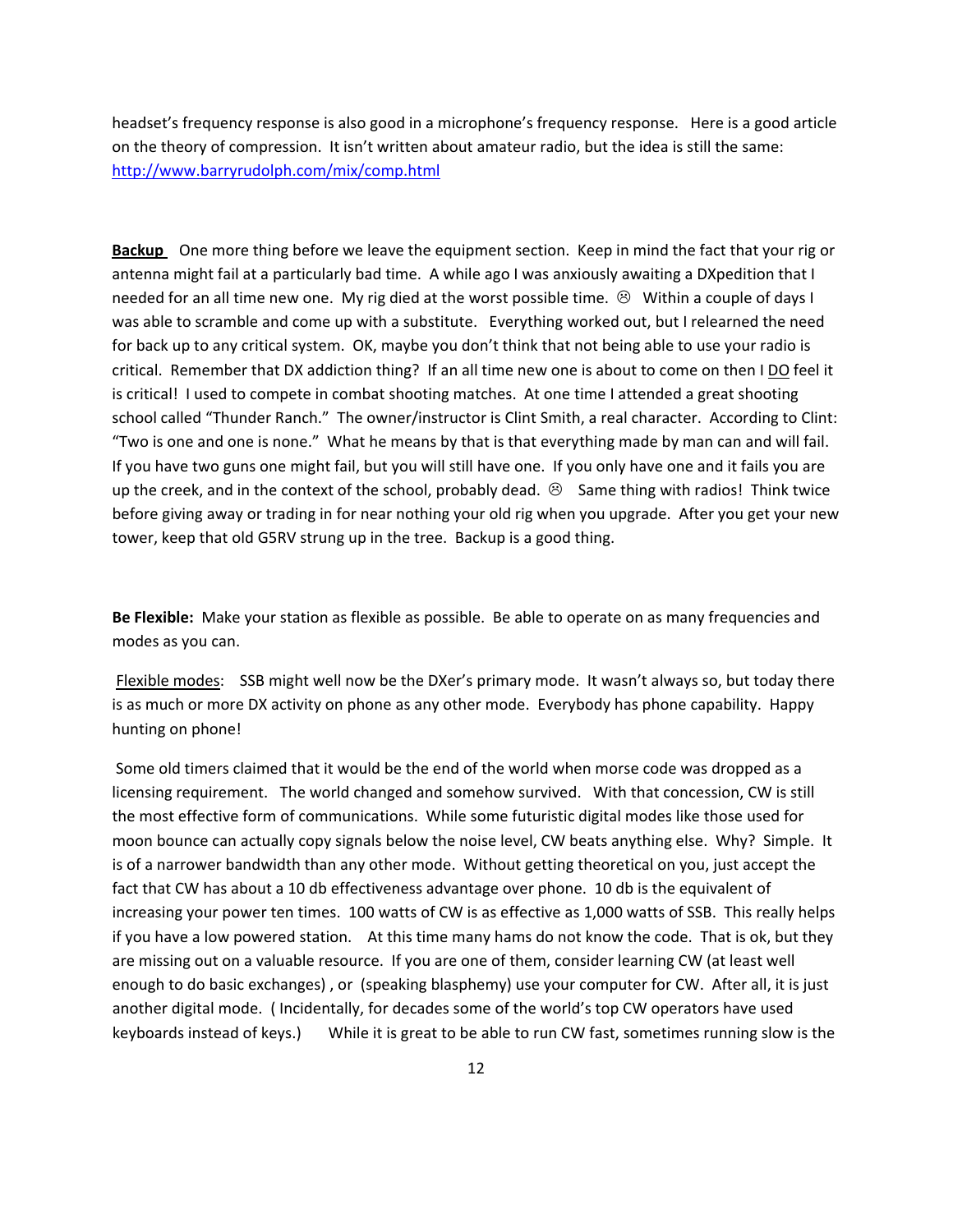headset's frequency response is also good in a microphone's frequency response. Here is a good article on the theory of compression. It isn't written about amateur radio, but the idea is still the same: <http://www.barryrudolph.com/mix/comp.html>

**Backup** One more thing before we leave the equipment section. Keep in mind the fact that your rig or antenna might fail at a particularly bad time. A while ago I was anxiously awaiting a DXpedition that I needed for an all time new one. My rig died at the worst possible time.  $\otimes$  Within a couple of days I was able to scramble and come up with a substitute. Everything worked out, but I relearned the need for back up to any critical system. OK, maybe you don't think that not being able to use your radio is critical. Remember that DX addiction thing? If an all time new one is about to come on then I DO feel it is critical! I used to compete in combat shooting matches. At one time I attended a great shooting school called "Thunder Ranch." The owner/instructor is Clint Smith, a real character. According to Clint: "Two is one and one is none." What he means by that is that everything made by man can and will fail. If you have two guns one might fail, but you will still have one. If you only have one and it fails you are up the creek, and in the context of the school, probably dead.  $\otimes$  Same thing with radios! Think twice before giving away or trading in for near nothing your old rig when you upgrade. After you get your new tower, keep that old G5RV strung up in the tree. Backup is a good thing.

**Be Flexible:** Make your station as flexible as possible. Be able to operate on as many frequencies and modes as you can.

Flexible modes: SSB might well now be the DXer's primary mode. It wasn't always so, but today there is as much or more DX activity on phone as any other mode. Everybody has phone capability. Happy hunting on phone!

Some old timers claimed that it would be the end of the world when morse code was dropped as a licensing requirement. The world changed and somehow survived. With that concession, CW is still the most effective form of communications. While some futuristic digital modes like those used for moon bounce can actually copy signals below the noise level, CW beats anything else. Why? Simple. It is of a narrower bandwidth than any other mode. Without getting theoretical on you, just accept the fact that CW has about a 10 db effectiveness advantage over phone. 10 db is the equivalent of increasing your power ten times. 100 watts of CW is as effective as 1,000 watts of SSB. This really helps if you have a low powered station. At this time many hams do not know the code. That is ok, but they are missing out on a valuable resource. If you are one of them, consider learning CW (at least well enough to do basic exchanges) , or (speaking blasphemy) use your computer for CW. After all, it is just another digital mode. ( Incidentally, for decades some of the world's top CW operators have used keyboards instead of keys.) While it is great to be able to run CW fast, sometimes running slow is the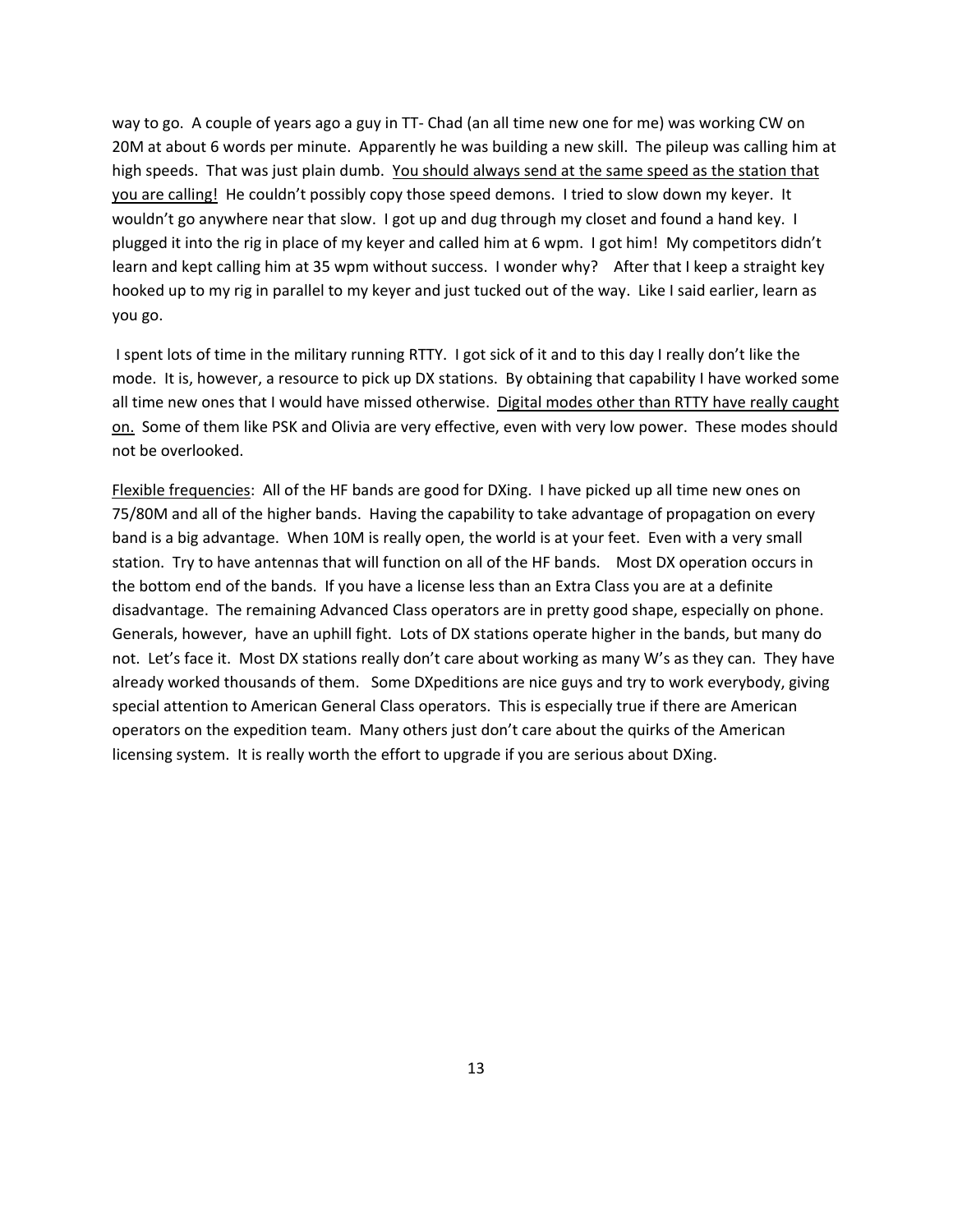way to go. A couple of years ago a guy in TT- Chad (an all time new one for me) was working CW on 20M at about 6 words per minute. Apparently he was building a new skill. The pileup was calling him at high speeds. That was just plain dumb. You should always send at the same speed as the station that you are calling! He couldn't possibly copy those speed demons. I tried to slow down my keyer. It wouldn't go anywhere near that slow. I got up and dug through my closet and found a hand key. I plugged it into the rig in place of my keyer and called him at 6 wpm. I got him! My competitors didn't learn and kept calling him at 35 wpm without success. I wonder why? After that I keep a straight key hooked up to my rig in parallel to my keyer and just tucked out of the way. Like I said earlier, learn as you go.

I spent lots of time in the military running RTTY. I got sick of it and to this day I really don't like the mode. It is, however, a resource to pick up DX stations. By obtaining that capability I have worked some all time new ones that I would have missed otherwise. Digital modes other than RTTY have really caught on. Some of them like PSK and Olivia are very effective, even with very low power. These modes should not be overlooked.

Flexible frequencies: All of the HF bands are good for DXing. I have picked up all time new ones on 75/80M and all of the higher bands. Having the capability to take advantage of propagation on every band is a big advantage. When 10M is really open, the world is at your feet. Even with a very small station. Try to have antennas that will function on all of the HF bands. Most DX operation occurs in the bottom end of the bands. If you have a license less than an Extra Class you are at a definite disadvantage. The remaining Advanced Class operators are in pretty good shape, especially on phone. Generals, however, have an uphill fight. Lots of DX stations operate higher in the bands, but many do not. Let's face it. Most DX stations really don't care about working as many W's as they can. They have already worked thousands of them. Some DXpeditions are nice guys and try to work everybody, giving special attention to American General Class operators. This is especially true if there are American operators on the expedition team. Many others just don't care about the quirks of the American licensing system. It is really worth the effort to upgrade if you are serious about DXing.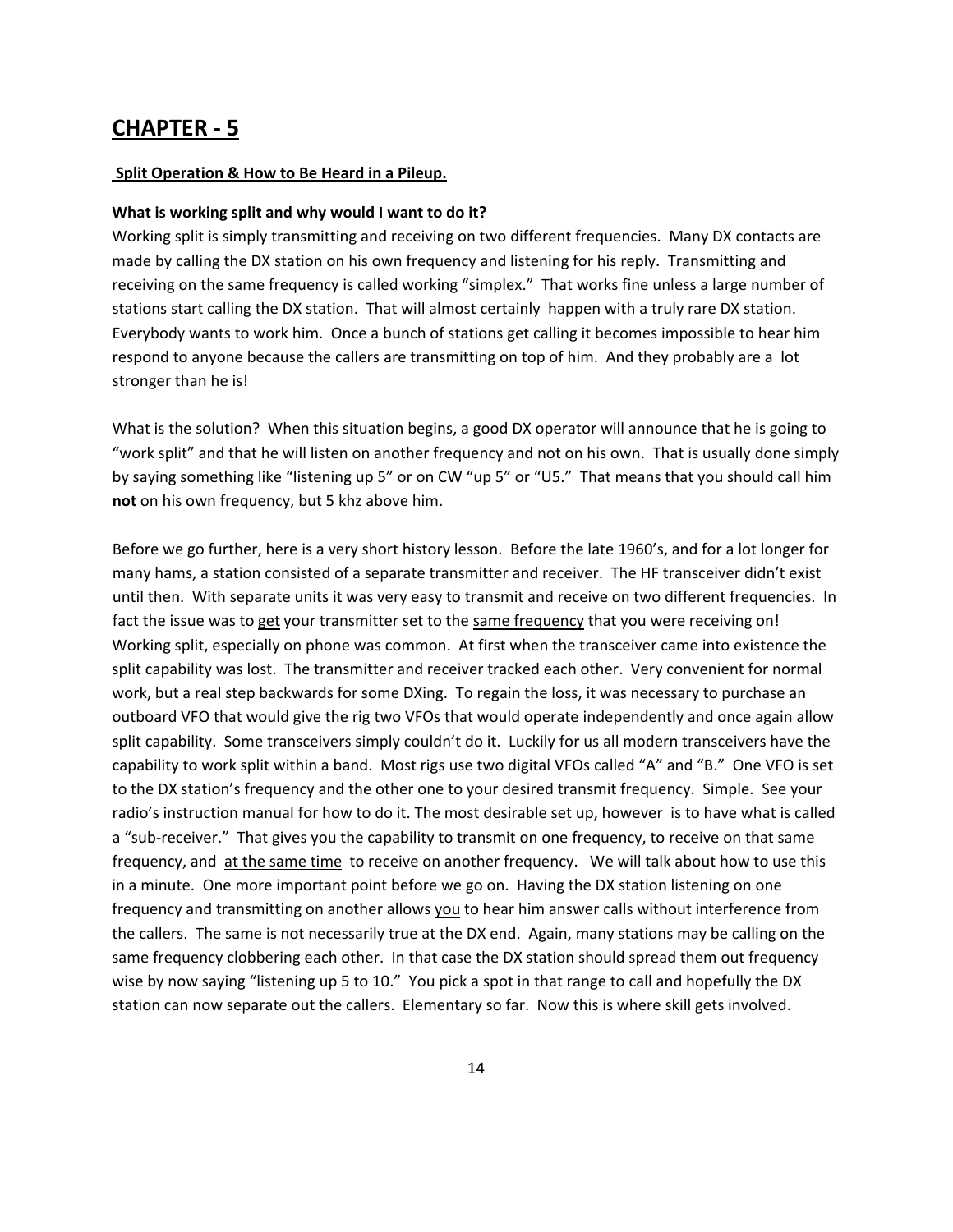#### **Split Operation & How to Be Heard in a Pileup.**

#### **What is working split and why would I want to do it?**

Working split is simply transmitting and receiving on two different frequencies. Many DX contacts are made by calling the DX station on his own frequency and listening for his reply. Transmitting and receiving on the same frequency is called working "simplex." That works fine unless a large number of stations start calling the DX station. That will almost certainly happen with a truly rare DX station. Everybody wants to work him. Once a bunch of stations get calling it becomes impossible to hear him respond to anyone because the callers are transmitting on top of him. And they probably are a lot stronger than he is!

What is the solution? When this situation begins, a good DX operator will announce that he is going to "work split" and that he will listen on another frequency and not on his own. That is usually done simply by saying something like "listening up 5" or on CW "up 5" or "U5." That means that you should call him **not** on his own frequency, but 5 khz above him.

Before we go further, here is a very short history lesson. Before the late 1960's, and for a lot longer for many hams, a station consisted of a separate transmitter and receiver. The HF transceiver didn't exist until then. With separate units it was very easy to transmit and receive on two different frequencies. In fact the issue was to get your transmitter set to the same frequency that you were receiving on! Working split, especially on phone was common. At first when the transceiver came into existence the split capability was lost. The transmitter and receiver tracked each other. Very convenient for normal work, but a real step backwards for some DXing. To regain the loss, it was necessary to purchase an outboard VFO that would give the rig two VFOs that would operate independently and once again allow split capability. Some transceivers simply couldn't do it. Luckily for us all modern transceivers have the capability to work split within a band. Most rigs use two digital VFOs called "A" and "B." One VFO is set to the DX station's frequency and the other one to your desired transmit frequency. Simple. See your radio's instruction manual for how to do it. The most desirable set up, however is to have what is called a "sub‐receiver." That gives you the capability to transmit on one frequency, to receive on that same frequency, and at the same time to receive on another frequency. We will talk about how to use this in a minute. One more important point before we go on. Having the DX station listening on one frequency and transmitting on another allows you to hear him answer calls without interference from the callers. The same is not necessarily true at the DX end. Again, many stations may be calling on the same frequency clobbering each other. In that case the DX station should spread them out frequency wise by now saying "listening up 5 to 10." You pick a spot in that range to call and hopefully the DX station can now separate out the callers. Elementary so far. Now this is where skill gets involved.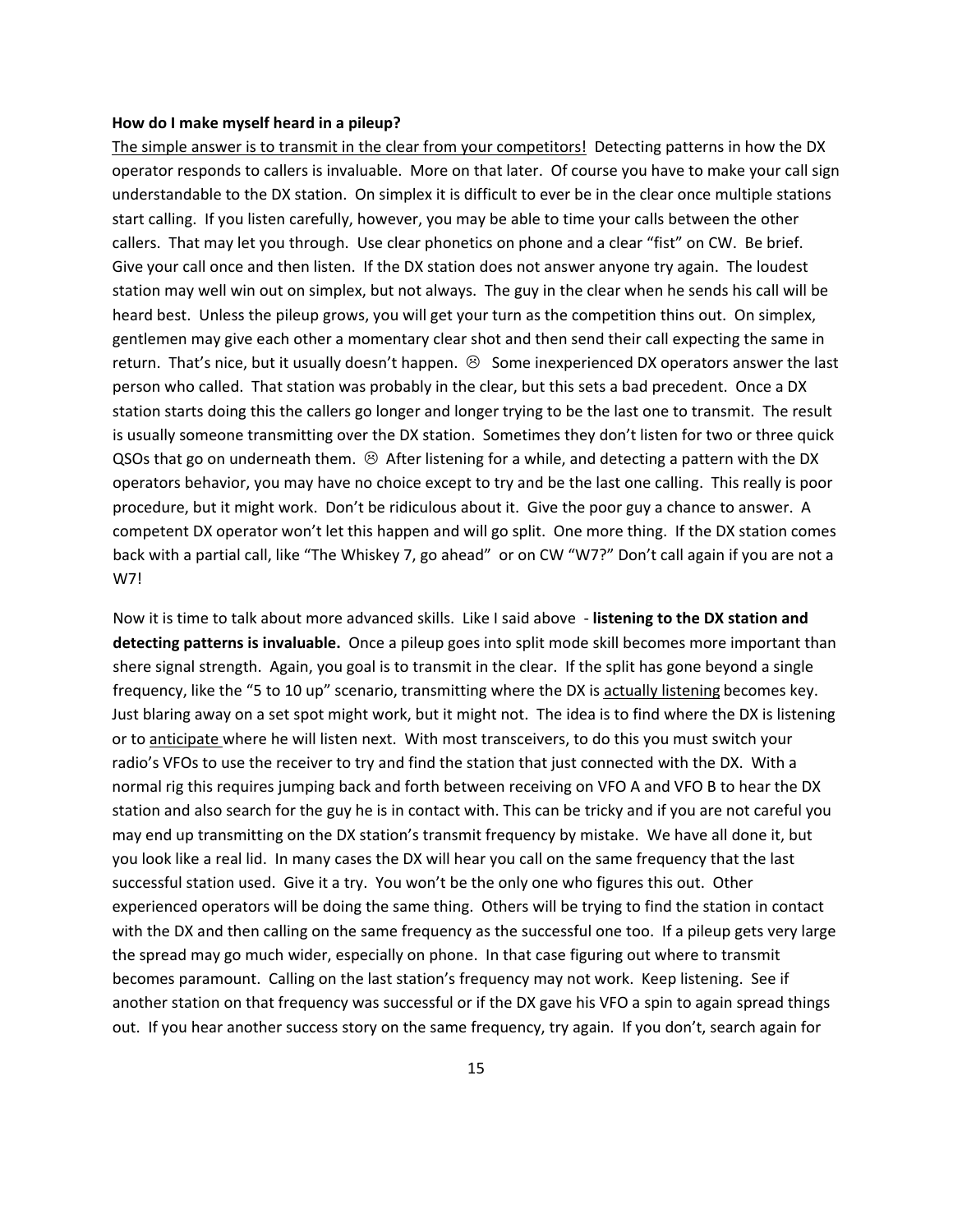#### **How do I make myself heard in a pileup?**

The simple answer is to transmit in the clear from your competitors! Detecting patterns in how the DX operator responds to callers is invaluable. More on that later. Of course you have to make your call sign understandable to the DX station. On simplex it is difficult to ever be in the clear once multiple stations start calling. If you listen carefully, however, you may be able to time your calls between the other callers. That may let you through. Use clear phonetics on phone and a clear "fist" on CW. Be brief. Give your call once and then listen. If the DX station does not answer anyone try again. The loudest station may well win out on simplex, but not always. The guy in the clear when he sends his call will be heard best. Unless the pileup grows, you will get your turn as the competition thins out. On simplex, gentlemen may give each other a momentary clear shot and then send their call expecting the same in return. That's nice, but it usually doesn't happen.  $\odot$  Some inexperienced DX operators answer the last person who called. That station was probably in the clear, but this sets a bad precedent. Once a DX station starts doing this the callers go longer and longer trying to be the last one to transmit. The result is usually someone transmitting over the DX station. Sometimes they don't listen for two or three quick QSOs that go on underneath them.  $\odot$  After listening for a while, and detecting a pattern with the DX operators behavior, you may have no choice except to try and be the last one calling. This really is poor procedure, but it might work. Don't be ridiculous about it. Give the poor guy a chance to answer. A competent DX operator won't let this happen and will go split. One more thing. If the DX station comes back with a partial call, like "The Whiskey 7, go ahead" or on CW "W7?" Don't call again if you are not a W7!

Now it is time to talk about more advanced skills. Like I said above ‐ **listening to the DX station and detecting patterns is invaluable.** Once a pileup goes into split mode skill becomes more important than shere signal strength. Again, you goal is to transmit in the clear. If the split has gone beyond a single frequency, like the "5 to 10 up" scenario, transmitting where the DX is actually listening becomes key. Just blaring away on a set spot might work, but it might not. The idea is to find where the DX is listening or to anticipate where he will listen next. With most transceivers, to do this you must switch your radio's VFOs to use the receiver to try and find the station that just connected with the DX. With a normal rig this requires jumping back and forth between receiving on VFO A and VFO B to hear the DX station and also search for the guy he is in contact with. This can be tricky and if you are not careful you may end up transmitting on the DX station's transmit frequency by mistake. We have all done it, but you look like a real lid. In many cases the DX will hear you call on the same frequency that the last successful station used. Give it a try. You won't be the only one who figures this out. Other experienced operators will be doing the same thing. Others will be trying to find the station in contact with the DX and then calling on the same frequency as the successful one too. If a pileup gets very large the spread may go much wider, especially on phone. In that case figuring out where to transmit becomes paramount. Calling on the last station's frequency may not work. Keep listening. See if another station on that frequency was successful or if the DX gave his VFO a spin to again spread things out. If you hear another success story on the same frequency, try again. If you don't, search again for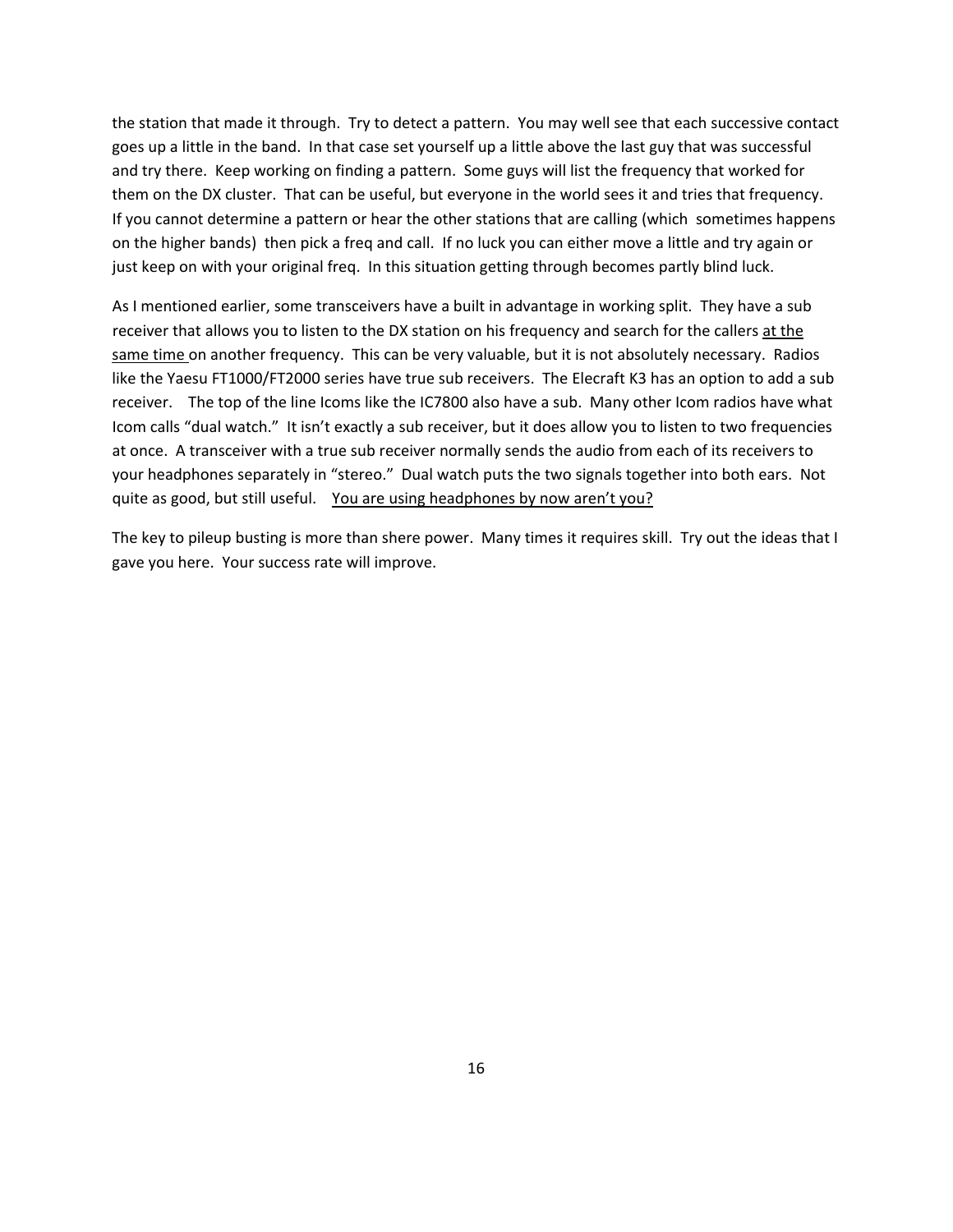the station that made it through. Try to detect a pattern. You may well see that each successive contact goes up a little in the band. In that case set yourself up a little above the last guy that was successful and try there. Keep working on finding a pattern. Some guys will list the frequency that worked for them on the DX cluster. That can be useful, but everyone in the world sees it and tries that frequency. If you cannot determine a pattern or hear the other stations that are calling (which sometimes happens on the higher bands) then pick a freq and call. If no luck you can either move a little and try again or just keep on with your original freq. In this situation getting through becomes partly blind luck.

As I mentioned earlier, some transceivers have a built in advantage in working split. They have a sub receiver that allows you to listen to the DX station on his frequency and search for the callers at the same time on another frequency. This can be very valuable, but it is not absolutely necessary. Radios like the Yaesu FT1000/FT2000 series have true sub receivers. The Elecraft K3 has an option to add a sub receiver. The top of the line Icoms like the IC7800 also have a sub. Many other Icom radios have what Icom calls "dual watch." It isn't exactly a sub receiver, but it does allow you to listen to two frequencies at once. A transceiver with a true sub receiver normally sends the audio from each of its receivers to your headphones separately in "stereo." Dual watch puts the two signals together into both ears. Not quite as good, but still useful. You are using headphones by now aren't you?

The key to pileup busting is more than shere power. Many times it requires skill. Try out the ideas that I gave you here. Your success rate will improve.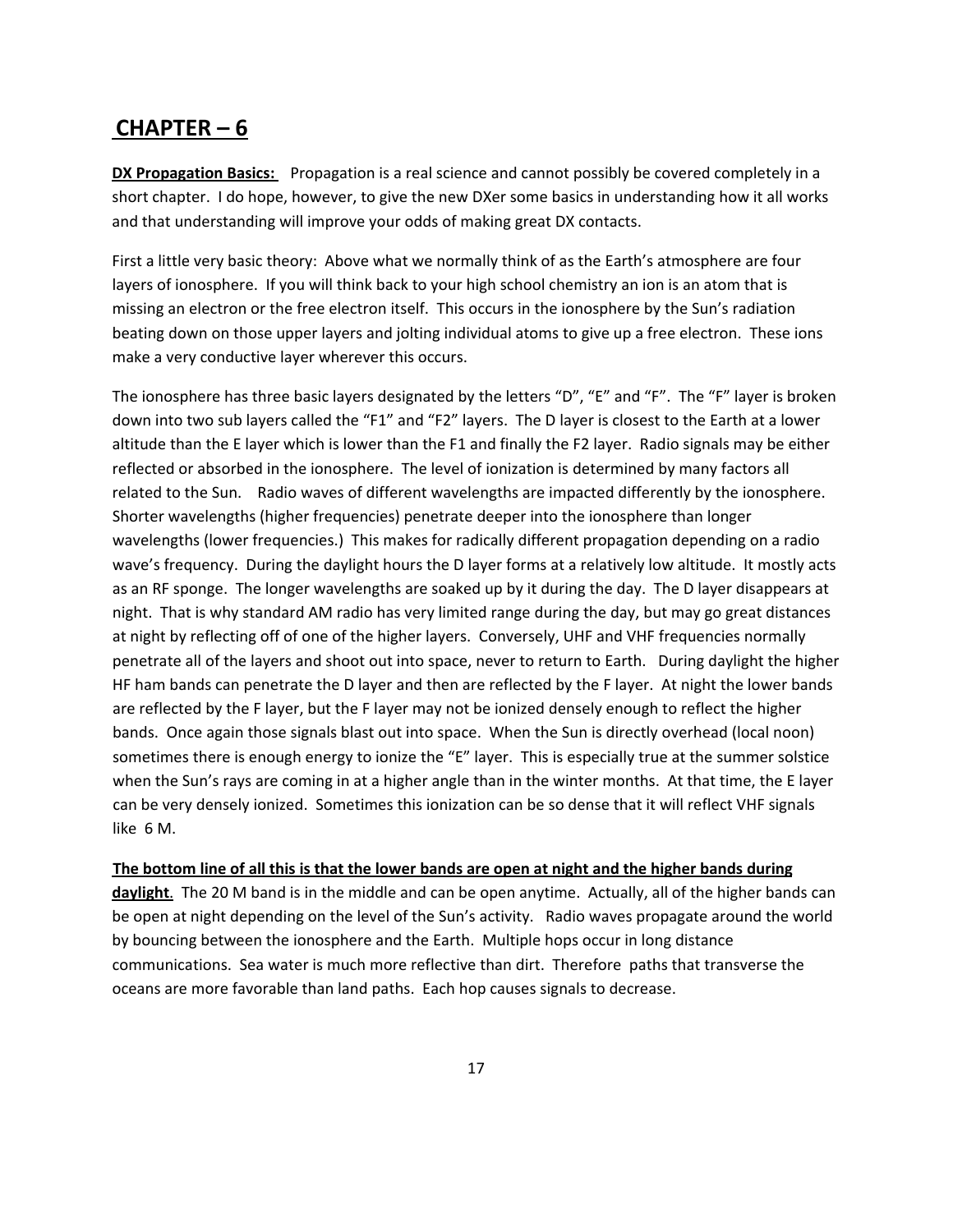### **CHAPTER – 6**

**DX Propagation Basics:** Propagation is a real science and cannot possibly be covered completely in a short chapter. I do hope, however, to give the new DXer some basics in understanding how it all works and that understanding will improve your odds of making great DX contacts.

First a little very basic theory: Above what we normally think of as the Earth's atmosphere are four layers of ionosphere. If you will think back to your high school chemistry an ion is an atom that is missing an electron or the free electron itself. This occurs in the ionosphere by the Sun's radiation beating down on those upper layers and jolting individual atoms to give up a free electron. These ions make a very conductive layer wherever this occurs.

The ionosphere has three basic layers designated by the letters "D", "E" and "F". The "F" layer is broken down into two sub layers called the "F1" and "F2" layers. The D layer is closest to the Earth at a lower altitude than the E layer which is lower than the F1 and finally the F2 layer. Radio signals may be either reflected or absorbed in the ionosphere. The level of ionization is determined by many factors all related to the Sun. Radio waves of different wavelengths are impacted differently by the ionosphere. Shorter wavelengths (higher frequencies) penetrate deeper into the ionosphere than longer wavelengths (lower frequencies.) This makes for radically different propagation depending on a radio wave's frequency. During the daylight hours the D layer forms at a relatively low altitude. It mostly acts as an RF sponge. The longer wavelengths are soaked up by it during the day. The D layer disappears at night. That is why standard AM radio has very limited range during the day, but may go great distances at night by reflecting off of one of the higher layers. Conversely, UHF and VHF frequencies normally penetrate all of the layers and shoot out into space, never to return to Earth. During daylight the higher HF ham bands can penetrate the D layer and then are reflected by the F layer. At night the lower bands are reflected by the F layer, but the F layer may not be ionized densely enough to reflect the higher bands. Once again those signals blast out into space. When the Sun is directly overhead (local noon) sometimes there is enough energy to ionize the "E" layer. This is especially true at the summer solstice when the Sun's rays are coming in at a higher angle than in the winter months. At that time, the E layer can be very densely ionized. Sometimes this ionization can be so dense that it will reflect VHF signals like 6 M.

The bottom line of all this is that the lower bands are open at night and the higher bands during

**daylight**. The 20 M band is in the middle and can be open anytime. Actually, all of the higher bands can be open at night depending on the level of the Sun's activity. Radio waves propagate around the world by bouncing between the ionosphere and the Earth. Multiple hops occur in long distance communications. Sea water is much more reflective than dirt. Therefore paths that transverse the oceans are more favorable than land paths. Each hop causes signals to decrease.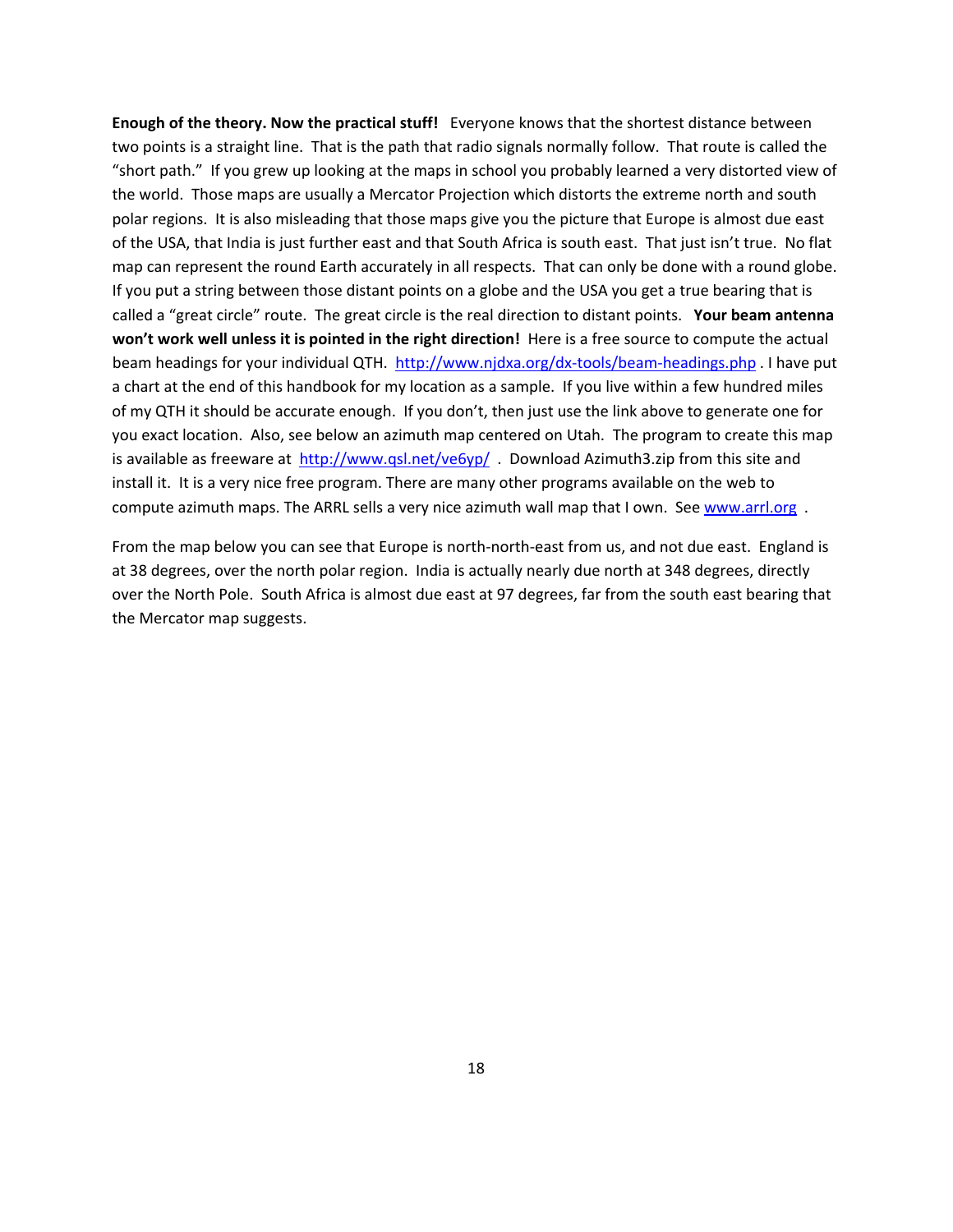**Enough of the theory. Now the practical stuff!**  Everyone knows that the shortest distance between two points is a straight line. That is the path that radio signals normally follow. That route is called the "short path." If you grew up looking at the maps in school you probably learned a very distorted view of the world. Those maps are usually a Mercator Projection which distorts the extreme north and south polar regions. It is also misleading that those maps give you the picture that Europe is almost due east of the USA, that India is just further east and that South Africa is south east. That just isn't true. No flat map can represent the round Earth accurately in all respects. That can only be done with a round globe. If you put a string between those distant points on a globe and the USA you get a true bearing that is called a "great circle" route. The great circle is the real direction to distant points. **Your beam antenna won't work well unless it is pointed in the right direction!** Here is a free source to compute the actual beam headings for your individual QTH. [http://www.njdxa.org/dx](http://www.njdxa.org/dx-tools/beam-headings.php)‐tools/beam‐headings.php . I have put a chart at the end of this handbook for my location as a sample. If you live within a few hundred miles of my QTH it should be accurate enough. If you don't, then just use the link above to generate one for you exact location. Also, see below an azimuth map centered on Utah. The program to create this map is available as freeware at <http://www.qsl.net/ve6yp/>. Download Azimuth3.zip from this site and install it. It is a very nice free program. There are many other programs available on the web to compute azimuth maps. The ARRL sells a very nice azimuth wall map that I own. See [www.arrl.org](http://www.arrl.org/).

From the map below you can see that Europe is north-north-east from us, and not due east. England is at 38 degrees, over the north polar region. India is actually nearly due north at 348 degrees, directly over the North Pole. South Africa is almost due east at 97 degrees, far from the south east bearing that the Mercator map suggests.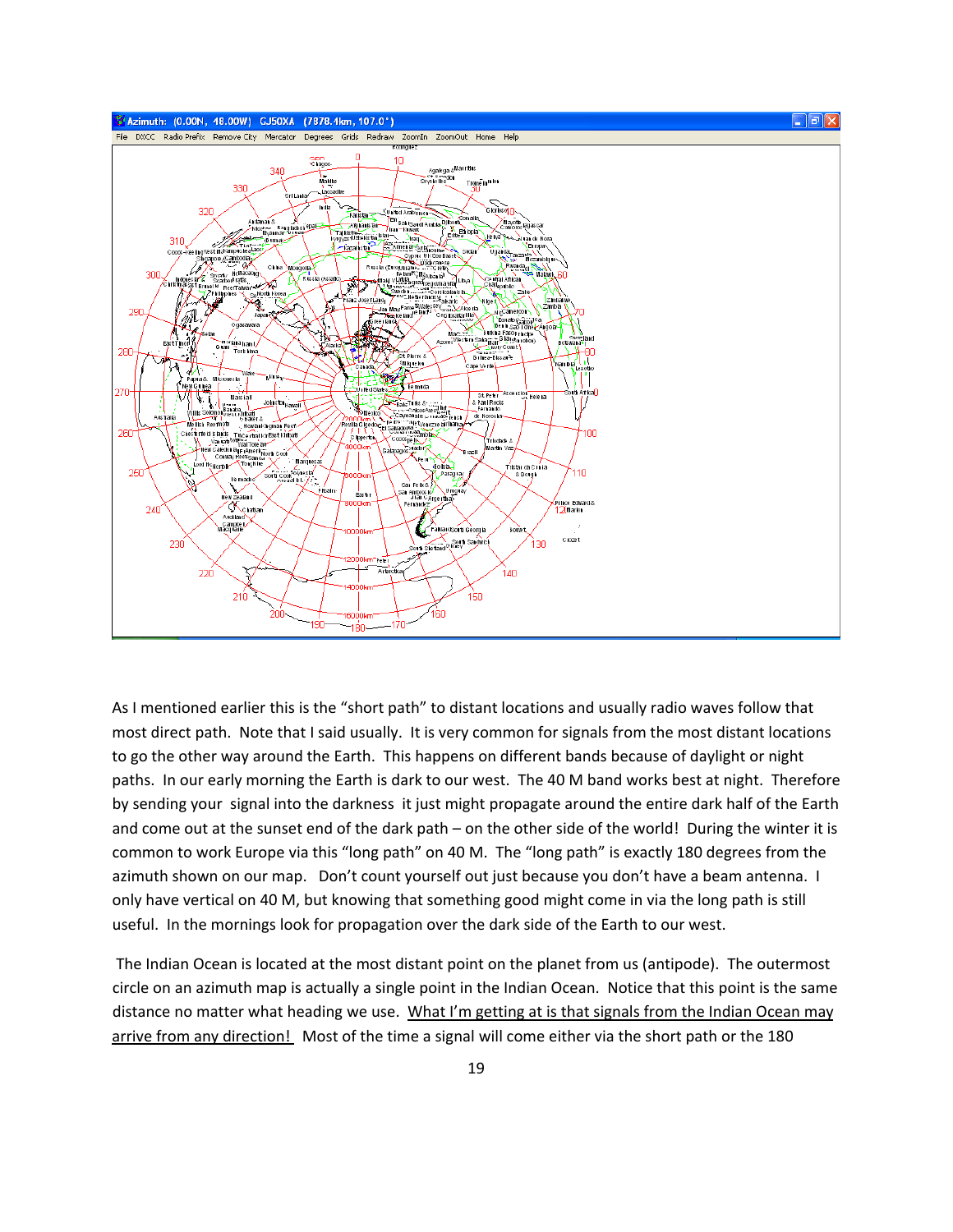

As I mentioned earlier this is the "short path" to distant locations and usually radio waves follow that most direct path. Note that I said usually. It is very common for signals from the most distant locations to go the other way around the Earth. This happens on different bands because of daylight or night paths. In our early morning the Earth is dark to our west. The 40 M band works best at night. Therefore by sending your signal into the darkness it just might propagate around the entire dark half of the Earth and come out at the sunset end of the dark path – on the other side of the world! During the winter it is common to work Europe via this "long path" on 40 M. The "long path" is exactly 180 degrees from the azimuth shown on our map. Don't count yourself out just because you don't have a beam antenna. I only have vertical on 40 M, but knowing that something good might come in via the long path is still useful. In the mornings look for propagation over the dark side of the Earth to our west.

The Indian Ocean is located at the most distant point on the planet from us (antipode). The outermost circle on an azimuth map is actually a single point in the Indian Ocean. Notice that this point is the same distance no matter what heading we use. What I'm getting at is that signals from the Indian Ocean may arrive from any direction! Most of the time a signal will come either via the short path or the 180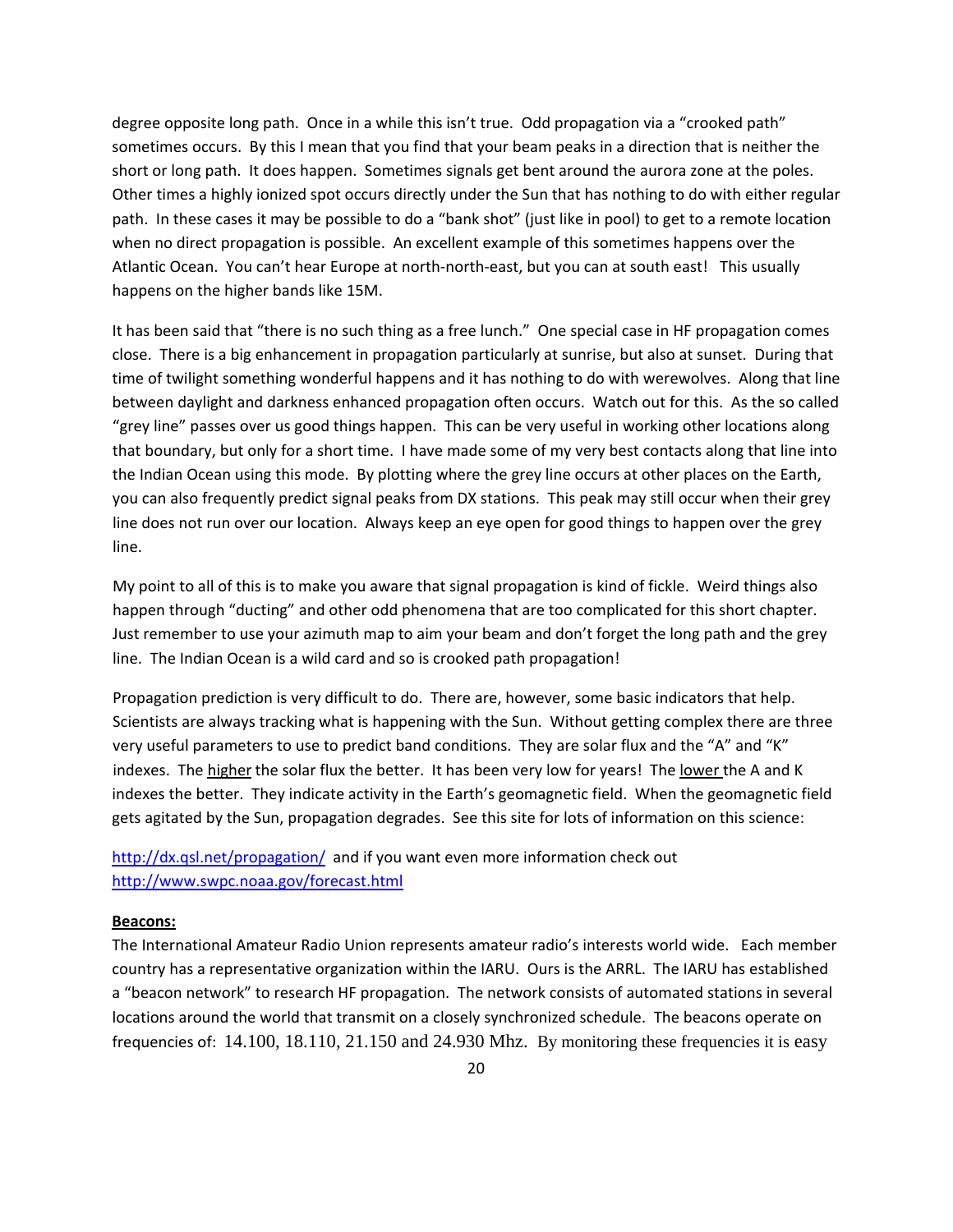degree opposite long path. Once in a while this isn't true. Odd propagation via a "crooked path" sometimes occurs. By this I mean that you find that your beam peaks in a direction that is neither the short or long path. It does happen. Sometimes signals get bent around the aurora zone at the poles. Other times a highly ionized spot occurs directly under the Sun that has nothing to do with either regular path. In these cases it may be possible to do a "bank shot" (just like in pool) to get to a remote location when no direct propagation is possible. An excellent example of this sometimes happens over the Atlantic Ocean. You can't hear Europe at north‐north‐east, but you can at south east! This usually happens on the higher bands like 15M.

It has been said that "there is no such thing as a free lunch." One special case in HF propagation comes close. There is a big enhancement in propagation particularly at sunrise, but also at sunset. During that time of twilight something wonderful happens and it has nothing to do with werewolves. Along that line between daylight and darkness enhanced propagation often occurs. Watch out for this. As the so called "grey line" passes over us good things happen. This can be very useful in working other locations along that boundary, but only for a short time. I have made some of my very best contacts along that line into the Indian Ocean using this mode. By plotting where the grey line occurs at other places on the Earth, you can also frequently predict signal peaks from DX stations. This peak may still occur when their grey line does not run over our location. Always keep an eye open for good things to happen over the grey line.

My point to all of this is to make you aware that signal propagation is kind of fickle. Weird things also happen through "ducting" and other odd phenomena that are too complicated for this short chapter. Just remember to use your azimuth map to aim your beam and don't forget the long path and the grey line. The Indian Ocean is a wild card and so is crooked path propagation!

Propagation prediction is very difficult to do. There are, however, some basic indicators that help. Scientists are always tracking what is happening with the Sun. Without getting complex there are three very useful parameters to use to predict band conditions. They are solar flux and the "A" and "K" indexes. The higher the solar flux the better. It has been very low for years! The lower the A and K indexes the better. They indicate activity in the Earth's geomagnetic field. When the geomagnetic field gets agitated by the Sun, propagation degrades. See this site for lots of information on this science:

<http://dx.qsl.net/propagation/> and if you want even more information check out <http://www.swpc.noaa.gov/forecast.html>

#### **Beacons:**

The International Amateur Radio Union represents amateur radio's interests world wide. Each member country has a representative organization within the IARU. Ours is the ARRL. The IARU has established a "beacon network" to research HF propagation. The network consists of automated stations in several locations around the world that transmit on a closely synchronized schedule. The beacons operate on frequencies of: 14.100, 18.110, 21.150 and 24.930 Mhz. By monitoring these frequencies it is easy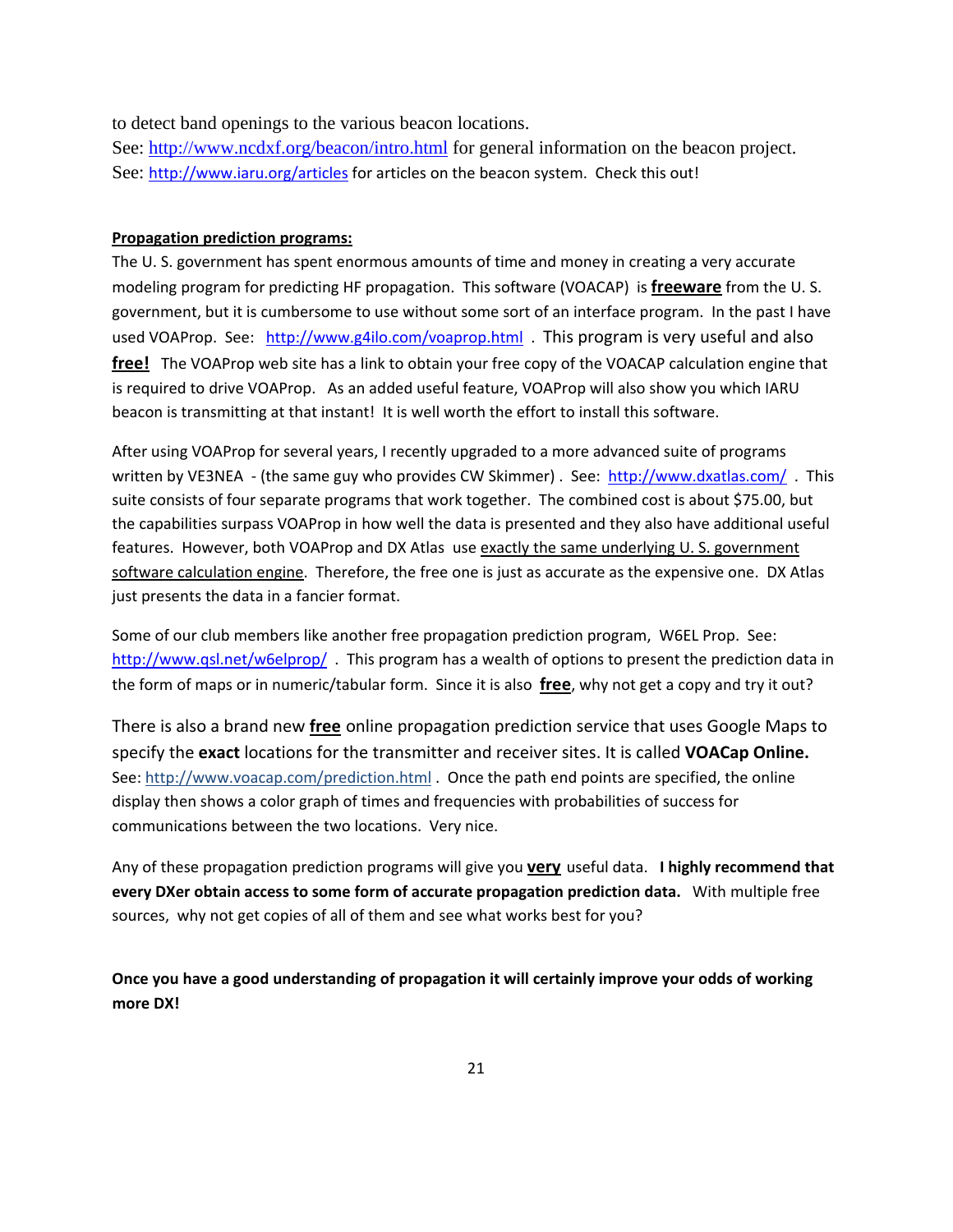to detect band openings to the various beacon locations.

See: <http://www.ncdxf.org/beacon/intro.html> for general information on the beacon project. See: [http://www.iaru.org/articles](http://www.iaru.org/articles/) for articles on the beacon system. Check this out!

#### **Propagation prediction programs:**

The U. S. government has spent enormous amounts of time and money in creating a very accurate modeling program for predicting HF propagation. This software (VOACAP) is **freeware** from the U. S. government, but it is cumbersome to use without some sort of an interface program. In the past I have used VOAProp. See: <http://www.g4ilo.com/voaprop.html> This program is very useful and also **free!** The VOAProp web site has a link to obtain your free copy of the VOACAP calculation engine that is required to drive VOAProp. As an added useful feature, VOAProp will also show you which IARU beacon is transmitting at that instant! It is well worth the effort to install this software.

After using VOAProp for several years, I recently upgraded to a more advanced suite of programs written by VE3NEA - (the same guy who provides CW Skimmer) . See: <http://www.dxatlas.com/>. This suite consists of four separate programs that work together. The combined cost is about \$75.00, but the capabilities surpass VOAProp in how well the data is presented and they also have additional useful features. However, both VOAProp and DX Atlas use exactly the same underlying U. S. government software calculation engine. Therefore, the free one is just as accurate as the expensive one. DX Atlas just presents the data in a fancier format.

Some of our club members like another free propagation prediction program, W6EL Prop. See: <http://www.qsl.net/w6elprop/>. This program has a wealth of options to present the prediction data in the form of maps or in numeric/tabular form. Since it is also **free**, why not get a copy and try it out?

There is also a brand new **free** online propagation prediction service that uses Google Maps to specify the **exact** locations for the transmitter and receiver sites. It is called **VOACap Online.** See: http://www.voacap.com/prediction.html . Once the path end points are specified, the online display then shows a color graph of times and frequencies with probabilities of success for communications between the two locations. Very nice.

Any of these propagation prediction programs will give you **very** useful data. **I highly recommend that every DXer obtain access to some form of accurate propagation prediction data.** With multiple free sources, why not get copies of all of them and see what works best for you?

**Once you have a good understanding of propagation it will certainly improve your odds of working more DX!**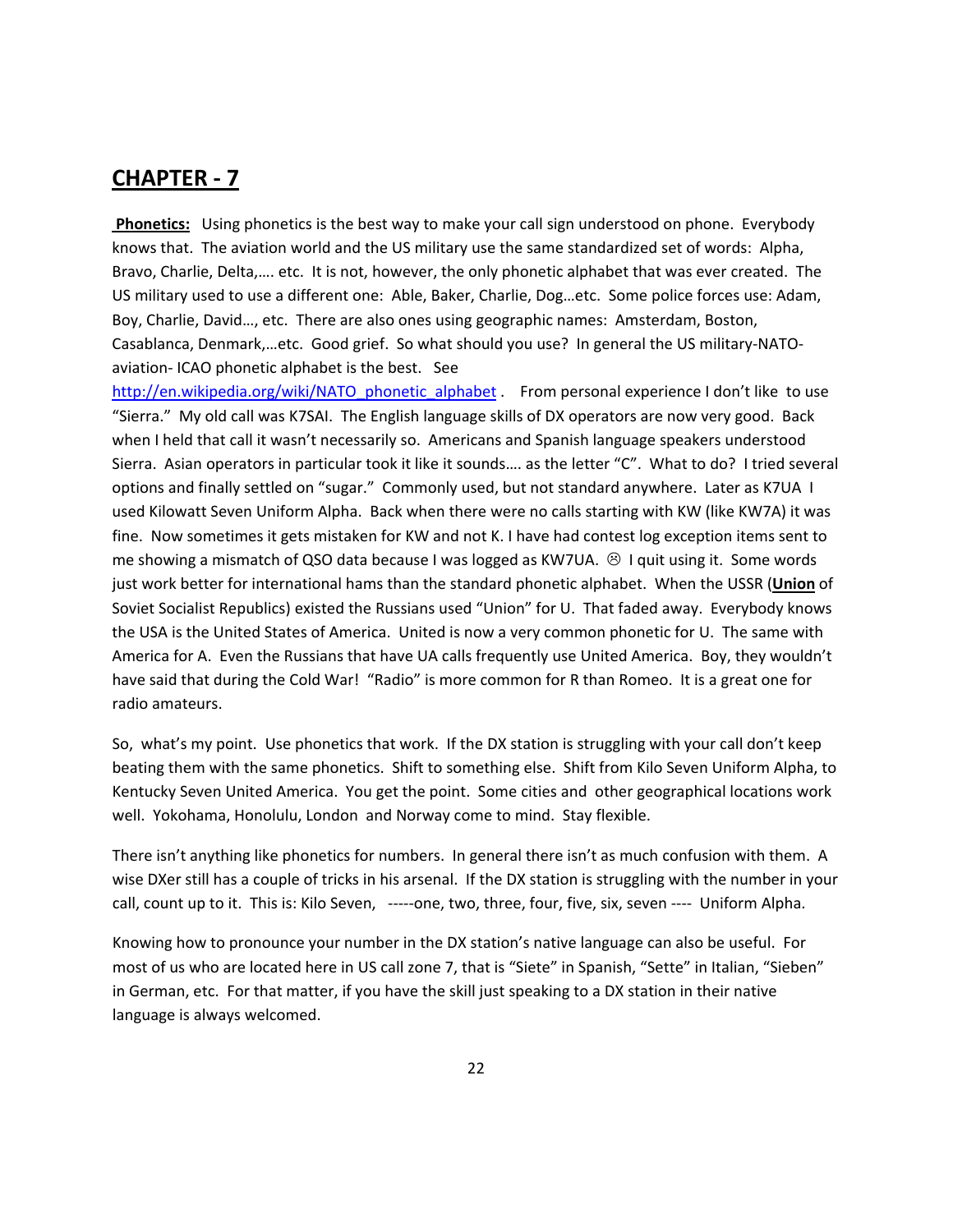**Phonetics:** Using phonetics is the best way to make your call sign understood on phone. Everybody knows that. The aviation world and the US military use the same standardized set of words: Alpha, Bravo, Charlie, Delta,…. etc. It is not, however, the only phonetic alphabet that was ever created. The US military used to use a different one: Able, Baker, Charlie, Dog…etc. Some police forces use: Adam, Boy, Charlie, David…, etc. There are also ones using geographic names: Amsterdam, Boston, Casablanca, Denmark,…etc. Good grief. So what should you use? In general the US military‐NATO‐ aviation‐ ICAO phonetic alphabet is the best. See

[http://en.wikipedia.org/wiki/NATO\\_phonetic\\_alphabet](http://en.wikipedia.org/wiki/NATO_phonetic_alphabet) . From personal experience I don't like to use "Sierra." My old call was K7SAI. The English language skills of DX operators are now very good. Back when I held that call it wasn't necessarily so. Americans and Spanish language speakers understood Sierra. Asian operators in particular took it like it sounds…. as the letter "C". What to do? I tried several options and finally settled on "sugar." Commonly used, but not standard anywhere. Later as K7UA I used Kilowatt Seven Uniform Alpha. Back when there were no calls starting with KW (like KW7A) it was fine. Now sometimes it gets mistaken for KW and not K. I have had contest log exception items sent to me showing a mismatch of QSO data because I was logged as KW7UA.  $\circledR$  I quit using it. Some words just work better for international hams than the standard phonetic alphabet. When the USSR (**Union** of Soviet Socialist Republics) existed the Russians used "Union" for U. That faded away. Everybody knows the USA is the United States of America. United is now a very common phonetic for U. The same with America for A. Even the Russians that have UA calls frequently use United America. Boy, they wouldn't have said that during the Cold War! "Radio" is more common for R than Romeo. It is a great one for radio amateurs.

So, what's my point. Use phonetics that work. If the DX station is struggling with your call don't keep beating them with the same phonetics. Shift to something else. Shift from Kilo Seven Uniform Alpha, to Kentucky Seven United America. You get the point. Some cities and other geographical locations work well. Yokohama, Honolulu, London and Norway come to mind. Stay flexible.

There isn't anything like phonetics for numbers. In general there isn't as much confusion with them. A wise DXer still has a couple of tricks in his arsenal. If the DX station is struggling with the number in your call, count up to it. This is: Kilo Seven, -----one, two, three, four, five, six, seven ---- Uniform Alpha.

Knowing how to pronounce your number in the DX station's native language can also be useful. For most of us who are located here in US call zone 7, that is "Siete" in Spanish, "Sette" in Italian, "Sieben" in German, etc. For that matter, if you have the skill just speaking to a DX station in their native language is always welcomed.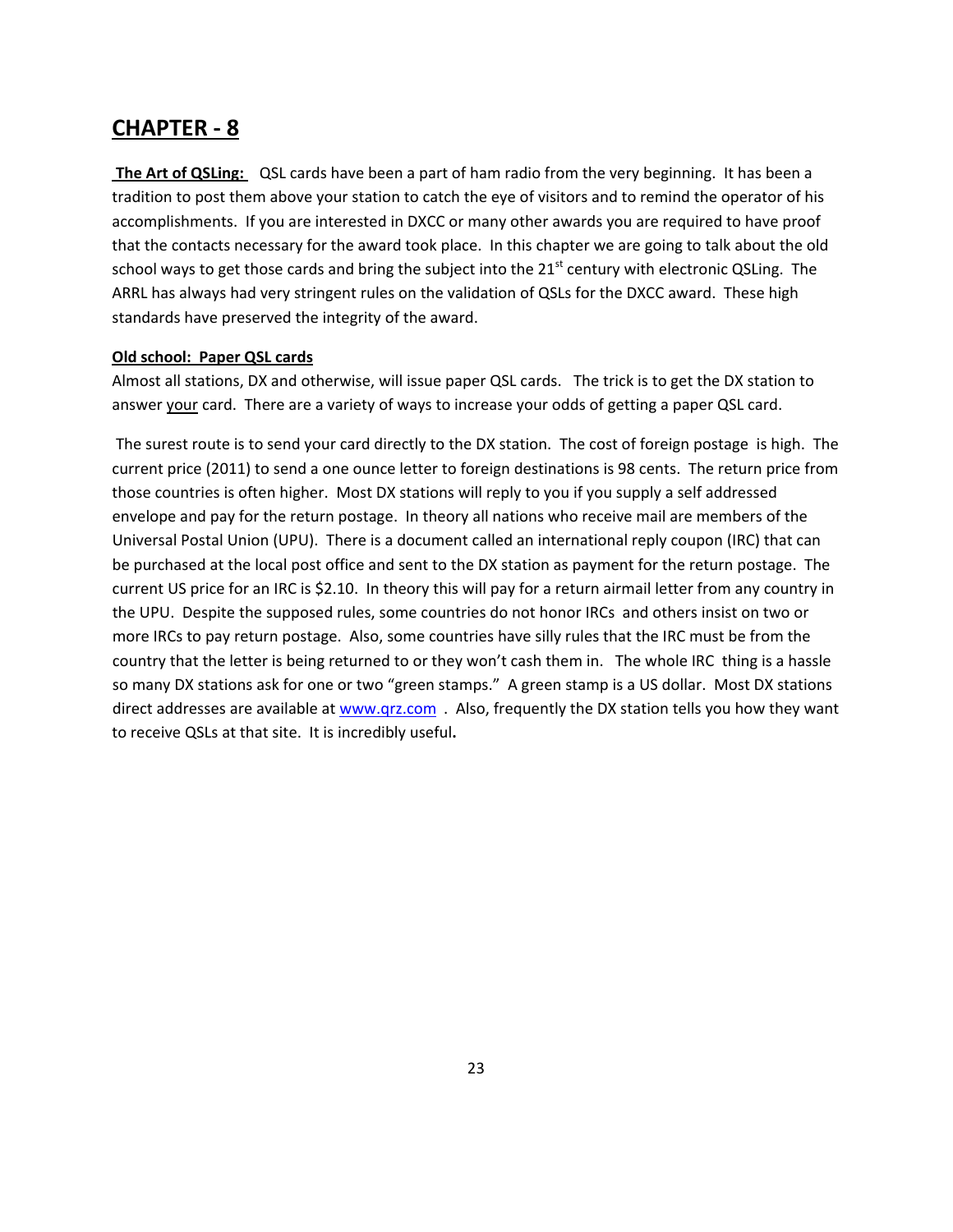**The Art of QSLing:** QSL cards have been a part of ham radio from the very beginning. It has been a tradition to post them above your station to catch the eye of visitors and to remind the operator of his accomplishments. If you are interested in DXCC or many other awards you are required to have proof that the contacts necessary for the award took place. In this chapter we are going to talk about the old school ways to get those cards and bring the subject into the  $21<sup>st</sup>$  century with electronic QSLing. The ARRL has always had very stringent rules on the validation of QSLs for the DXCC award. These high standards have preserved the integrity of the award.

#### **Old school: Paper QSL cards**

Almost all stations, DX and otherwise, will issue paper QSL cards. The trick is to get the DX station to answer your card. There are a variety of ways to increase your odds of getting a paper QSL card.

The surest route is to send your card directly to the DX station. The cost of foreign postage is high. The current price (2011) to send a one ounce letter to foreign destinations is 98 cents. The return price from those countries is often higher. Most DX stations will reply to you if you supply a self addressed envelope and pay for the return postage. In theory all nations who receive mail are members of the Universal Postal Union (UPU). There is a document called an international reply coupon (IRC) that can be purchased at the local post office and sent to the DX station as payment for the return postage. The current US price for an IRC is \$2.10. In theory this will pay for a return airmail letter from any country in the UPU. Despite the supposed rules, some countries do not honor IRCs and others insist on two or more IRCs to pay return postage. Also, some countries have silly rules that the IRC must be from the country that the letter is being returned to or they won't cash them in. The whole IRC thing is a hassle so many DX stations ask for one or two "green stamps." A green stamp is a US dollar. Most DX stations direct addresses are available at [www.qrz.com](http://www.qrz.com/) . Also, frequently the DX station tells you how they want to receive QSLs at that site. It is incredibly useful**.**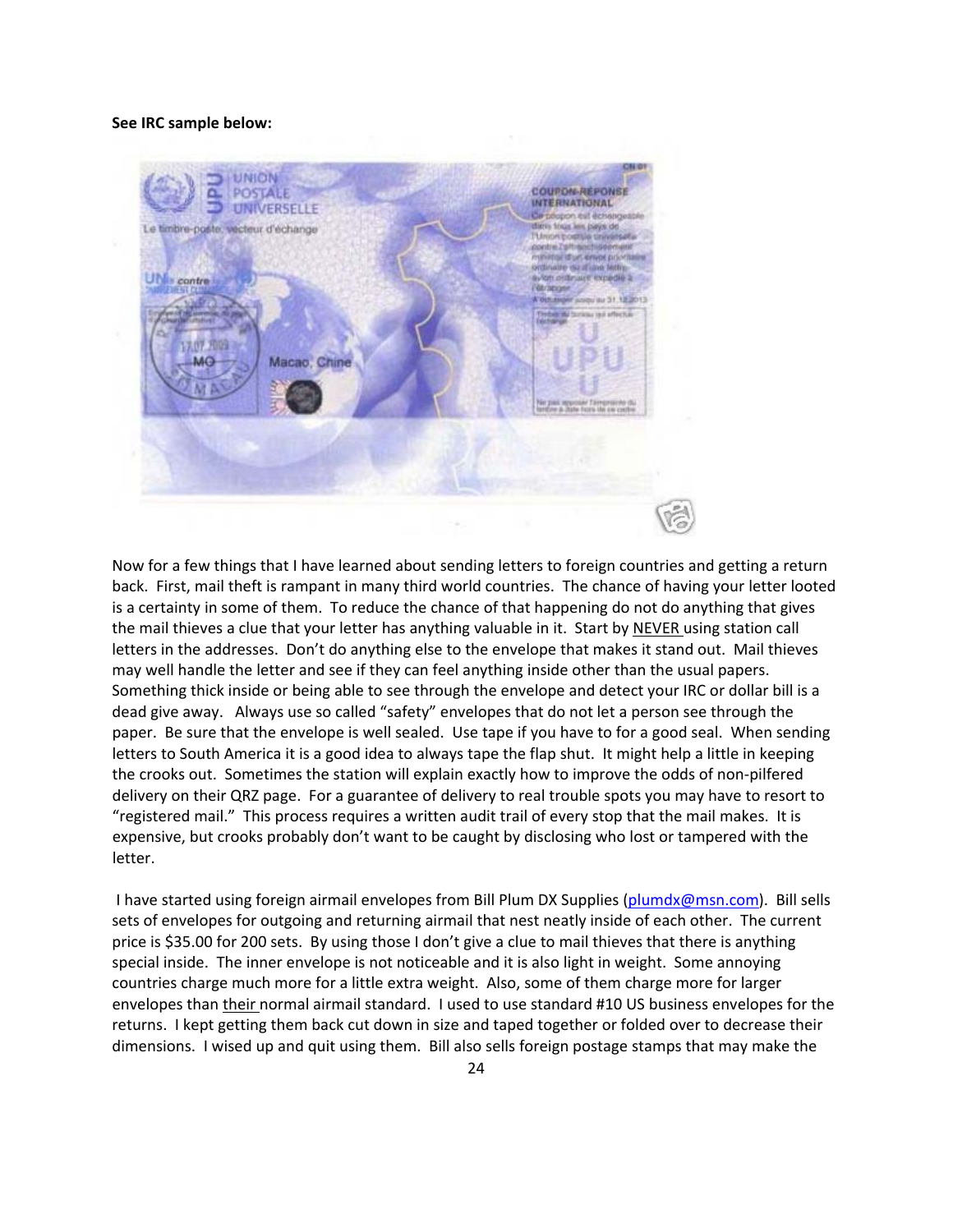#### **See IRC sample below:**



Now for a few things that I have learned about sending letters to foreign countries and getting a return back. First, mail theft is rampant in many third world countries. The chance of having your letter looted is a certainty in some of them. To reduce the chance of that happening do not do anything that gives the mail thieves a clue that your letter has anything valuable in it. Start by NEVER using station call letters in the addresses. Don't do anything else to the envelope that makes it stand out. Mail thieves may well handle the letter and see if they can feel anything inside other than the usual papers. Something thick inside or being able to see through the envelope and detect your IRC or dollar bill is a dead give away. Always use so called "safety" envelopes that do not let a person see through the paper. Be sure that the envelope is well sealed. Use tape if you have to for a good seal. When sending letters to South America it is a good idea to always tape the flap shut. It might help a little in keeping the crooks out. Sometimes the station will explain exactly how to improve the odds of non-pilfered delivery on their QRZ page. For a guarantee of delivery to real trouble spots you may have to resort to "registered mail." This process requires a written audit trail of every stop that the mail makes. It is expensive, but crooks probably don't want to be caught by disclosing who lost or tampered with the letter.

I have started using foreign airmail envelopes from Bill Plum DX Supplies ([plumdx@msn.com\)](mailto:plumdx@msn.com). Bill sells sets of envelopes for outgoing and returning airmail that nest neatly inside of each other. The current price is \$35.00 for 200 sets. By using those I don't give a clue to mail thieves that there is anything special inside. The inner envelope is not noticeable and it is also light in weight. Some annoying countries charge much more for a little extra weight. Also, some of them charge more for larger envelopes than their normal airmail standard. I used to use standard #10 US business envelopes for the returns. I kept getting them back cut down in size and taped together or folded over to decrease their dimensions. I wised up and quit using them. Bill also sells foreign postage stamps that may make the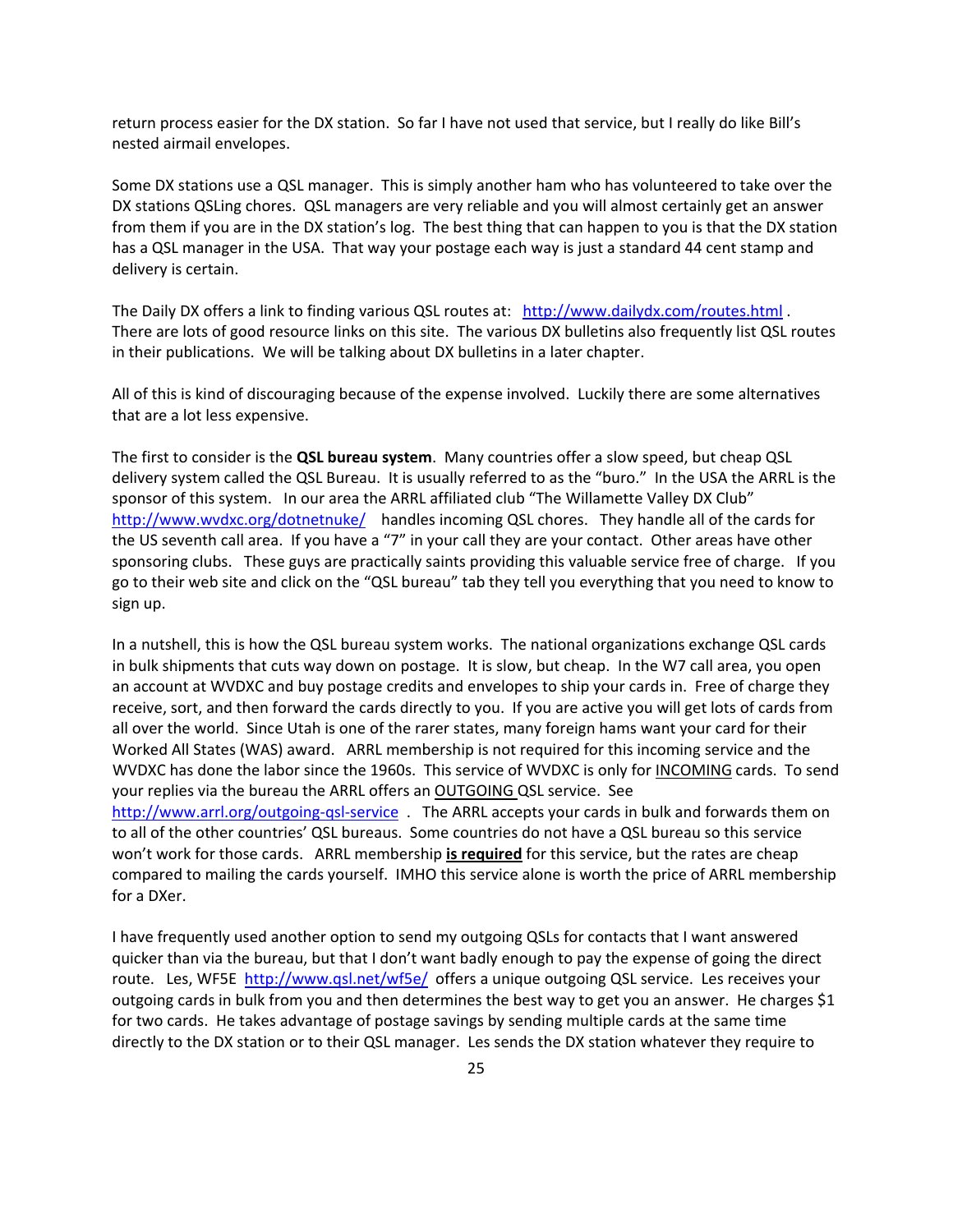return process easier for the DX station. So far I have not used that service, but I really do like Bill's nested airmail envelopes.

Some DX stations use a QSL manager. This is simply another ham who has volunteered to take over the DX stations QSLing chores. QSL managers are very reliable and you will almost certainly get an answer from them if you are in the DX station's log. The best thing that can happen to you is that the DX station has a QSL manager in the USA. That way your postage each way is just a standard 44 cent stamp and delivery is certain.

The Daily DX offers a link to finding various QSL routes at: <http://www.dailydx.com/routes.html> . There are lots of good resource links on this site. The various DX bulletins also frequently list QSL routes in their publications. We will be talking about DX bulletins in a later chapter.

All of this is kind of discouraging because of the expense involved. Luckily there are some alternatives that are a lot less expensive.

The first to consider is the **QSL bureau system**. Many countries offer a slow speed, but cheap QSL delivery system called the QSL Bureau. It is usually referred to as the "buro." In the USA the ARRL is the sponsor of this system. In our area the ARRL affiliated club "The Willamette Valley DX Club" <http://www.wvdxc.org/dotnetnuke/> handles incoming QSL chores. They handle all of the cards for the US seventh call area. If you have a "7" in your call they are your contact. Other areas have other sponsoring clubs. These guys are practically saints providing this valuable service free of charge. If you go to their web site and click on the "QSL bureau" tab they tell you everything that you need to know to sign up.

In a nutshell, this is how the QSL bureau system works. The national organizations exchange QSL cards in bulk shipments that cuts way down on postage. It is slow, but cheap. In the W7 call area, you open an account at WVDXC and buy postage credits and envelopes to ship your cards in. Free of charge they receive, sort, and then forward the cards directly to you. If you are active you will get lots of cards from all over the world. Since Utah is one of the rarer states, many foreign hams want your card for their Worked All States (WAS) award. ARRL membership is not required for this incoming service and the WVDXC has done the labor since the 1960s. This service of WVDXC is only for INCOMING cards. To send your replies via the bureau the ARRL offers an OUTGOING QSL service. See [http://www.arrl.org/outgoing](http://www.arrl.org/outgoing-qsl-service)-qsl-service . The ARRL accepts your cards in bulk and forwards them on to all of the other countries' QSL bureaus. Some countries do not have a QSL bureau so this service won't work for those cards. ARRL membership **is required** for this service, but the rates are cheap compared to mailing the cards yourself. IMHO this service alone is worth the price of ARRL membership for a DXer.

I have frequently used another option to send my outgoing QSLs for contacts that I want answered quicker than via the bureau, but that I don't want badly enough to pay the expense of going the direct route. Les, WF5E <http://www.qsl.net/wf5e/> offers a unique outgoing QSL service. Les receives your outgoing cards in bulk from you and then determines the best way to get you an answer. He charges \$1 for two cards. He takes advantage of postage savings by sending multiple cards at the same time directly to the DX station or to their QSL manager. Les sends the DX station whatever they require to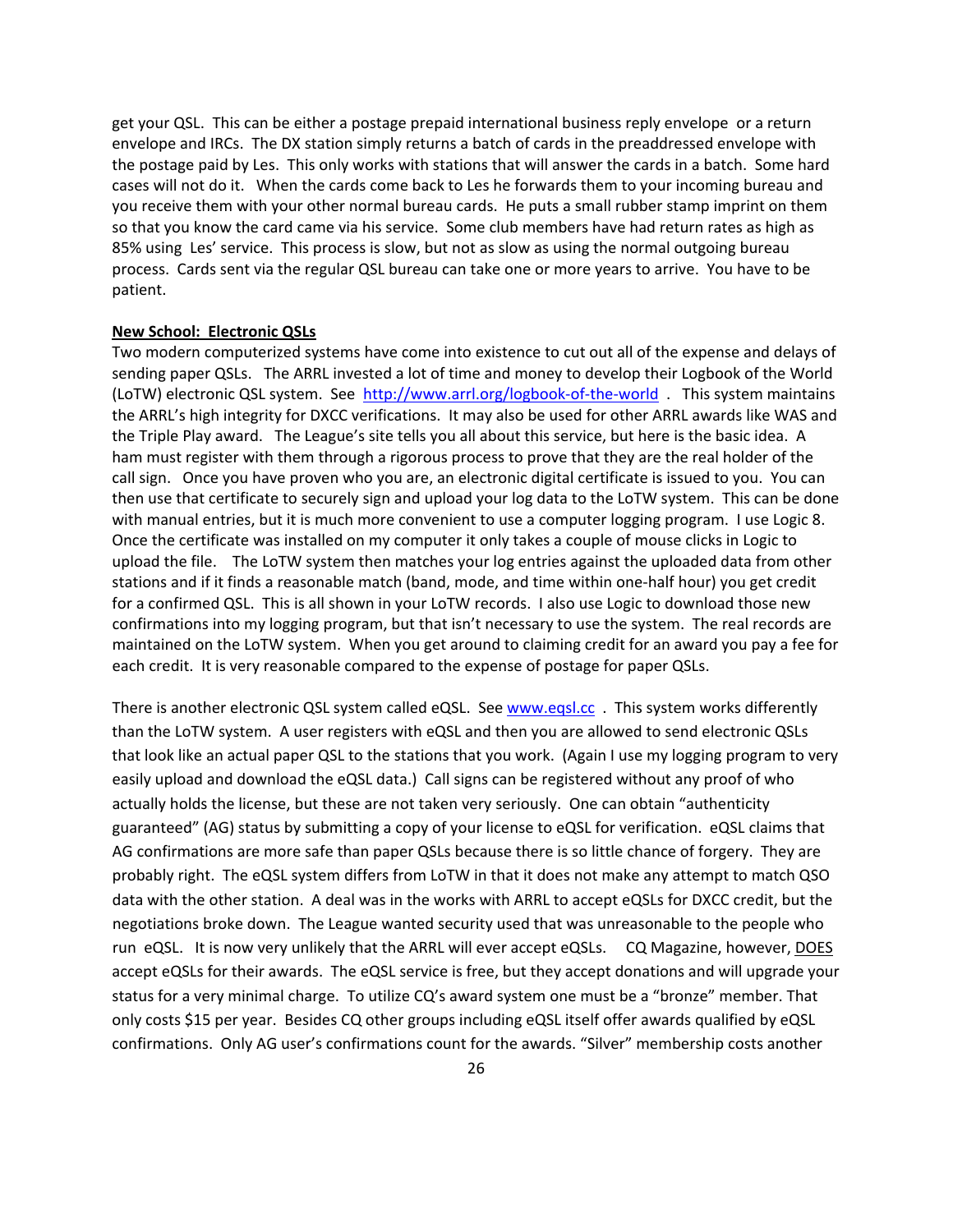get your QSL. This can be either a postage prepaid international business reply envelope or a return envelope and IRCs. The DX station simply returns a batch of cards in the preaddressed envelope with the postage paid by Les. This only works with stations that will answer the cards in a batch. Some hard cases will not do it. When the cards come back to Les he forwards them to your incoming bureau and you receive them with your other normal bureau cards. He puts a small rubber stamp imprint on them so that you know the card came via his service. Some club members have had return rates as high as 85% using Les' service. This process is slow, but not as slow as using the normal outgoing bureau process. Cards sent via the regular QSL bureau can take one or more years to arrive. You have to be patient.

#### **New School: Electronic QSLs**

Two modern computerized systems have come into existence to cut out all of the expense and delays of sending paper QSLs. The ARRL invested a lot of time and money to develop their Logbook of the World (LoTW) electronic QSL system. See [http://www.arrl.org/logbook](http://www.arrl.org/logbook-of-the-world)‐of‐the‐world . This system maintains the ARRL's high integrity for DXCC verifications. It may also be used for other ARRL awards like WAS and the Triple Play award. The League's site tells you all about this service, but here is the basic idea. A ham must register with them through a rigorous process to prove that they are the real holder of the call sign. Once you have proven who you are, an electronic digital certificate is issued to you. You can then use that certificate to securely sign and upload your log data to the LoTW system. This can be done with manual entries, but it is much more convenient to use a computer logging program. I use Logic 8. Once the certificate was installed on my computer it only takes a couple of mouse clicks in Logic to upload the file. The LoTW system then matches your log entries against the uploaded data from other stations and if it finds a reasonable match (band, mode, and time within one‐half hour) you get credit for a confirmed QSL. This is all shown in your LoTW records. I also use Logic to download those new confirmations into my logging program, but that isn't necessary to use the system. The real records are maintained on the LoTW system. When you get around to claiming credit for an award you pay a fee for each credit. It is very reasonable compared to the expense of postage for paper QSLs.

There is another electronic QSL system called eQSL. See [www.eqsl.cc](http://www.eqsl.cc/). This system works differently than the LoTW system. A user registers with eQSL and then you are allowed to send electronic QSLs that look like an actual paper QSL to the stations that you work. (Again I use my logging program to very easily upload and download the eQSL data.) Call signs can be registered without any proof of who actually holds the license, but these are not taken very seriously. One can obtain "authenticity guaranteed" (AG) status by submitting a copy of your license to eQSL for verification. eQSL claims that AG confirmations are more safe than paper QSLs because there is so little chance of forgery. They are probably right. The eQSL system differs from LoTW in that it does not make any attempt to match QSO data with the other station. A deal was in the works with ARRL to accept eQSLs for DXCC credit, but the negotiations broke down. The League wanted security used that was unreasonable to the people who run eQSL. It is now very unlikely that the ARRL will ever accept eQSLs. CQ Magazine, however, DOES accept eQSLs for their awards. The eQSL service is free, but they accept donations and will upgrade your status for a very minimal charge. To utilize CQ's award system one must be a "bronze" member. That only costs \$15 per year. Besides CQ other groups including eQSL itself offer awards qualified by eQSL confirmations. Only AG user's confirmations count for the awards. "Silver" membership costs another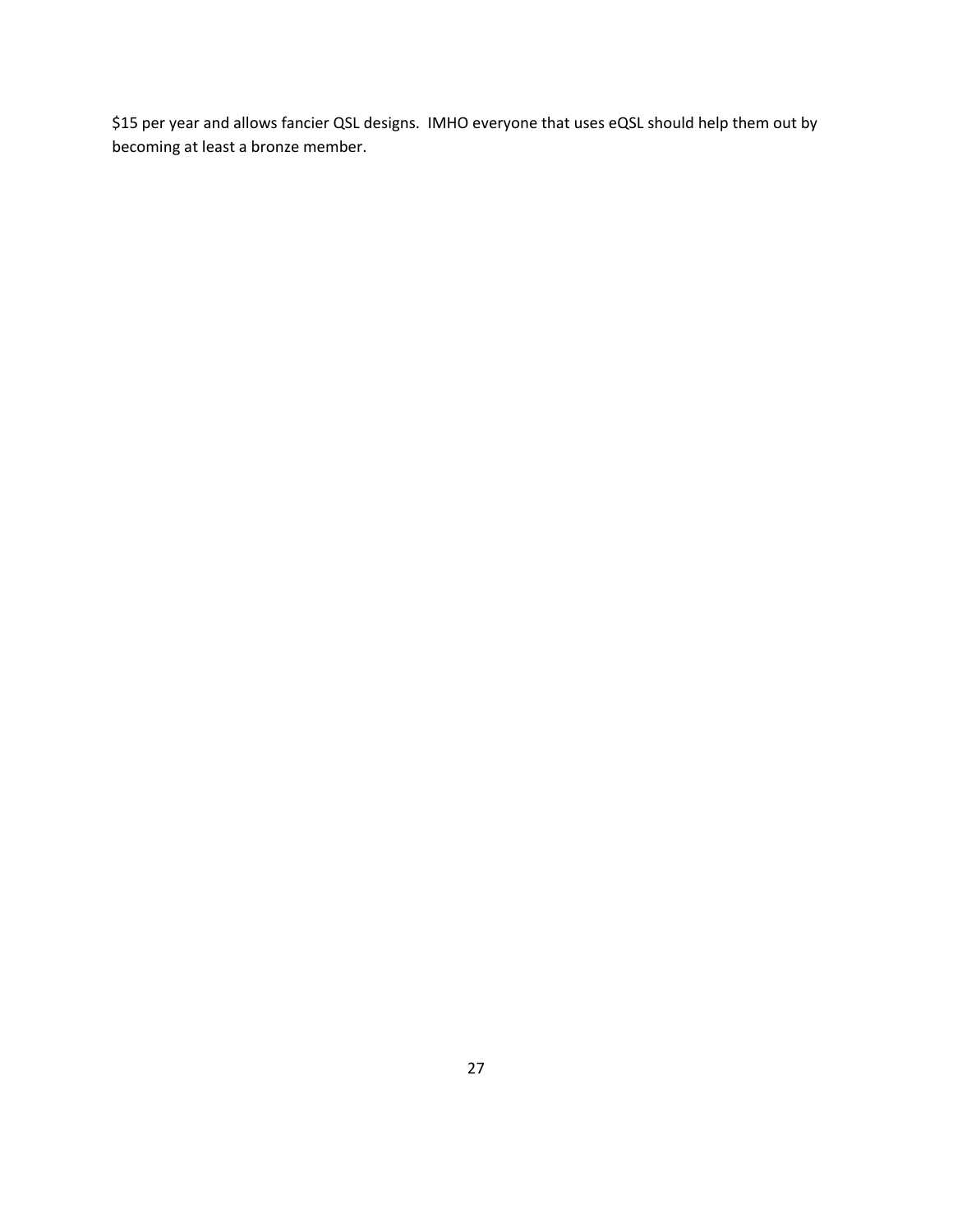\$15 per year and allows fancier QSL designs. IMHO everyone that uses eQSL should help them out by becoming at least a bronze member.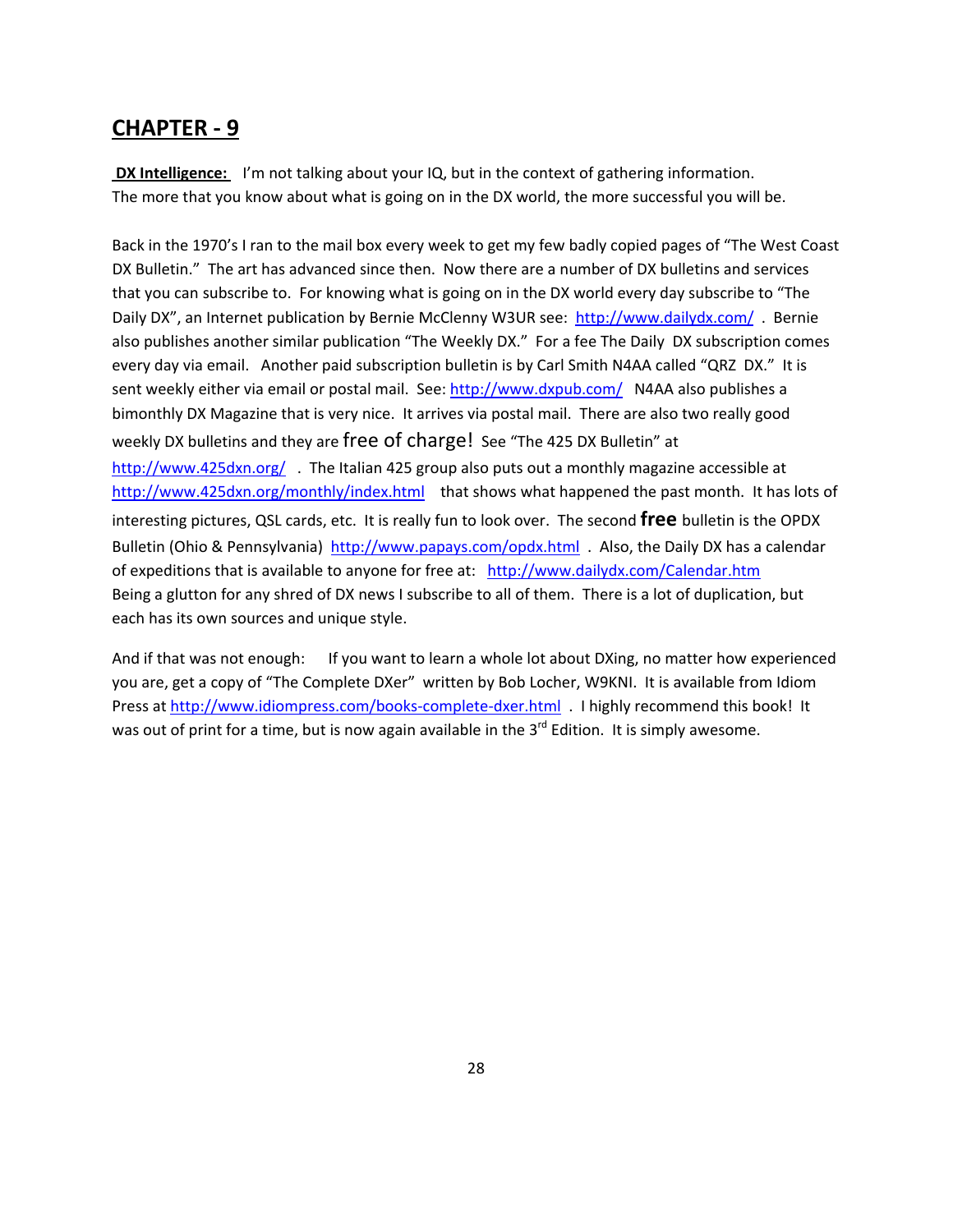**DX** Intelligence: I'm not talking about your IQ, but in the context of gathering information. The more that you know about what is going on in the DX world, the more successful you will be.

Back in the 1970's I ran to the mail box every week to get my few badly copied pages of "The West Coast DX Bulletin." The art has advanced since then. Now there are a number of DX bulletins and services that you can subscribe to. For knowing what is going on in the DX world every day subscribe to "The Daily DX", an Internet publication by Bernie McClenny W3UR see: <http://www.dailydx.com/> . Bernie also publishes another similar publication "The Weekly DX." For a fee The Daily DX subscription comes every day via email. Another paid subscription bulletin is by Carl Smith N4AA called "QRZ DX." It is sent weekly either via email or postal mail. See: <http://www.dxpub.com/> N4AA also publishes a bimonthly DX Magazine that is very nice. It arrives via postal mail. There are also two really good weekly DX bulletins and they are free of charge! See "The 425 DX Bulletin" at <http://www.425dxn.org/> The Italian 425 group also puts out a monthly magazine accessible at <http://www.425dxn.org/monthly/index.html> that shows what happened the past month. It has lots of interesting pictures, QSL cards, etc. It is really fun to look over. The second **free** bulletin is the OPDX Bulletin (Ohio & Pennsylvania) <http://www.papays.com/opdx.html> . Also, the Daily DX has a calendar of expeditions that is available to anyone for free at: <http://www.dailydx.com/Calendar.htm> Being a glutton for any shred of DX news I subscribe to all of them. There is a lot of duplication, but each has its own sources and unique style.

And if that was not enough: If you want to learn a whole lot about DXing, no matter how experienced you are, get a copy of "The Complete DXer" written by Bob Locher, W9KNI. It is available from Idiom Press at [http://www.idiompress.com/books](http://www.idiompress.com/books-complete-dxer.html)‐complete‐dxer.html . I highly recommend this book! It was out of print for a time, but is now again available in the 3<sup>rd</sup> Edition. It is simply awesome.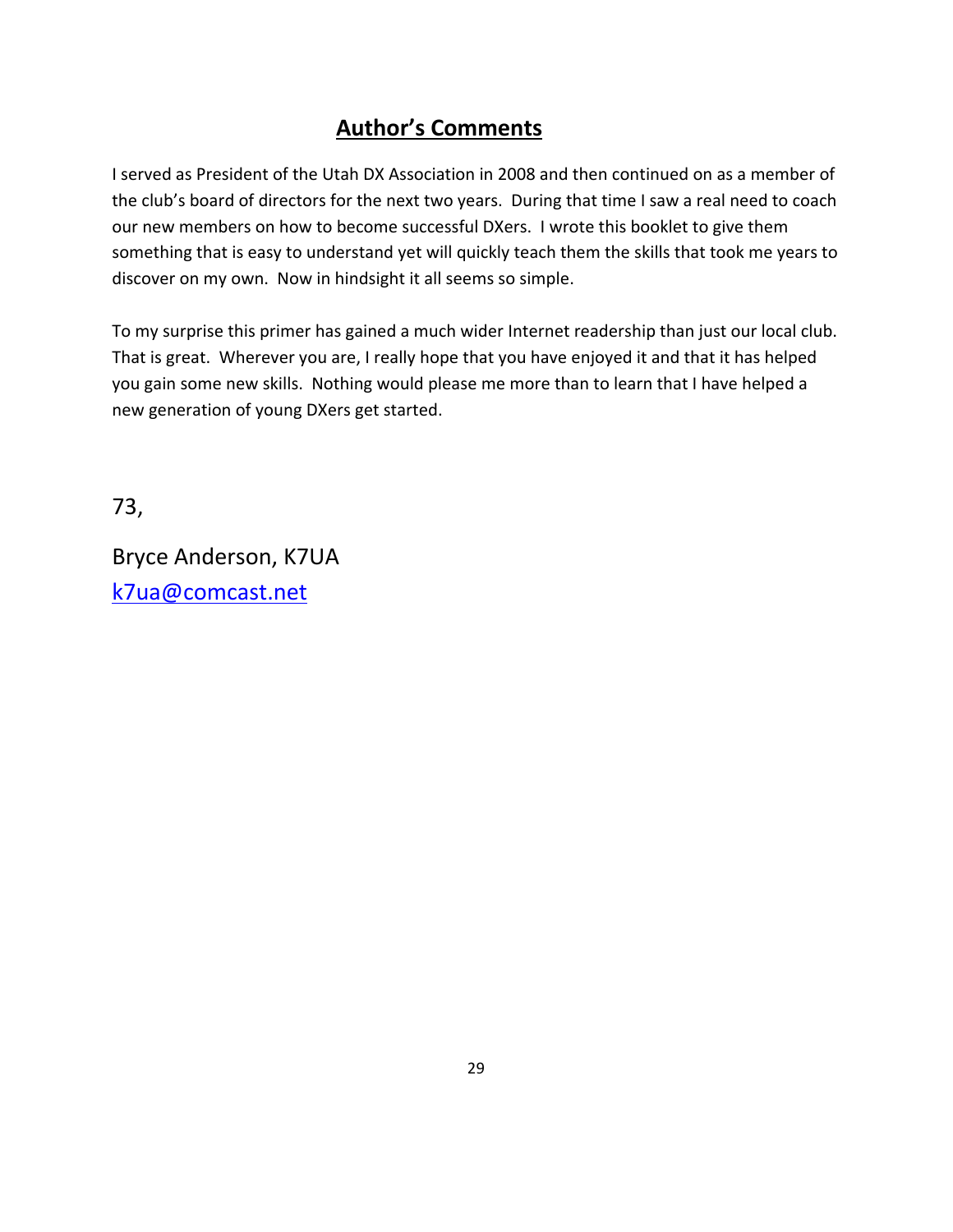### **Author's Comments**

I served as President of the Utah DX Association in 2008 and then continued on as a member of the club's board of directors for the next two years. During that time I saw a real need to coach our new members on how to become successful DXers. I wrote this booklet to give them something that is easy to understand yet will quickly teach them the skills that took me years to discover on my own. Now in hindsight it all seems so simple.

To my surprise this primer has gained a much wider Internet readership than just our local club. That is great. Wherever you are, I really hope that you have enjoyed it and that it has helped you gain some new skills. Nothing would please me more than to learn that I have helped a new generation of young DXers get started.

73,

Bryce Anderson, K7UA [k7ua@comcast.net](mailto:k7ua@comcast.net)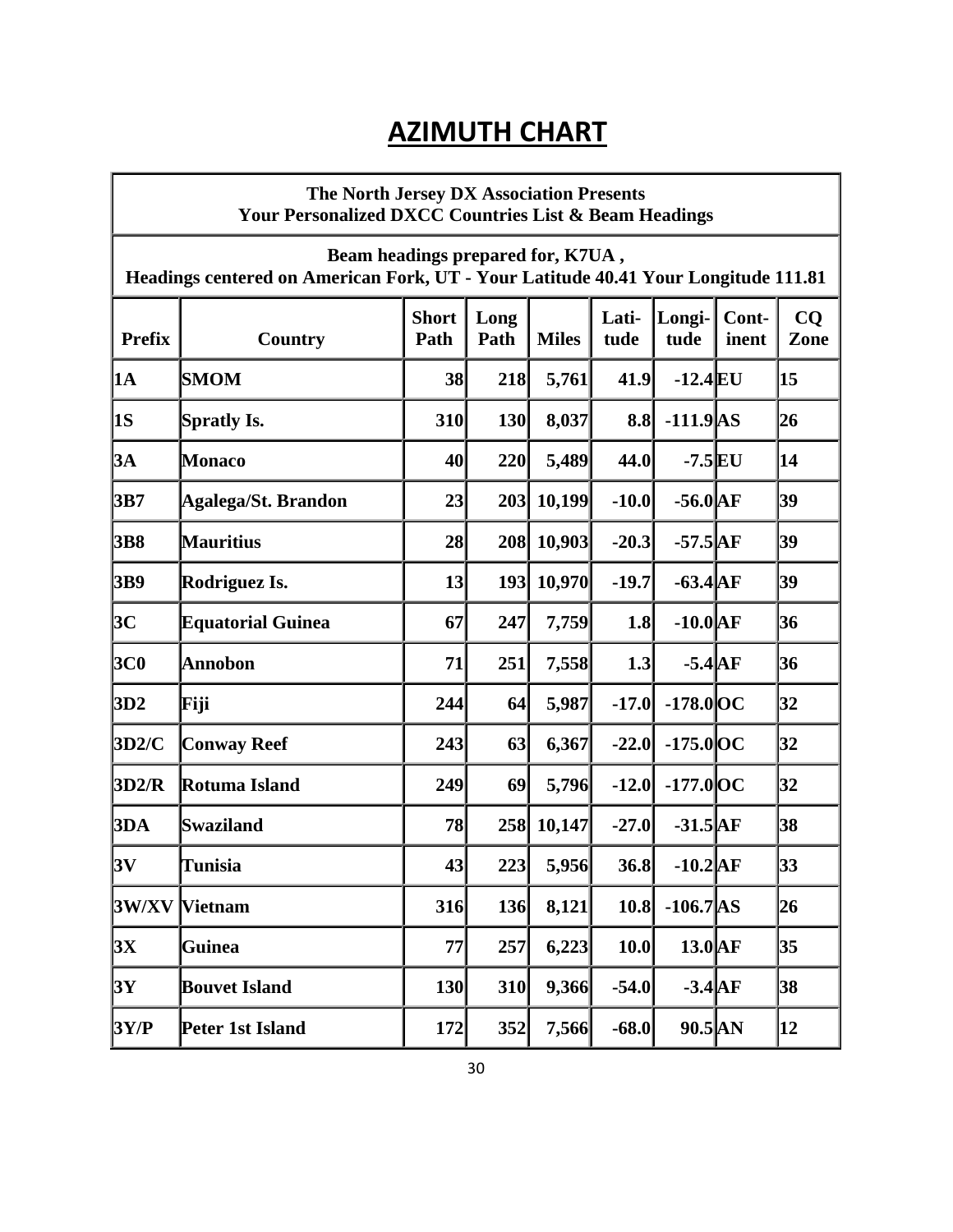# **AZIMUTH CHART**

|               | The North Jersey DX Association Presents<br><b>Your Personalized DXCC Countries List &amp; Beam Headings</b>            |                      |              |              |               |                  |                |            |
|---------------|-------------------------------------------------------------------------------------------------------------------------|----------------------|--------------|--------------|---------------|------------------|----------------|------------|
|               | Beam headings prepared for, K7UA,<br>Headings centered on American Fork, UT - Your Latitude 40.41 Your Longitude 111.81 |                      |              |              |               |                  |                |            |
| <b>Prefix</b> | Country                                                                                                                 | <b>Short</b><br>Path | Long<br>Path | <b>Miles</b> | Lati-<br>tude | Longi-<br>tude   | Cont-<br>inent | CO<br>Zone |
| <b>1A</b>     | <b>SMOM</b>                                                                                                             | 38                   | 218          | 5,761        | 41.9          | $-12.4$ EU       |                | 15         |
| <b>1S</b>     | <b>Spratly Is.</b>                                                                                                      | 310                  | <b>130</b>   | 8,037        | 8.8           | $-111.9$ AS      |                | 26         |
| 3A            | <b>Monaco</b>                                                                                                           | 40                   | 220          | 5,489        | 44.0          | $-7.5$ EU        |                | 14         |
| 3B7           | Agalega/St. Brandon                                                                                                     | 23                   | 203          | 10,199       | $-10.0$       | $-56.0$ AF       |                | 39         |
| 3B8           | <b>Mauritius</b>                                                                                                        | 28                   | 208          | 10,903       | $-20.3$       | $-57.5$ $AF$     |                | 39         |
| 3B9           | Rodriguez Is.                                                                                                           | 13                   |              | 193 10,970   | $-19.7$       | $-63.4\text{AF}$ |                | 39         |
| 3C            | <b>Equatorial Guinea</b>                                                                                                | 67                   | 247          | 7,759        | 1.8           | $-10.0$ $AF$     |                | 36         |
| <b>3C0</b>    | <b>Annobon</b>                                                                                                          | 71                   | 251          | 7,558        | 1.3           | $-5.4$ $AF$      |                | 36         |
| 3D2           | Fiji                                                                                                                    | 244                  | 64           | 5,987        | $-17.0$       | $-178.0$ OC      |                | 32         |
| 3D2/C         | <b>Conway Reef</b>                                                                                                      | 243                  | 63           | 6,367        | $-22.0$       | $-175.0$ OC      |                | 32         |
| 3D2/R         | Rotuma Island                                                                                                           | 249                  | 69           | 5,796        | $-12.0$       | $-177.0$ OC      |                | 32         |
| 3DA           | Swaziland                                                                                                               | 78                   | 258          | 10,147       | $-27.0$       | $-31.5$ AF       |                | 38         |
| 3V            | <b>Tunisia</b>                                                                                                          | 43                   | 223          | 5,956        | 36.8          | $-10.2$ $AF$     |                | 33         |
| 3W/XY         | <b>Vietnam</b>                                                                                                          | 316                  | 136          | 8,121        | 10.8          | $-106.7$ AS      |                | 26         |
| 3X            | <b>Guinea</b>                                                                                                           | 77                   | 257          | 6,223        | 10.0          | $13.0\text{AF}$  |                | 35         |
| 3Y            | <b>Bouvet Island</b>                                                                                                    | 130                  | 310          | 9,366        | $-54.0$       | $-3.4$ AF        |                | 38         |
| 3Y/P          | Peter 1st Island                                                                                                        | 172                  | 352          | 7,566        | $-68.0$       | $90.5$ AN        |                | 12         |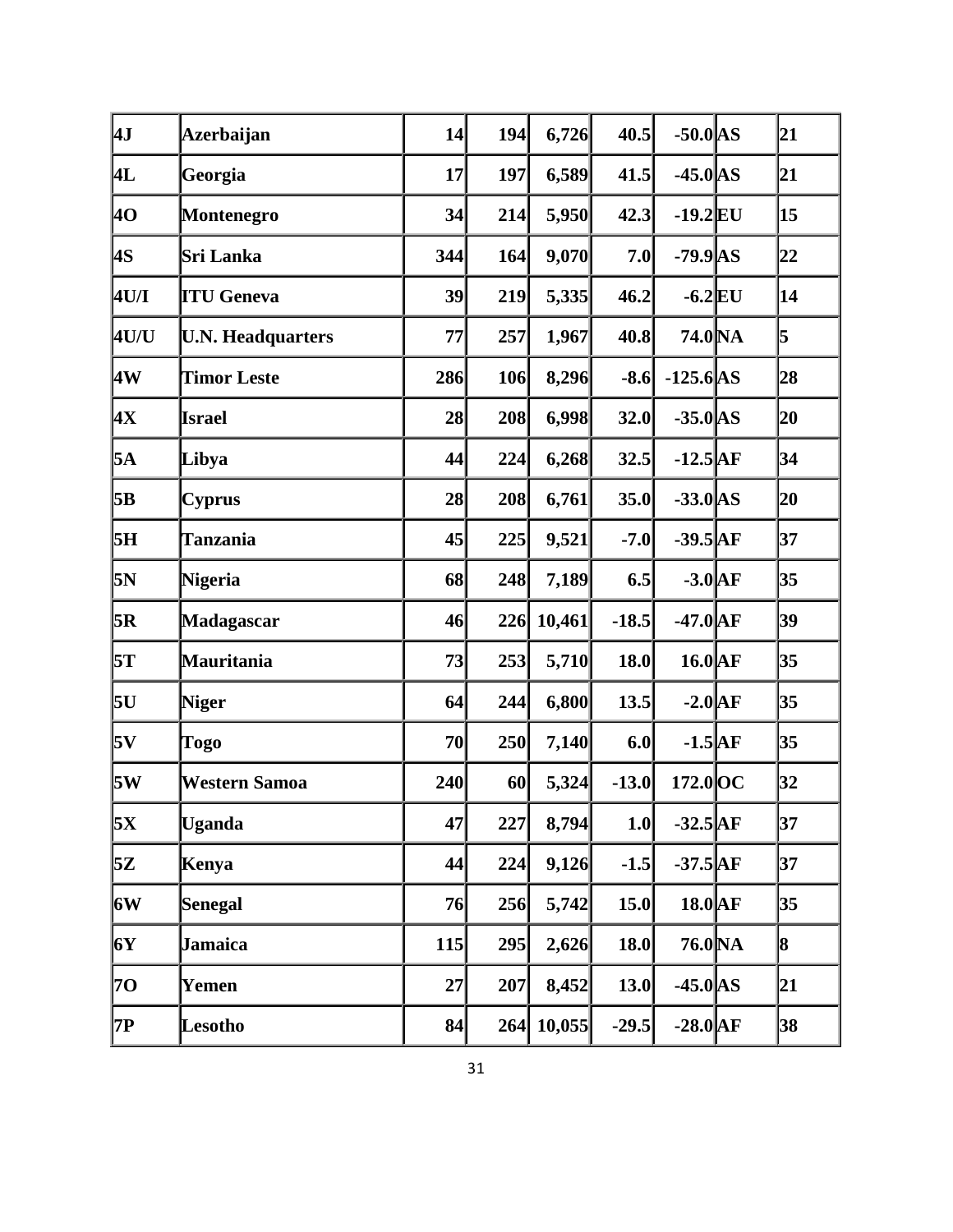| 4J          | <b>Azerbaijan</b>        | 14  | 194 | 6,726  | 40.5    | $-50.0$ AS            | 21 |
|-------------|--------------------------|-----|-----|--------|---------|-----------------------|----|
| 4L          | Georgia                  | 17  | 197 | 6,589  | 41.5    | $-45.0$ AS            | 21 |
| 4O          | <b>Montenegro</b>        | 34  | 214 | 5,950  | 42.3    | $-19.2$ EU            | 15 |
| 4S          | Sri Lanka                | 344 | 164 | 9,070  | 7.0     | $-79.9$ AS            | 22 |
| <b>4U/I</b> | <b>ITU Geneva</b>        | 39  | 219 | 5,335  | 46.2    | $-6.2$ EU             | 14 |
| <b>4U/U</b> | <b>U.N. Headquarters</b> | 77  | 257 | 1,967  | 40.8    | 74.0 NA               | 5  |
| 4W          | <b>Timor Leste</b>       | 286 | 106 | 8,296  | $-8.6$  | $-125.6$ AS           | 28 |
| þХ          | <b>Israel</b>            | 28  | 208 | 6,998  | 32.0    | $-35.0$ AS            | 20 |
| 5A          | Libya                    | 44  | 224 | 6,268  | 32.5    | $-12.5$ <sup>AF</sup> | 34 |
| 5B          | <b>Cyprus</b>            | 28  | 208 | 6,761  | 35.0    | $-33.0$ AS            | 20 |
| 5H          | <b>Tanzania</b>          | 45  | 225 | 9,521  | $-7.0$  | $-39.5$ <sup>AF</sup> | 37 |
| 5N          | Nigeria                  | 68  | 248 | 7,189  | 6.5     | $-3.0$ $AF$           | 35 |
| 5R          | Madagascar               | 46  | 226 | 10,461 | $-18.5$ | $-47.0$ $AF$          | 39 |
| 5T          | Mauritania               | 73  | 253 | 5,710  | 18.0    | $16.0\text{AF}$       | 35 |
| 5U          | <b>Niger</b>             | 64  | 244 | 6,800  | 13.5    | $-2.0$ $AF$           | 35 |
| 5V          | Togo                     | 70  | 250 | 7,140  | 6.0     | $-1.5$ $AF$           | 35 |
| 5W          | <b>Western Samoa</b>     | 240 | 60  | 5,324  | $-13.0$ | $172.0$ OC            | 32 |
| 5X          | <b>Uganda</b>            | 47  | 227 | 8,794  | 1.0     | $-32.5$ <sup>AF</sup> | 37 |
| 5Z          | Kenya                    | 44  | 224 | 9,126  | $-1.5$  | $-37.5$ <sup>AF</sup> | 37 |
| <b>6W</b>   | Senegal                  | 76  | 256 | 5,742  | 15.0    | $18.0$ AF             | 35 |
| 6Y          | Jamaica                  | 115 | 295 | 2,626  | 18.0    | 76.0 NA               | 8  |
| 70          | Yemen                    | 27  | 207 | 8,452  | 13.0    | $-45.0$ AS            | 21 |
| 7P          | Lesotho                  | 84  | 264 | 10,055 | $-29.5$ | $-28.0$ AF            | 38 |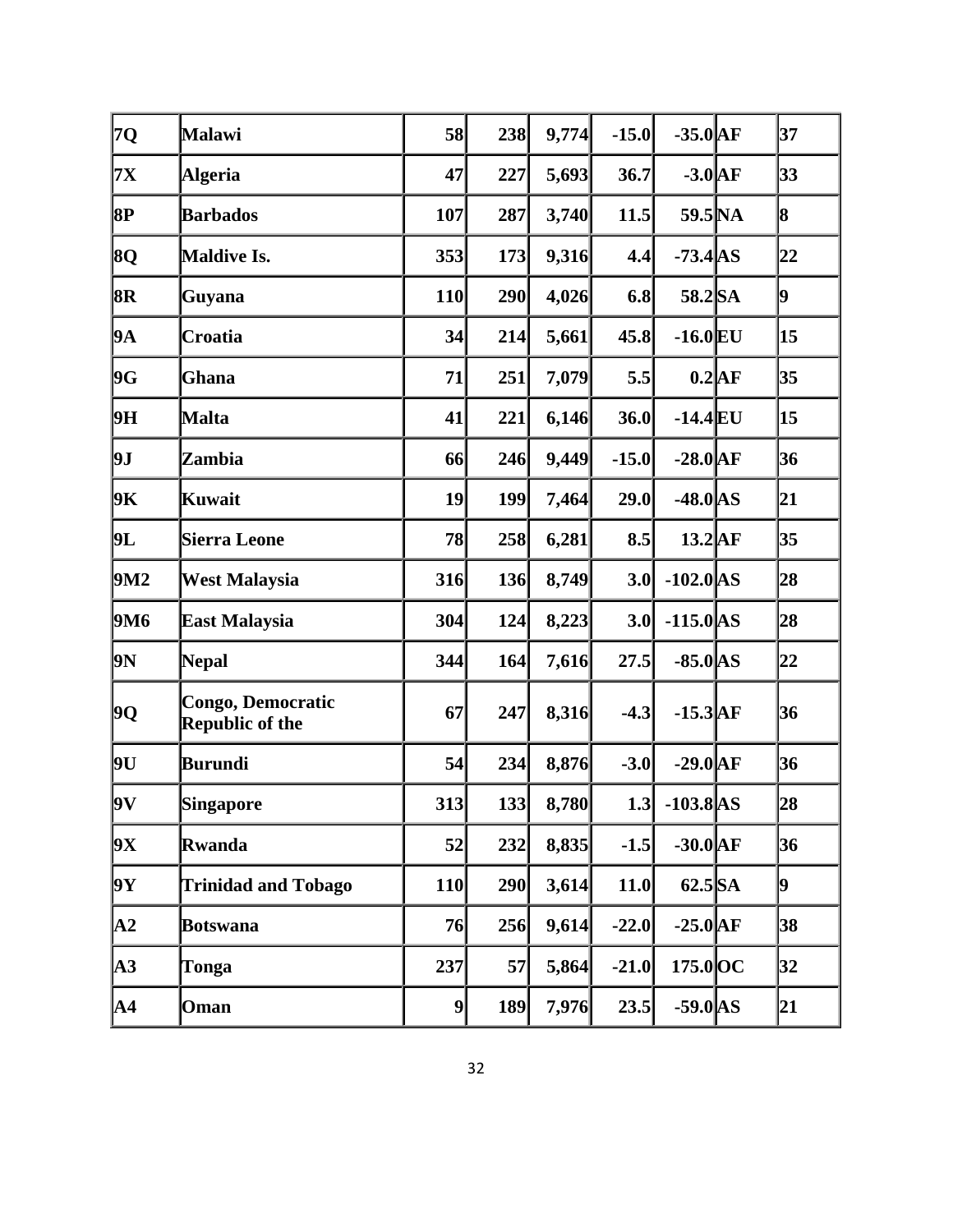| 7Q            | Malawi                                      | 58         | 238 | 9,774 | $-15.0$ | $-35.0$ AF      |          | 37 |
|---------------|---------------------------------------------|------------|-----|-------|---------|-----------------|----------|----|
| <b>7X</b>     | <b>Algeria</b>                              | 47         | 227 | 5,693 | 36.7    | $-3.0$ AF       |          | 33 |
| 8P            | <b>Barbados</b>                             | 107        | 287 | 3,740 | 11.5    | 59.5 NA         |          | 8  |
| 8Q            | <b>Maldive Is.</b>                          | 353        | 173 | 9,316 | 4.4     | $-73.4$ AS      |          | 22 |
| 8R            | Guyana                                      | <b>110</b> | 290 | 4,026 | 6.8     | 58.2 SA         |          | þ. |
| 9A            | Croatia                                     | 34         | 214 | 5,661 | 45.8    | $-16.0$ EU      |          | 15 |
| 9G            | Ghana                                       | 71         | 251 | 7,079 | 5.5     |                 | $0.2$ AF | 35 |
| 9H            | Malta                                       | 41         | 221 | 6,146 | 36.0    | $-14.4$ EU      |          | 15 |
| 9J            | Zambia                                      | 66         | 246 | 9,449 | $-15.0$ | $-28.0$ AF      |          | 36 |
| 9K            | Kuwait                                      | 19         | 199 | 7,464 | 29.0    | $-48.0$ AS      |          | 21 |
| 9L            | <b>Sierra Leone</b>                         | 78         | 258 | 6,281 | 8.5     | $13.2\text{AF}$ |          | 35 |
| 9M2           | <b>West Malaysia</b>                        | 316        | 136 | 8,749 | 3.0     | $-102.0$ AS     |          | 28 |
| <b>9M6</b>    | East Malaysia                               | 304        | 124 | 8,223 | 3.0     | $-115.0$ AS     |          | 28 |
| þN            | <b>Nepal</b>                                | 344        | 164 | 7,616 | 27.5    | $-85.0$ AS      |          | 22 |
| 9Q            | <b>Congo, Democratic</b><br>Republic of the | 67         | 247 | 8,316 | $-4.3$  | $-15.3$ $AF$    |          | 36 |
| 9U            | Burundi                                     | 54         | 234 | 8,876 | $-3.0$  | $-29.0$ $AF$    |          | 36 |
| 9V            | Singapore                                   | 313        | 133 | 8,780 | 1.3     | $-103.8$ AS     |          | 28 |
| 9X            | Rwanda                                      | 52         | 232 | 8,835 | $-1.5$  | $-30.0$ AF      |          | 36 |
| 9Y            | <b>Trinidad and Tobago</b>                  | <b>110</b> | 290 | 3,614 | 11.0    | $62.5$ SA       |          | þ. |
| $\mathbf{A2}$ | Botswana                                    | 76         | 256 | 9,614 | $-22.0$ | $-25.0$ AF      |          | 38 |
| $\mathbf{A3}$ | Tonga                                       | 237        | 57  | 5,864 | $-21.0$ | $175.0$ OC      |          | 32 |
| A4            | Oman                                        | 9          | 189 | 7,976 | 23.5    | $-59.0$ AS      |          | 21 |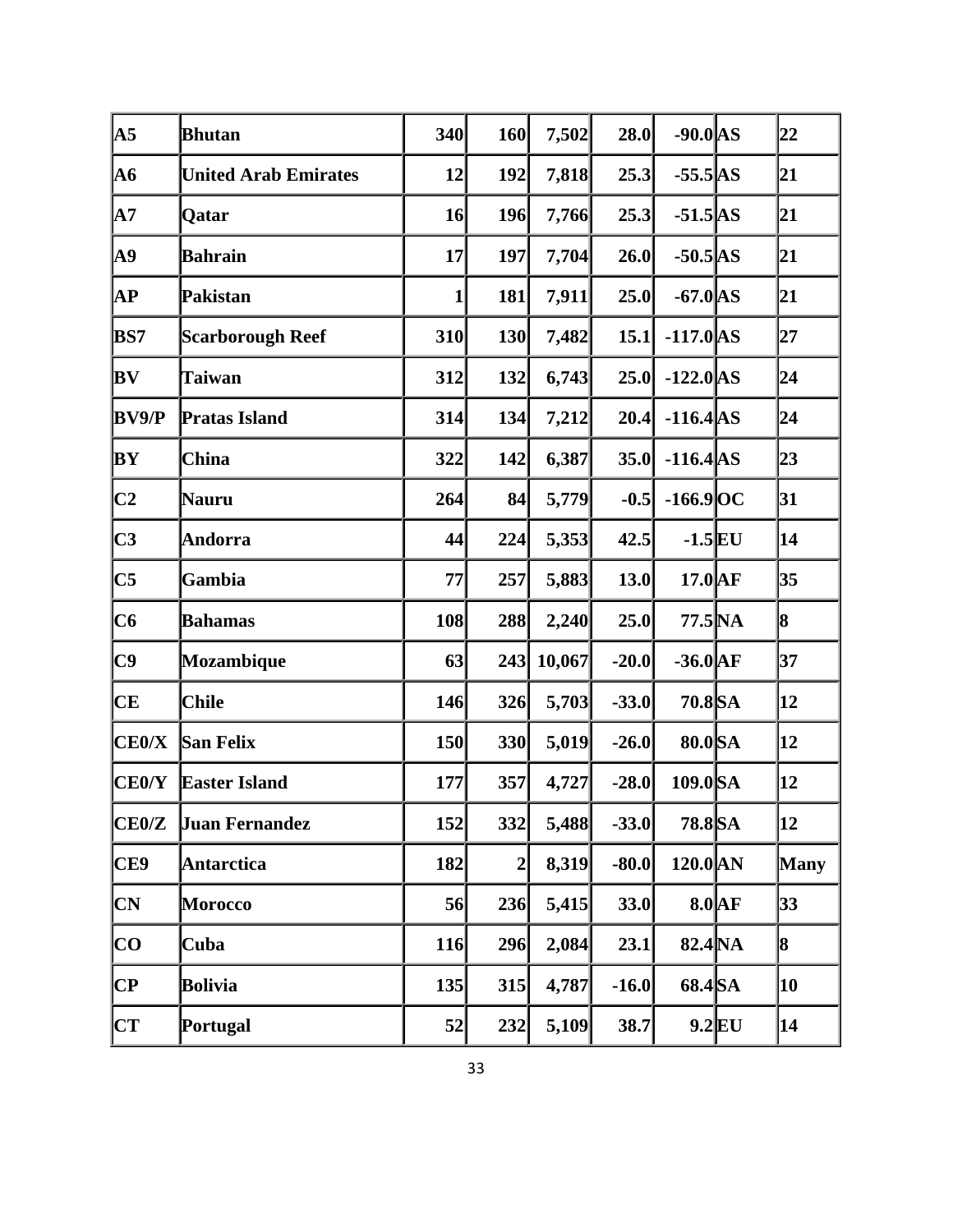| $\overline{A5}$                   | <b>Bhutan</b>               | 340        | 160          | 7,502  | 28.0    | $-90.0$ AS      |          | 22          |
|-----------------------------------|-----------------------------|------------|--------------|--------|---------|-----------------|----------|-------------|
| <b>A6</b>                         | <b>United Arab Emirates</b> | 12         | 192          | 7,818  | 25.3    | $-55.5$ AS      |          | 21          |
| $\mathbf{A}$ 7                    | Qatar                       | 16         | 196          | 7,766  | 25.3    | $-51.5$ AS      |          | 21          |
| <b>A9</b>                         | <b>Bahrain</b>              | 17         | <b>197</b>   | 7,704  | 26.0    | $-50.5$ AS      |          | 21          |
| AP                                | Pakistan                    | $1\vert$   | 181          | 7,911  | 25.0    | $-67.0$ AS      |          | 21          |
| BS7                               | <b>Scarborough Reef</b>     | 310        | 130          | 7,482  | 15.1    | $-117.0$ AS     |          | 27          |
| BV                                | <b>Taiwan</b>               | 312        | 132          | 6,743  | 25.0    | $-122.0$ AS     |          | 24          |
| <b>BV9/P</b>                      | <b>Pratas Island</b>        | 314        | 134          | 7,212  | 20.4    | $-116.4$ AS     |          | 24          |
| BY                                | <b>China</b>                | 322        | 142          | 6,387  | 35.0    | $-116.4$ AS     |          | 23          |
| C <sub>2</sub>                    | Nauru                       | 264        | 84           | 5,779  | $-0.5$  | $-166.9$ OC     |          | 31          |
| C3                                | <b>Andorra</b>              | 44         | 224          | 5,353  | 42.5    | $-1.5$ EU       |          | 14          |
| $\overline{\text{C5}}$            | Gambia                      | 77         | 257          | 5,883  | 13.0    | $17.0\text{AF}$ |          | 35          |
| C6                                | <b>Bahamas</b>              | 108        | 288          | 2,240  | 25.0    | 77.5 NA         |          | 8           |
| C9                                | Mozambique                  | 63         | 243          | 10,067 | $-20.0$ | $-36.0$ AF      |          | 37          |
| <b>CE</b>                         | <b>Chile</b>                | 146        | 326          | 5,703  | $-33.0$ | 70.8 SA         |          | 12          |
| CE0/X                             | <b>San Felix</b>            | <b>150</b> | 330          | 5,019  | $-26.0$ | 80.0 SA         |          | 12          |
| <b>CE0/Y</b>                      | <b>Easter Island</b>        | 177        | 357          | 4,727  | $-28.0$ | 109.0SA         |          | 12          |
| CE <sub>0</sub> /Z                | <b>Juan Fernandez</b>       | 152        | 332          | 5,488  | $-33.0$ | 78.8 SA         |          | 12          |
| CE9                               | <b>Antarctica</b>           | 182        | $\mathbf{2}$ | 8,319  | $-80.0$ | $120.0$ AN      |          | <b>Many</b> |
| <b>CN</b>                         | <b>Morocco</b>              | 56         | 236          | 5,415  | 33.0    |                 | $8.0$ AF | 33          |
| $\overline{\text{CO}}$            | Cuba                        | 116        | 296          | 2,084  | 23.1    | 82.4 NA         |          | 8           |
| $\overline{\mathbf{C}\mathbf{P}}$ | Bolivia                     | 135        | 315          | 4,787  | $-16.0$ | 68.4 SA         |          | 10          |
| <b>CT</b>                         | Portugal                    | 52         | 232          | 5,109  | 38.7    |                 | $9.2$ EU | 14          |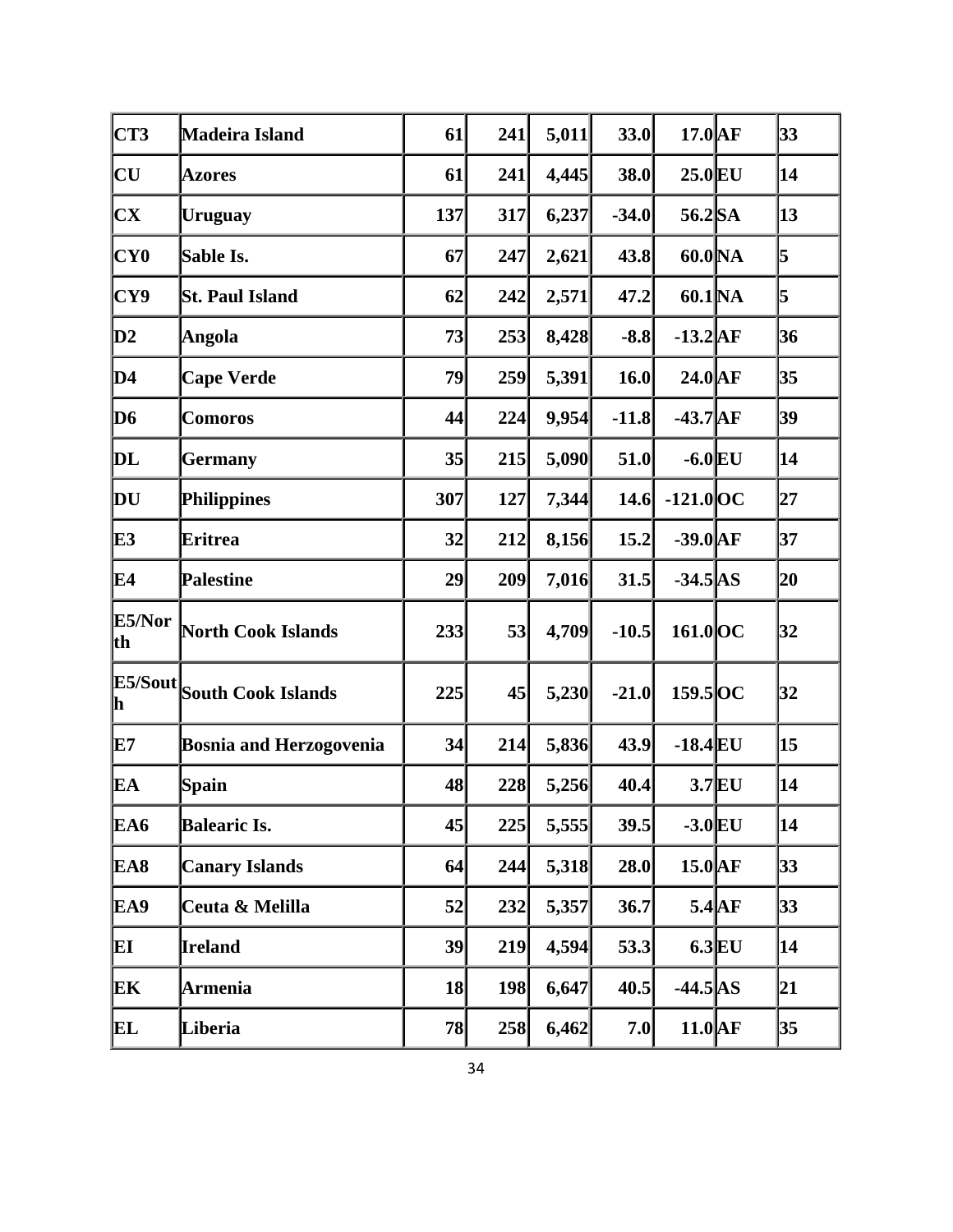| CT3                     | Madeira Island                 | 61   | 241 | 5,011 | 33.0    | $17.0$ AF            |          | 33 |
|-------------------------|--------------------------------|------|-----|-------|---------|----------------------|----------|----|
| $\overline{\text{CU}}$  | <b>Azores</b>                  | 61   | 241 | 4,445 | 38.0    | $25.0$ EU            |          | 14 |
| $\mathbf{C}\mathbf{X}$  | Uruguay                        | 137  | 317 | 6,237 | $-34.0$ | 56.2 SA              |          | 13 |
| CY <sub>0</sub>         | Sable Is.                      | 67   | 247 | 2,621 | 43.8    | 60.0 <sub>NA</sub>   |          | 5  |
| CY9                     | <b>St. Paul Island</b>         | 62   | 242 | 2,571 | 47.2    | 60.1 <sub>NA</sub>   |          | 5  |
| $\mathbf{D}2$           | Angola                         | 73   | 253 | 8,428 | $-8.8$  | $-13.2$ AF           |          | 36 |
| D4                      | <b>Cape Verde</b>              | 79   | 259 | 5,391 | 16.0    | $24.0$ AF            |          | 35 |
| D6                      | <b>Comoros</b>                 | 44   | 224 | 9,954 | $-11.8$ | $-43.7$ AF           |          | 39 |
| DL                      | Germany                        | $35$ | 215 | 5,090 | 51.0    | $-6.0$ EU            |          | 14 |
| DU                      | Philippines                    | 307  | 127 | 7,344 | 14.6    | $-121.0$ OC          |          | 27 |
| E3                      | <b>Eritrea</b>                 | 32   | 212 | 8,156 | 15.2    | $-39.0$ AF           |          | 37 |
| E4                      | <b>Palestine</b>               | 29   | 209 | 7,016 | 31.5    | $-34.5$ AS           |          | 20 |
| E5/Nor<br>th            | <b>North Cook Islands</b>      | 233  | 53  | 4,709 | $-10.5$ | $161.0$ OC           |          | 32 |
| E5/Sout<br>$\mathbf{h}$ | <b>South Cook Islands</b>      | 225  | 45  | 5,230 | $-21.0$ | $159.5$ OC           |          | 32 |
| E7                      | <b>Bosnia and Herzogovenia</b> | 34   | 214 | 5,836 | 43.9    | $-18.4$ EU           |          | 15 |
| EA                      | Spain                          | 48   | 228 | 5,256 | 40.4    |                      | $3.7$ EU | 14 |
| EA6                     | <b>Balearic Is.</b>            | 45   | 225 | 5,555 | 39.5    | $-3.0$ EU            |          | 14 |
| EA8                     | <b>Canary Islands</b>          | 64   | 244 | 5,318 | 28.0    | $15.0$ AF            |          | 33 |
| EA9                     | Ceuta & Melilla                | 52   | 232 | 5,357 | 36.7    |                      | $5.4$ AF | 33 |
| EI                      | Ireland                        | 39   | 219 | 4,594 | 53.3    |                      | $6.3$ EU | 14 |
| EК                      | Armenia                        | 18   | 198 | 6,647 | 40.5    | $-44.5$ AS           |          | 21 |
| EL                      | Liberia                        | 78   | 258 | 6,462 | 7.0     | $11.0\vert\text{AF}$ |          | 35 |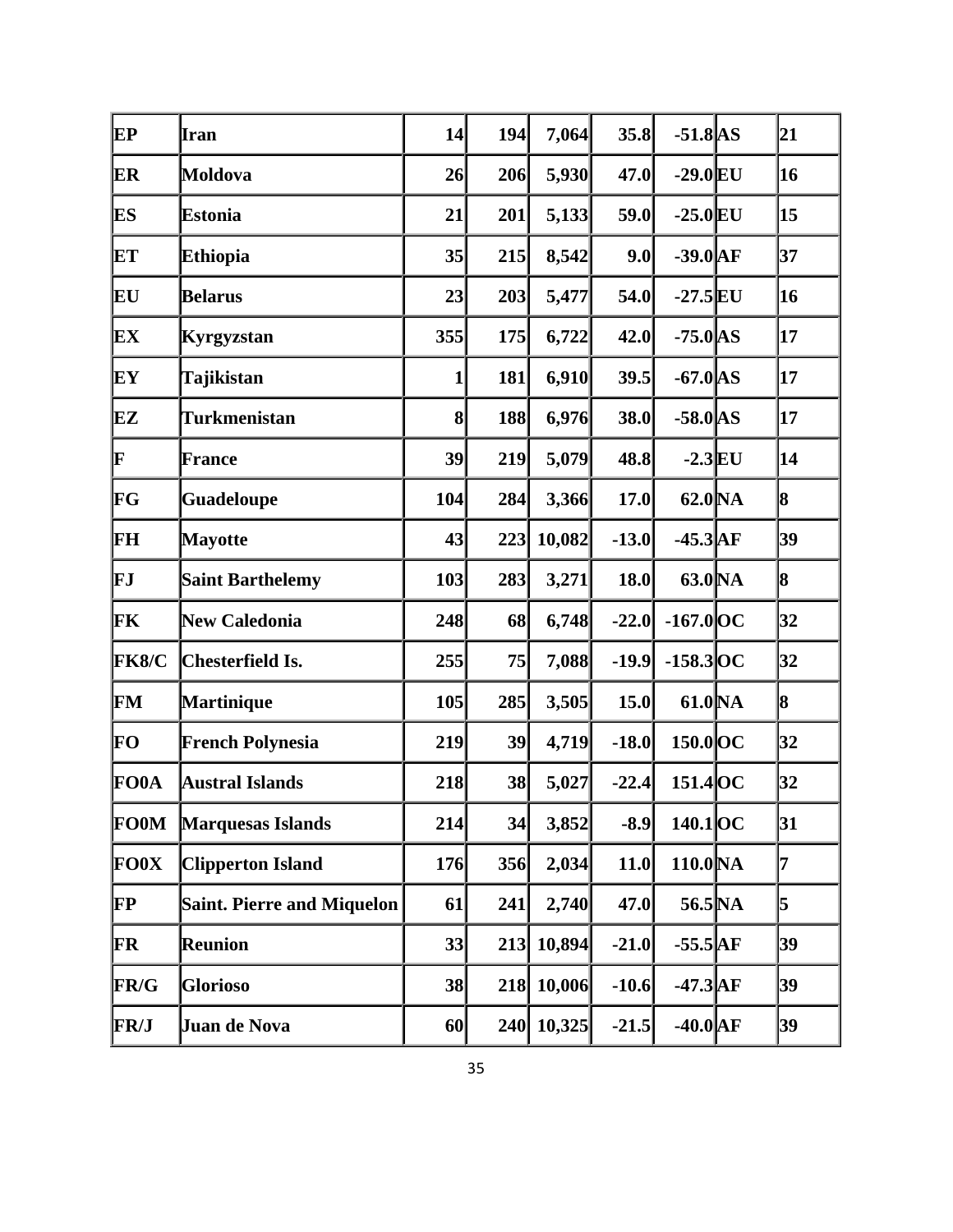| EP           | <b>I</b> ran                      | 14           | 194 | 7,064      | 35.8    | $-51.8$ AS         | 21 |
|--------------|-----------------------------------|--------------|-----|------------|---------|--------------------|----|
| ER           | Moldova                           | 26           | 206 | 5,930      | 47.0    | $-29.0$ EU         | 16 |
| ES           | <b>Estonia</b>                    | 21           | 201 | 5,133      | 59.0    | $-25.0$ EU         | 15 |
| ET           | <b>Ethiopia</b>                   | 35           | 215 | 8,542      | 9.0     | $-39.0$ AF         | 37 |
| EU           | <b>Belarus</b>                    | 23           | 203 | 5,477      | 54.0    | $-27.5$ EU         | 16 |
| EX           | Kyrgyzstan                        | 355          | 175 | 6,722      | 42.0    | $-75.0$ AS         | 17 |
| EY           | Tajikistan                        | $\mathbf{1}$ | 181 | 6,910      | 39.5    | $-67.0$ AS         | 17 |
| EZ           | Turkmenistan                      | $\bf{8}$     | 188 | 6,976      | 38.0    | $-58.0$ AS         | 17 |
| F            | <b>France</b>                     | 39           | 219 | 5,079      | 48.8    | $-2.3$ EU          | 14 |
| FG           | <b>Guadeloupe</b>                 | 104          | 284 | 3,366      | 17.0    | 62.0 <sub>NA</sub> | 8  |
| FH           | <b>Mayotte</b>                    | 43           | 223 | 10,082     | $-13.0$ | $-45.3$ AF         | 39 |
| FJ           | <b>Saint Barthelemy</b>           | 103          | 283 | 3,271      | 18.0    | 63.0 <sub>NA</sub> | 8  |
| FK           | <b>New Caledonia</b>              | 248          | 68  | 6,748      | $-22.0$ | $-167.0$ OC        | 32 |
| <b>FK8/C</b> | <b>Chesterfield Is.</b>           | 255          | 75  | 7,088      | $-19.9$ | $-158.3$ OC        | 32 |
| FM           | Martinique                        | 105          | 285 | 3,505      | 15.0    | 61.0 NA            | 8  |
| FO           | <b>French Polynesia</b>           | 219          | 39  | 4,719      | $-18.0$ | 150.0 OC           | 32 |
| <b>FO0A</b>  | <b>Austral Islands</b>            | 218          | 38  | 5,027      | $-22.4$ | 151.4 OC           | 32 |
| <b>FO0M</b>  | <b>Marquesas Islands</b>          | 214          | 34  | 3,852      | $-8.9$  | 140.1OC            | 31 |
| <b>FO0X</b>  | <b>Clipperton Island</b>          | 176          | 356 | 2,034      | 11.0    | $110.0\text{NA}$   | 7  |
| FP           | <b>Saint. Pierre and Miquelon</b> | 61           | 241 | 2,740      | 47.0    | 56.5 NA            | 5  |
| FR           | Reunion                           | 33           | 213 | 10,894     | $-21.0$ | $-55.5$ AF         | 39 |
| <b>FR/G</b>  | <b>Glorioso</b>                   | 38           | 218 | 10,006     | $-10.6$ | $-47.3$ AF         | 39 |
| <b>FR/J</b>  | Juan de Nova                      | 60           |     | 240 10,325 | $-21.5$ | $-40.0$ AF         | 39 |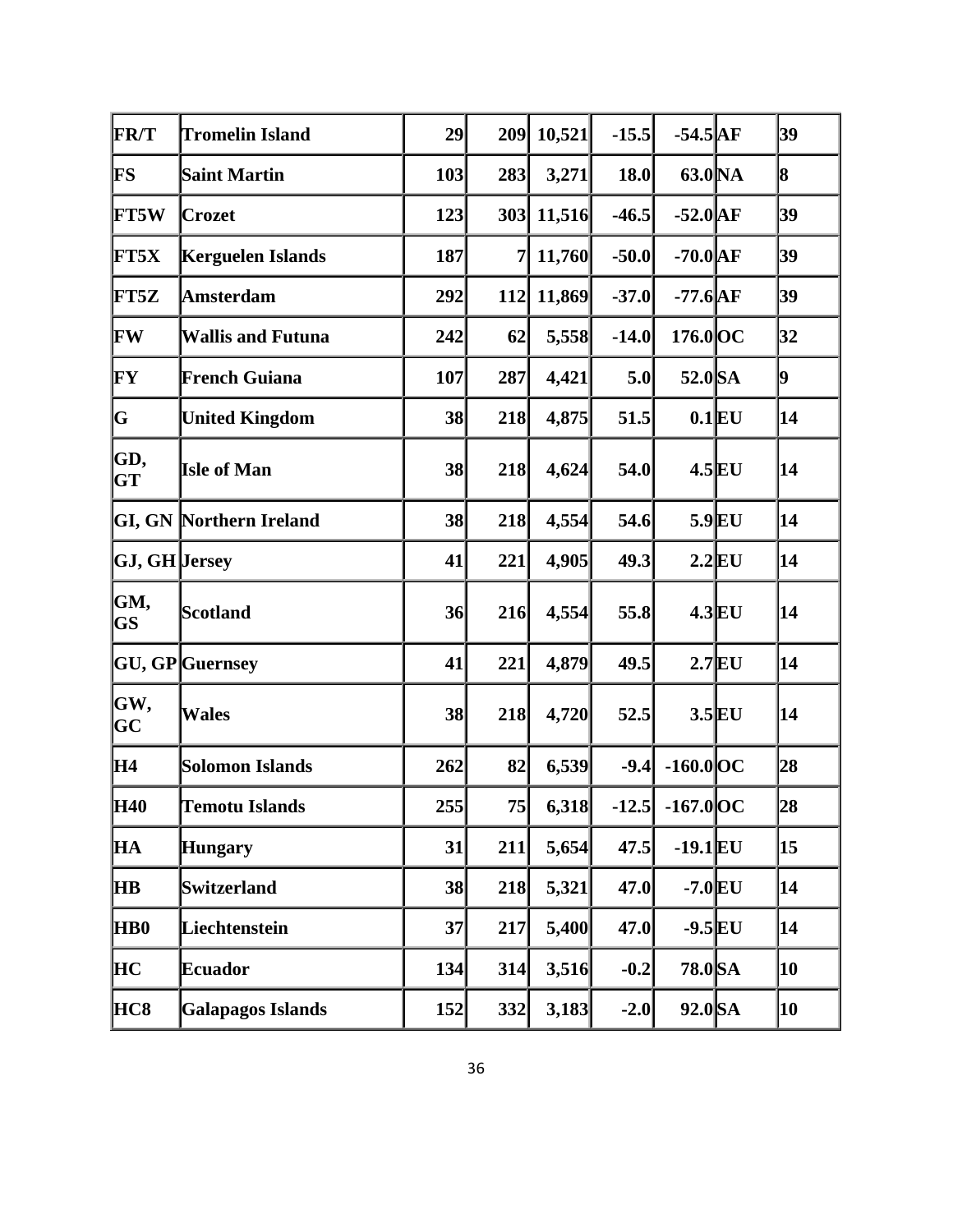| <b>FR/T</b>          | <b>Tromelin Island</b>         | 29  | 209 | 10,521 | $-15.5$ | $-54.5$ <sup>AF</sup> |          | 39 |
|----------------------|--------------------------------|-----|-----|--------|---------|-----------------------|----------|----|
| FS.                  | <b>Saint Martin</b>            | 103 | 283 | 3,271  | 18.0    | 63.0 <sub>NA</sub>    |          | 8  |
| <b>FT5W</b>          | <b>Crozet</b>                  | 123 | 303 | 11,516 | $-46.5$ | $-52.0$ AF            |          | 39 |
| <b>FT5X</b>          | Kerguelen Islands              | 187 | 7   | 11,760 | $-50.0$ | $-70.0$ AF            |          | 39 |
| FT5Z                 | <b>Amsterdam</b>               | 292 | 112 | 11,869 | $-37.0$ | $-77.6$ $AF$          |          | 39 |
| FW                   | <b>Wallis and Futuna</b>       | 242 | 62  | 5,558  | $-14.0$ | 176.0 OC              |          | 32 |
| FY                   | French Guiana                  | 107 | 287 | 4,421  | 5.0     | 52.0 SA               |          | 9  |
| G                    | <b>United Kingdom</b>          | 38  | 218 | 4,875  | 51.5    |                       | $0.1$ EU | 14 |
| GD,<br><b>GT</b>     | <b>Isle of Man</b>             | 38  | 218 | 4,624  | 54.0    |                       | $4.5$ EU | 14 |
|                      | <b>GI, GN Northern Ireland</b> | 38  | 218 | 4,554  | 54.6    |                       | $5.9$ EU | 14 |
| <b>GJ, GH</b> Jersey |                                | 41  | 221 | 4,905  | 49.3    |                       | $2.2$ EU | 14 |
| GM,<br><b>GS</b>     | <b>Scotland</b>                | 36  | 216 | 4,554  | 55.8    |                       | $4.3$ EU | 14 |
|                      | <b>GU, GP</b> Guernsey         | 41  | 221 | 4,879  | 49.5    |                       | $2.7$ EU | 14 |
| GW,<br>$\bf GC$      | <b>Wales</b>                   | 38  | 218 | 4,720  | 52.5    |                       | $3.5$ EU | 14 |
| H4                   | Solomon Islands                | 262 | 82  | 6,539  | $-9.4$  | $-160.0$ OC           |          | 28 |
| <b>H40</b>           | <b>Temotu Islands</b>          | 255 | 75  | 6,318  |         | $-12.5$ $-167.0$ OC   |          | 28 |
| HА                   | <b>Hungary</b>                 | 31  | 211 | 5,654  | 47.5    | $-19.1$ EU            |          | 15 |
| ĦВ                   | Switzerland                    | 38  | 218 | 5,321  | 47.0    | $-7.0$ EU             |          | 14 |
| <b>HB0</b>           | Liechtenstein                  | 37  | 217 | 5,400  | 47.0    | $-9.5$ EU             |          | 14 |
| HС                   | <b>Ecuador</b>                 | 134 | 314 | 3,516  | $-0.2$  | 78.0 SA               |          | 10 |
| HC8                  | <b>Galapagos Islands</b>       | 152 | 332 | 3,183  | $-2.0$  | 92.0 SA               |          | 10 |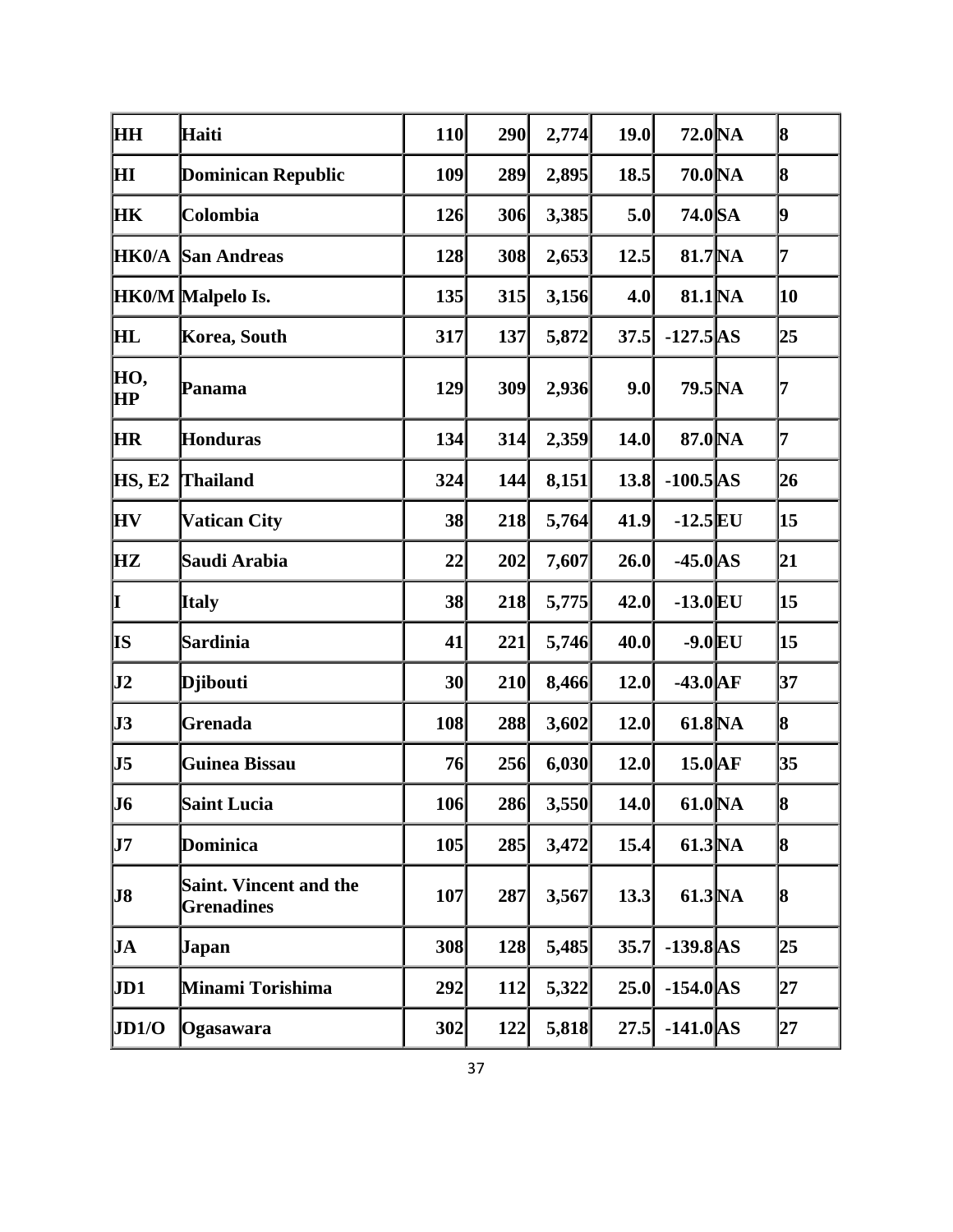| Haiti                                              |                 |                                                                        |                          |                                                                                                                            |                                                                                                                                                                                                    |                                                                                                                                                    | 8                                                                                                                                                                                                                                                                                                                                    |
|----------------------------------------------------|-----------------|------------------------------------------------------------------------|--------------------------|----------------------------------------------------------------------------------------------------------------------------|----------------------------------------------------------------------------------------------------------------------------------------------------------------------------------------------------|----------------------------------------------------------------------------------------------------------------------------------------------------|--------------------------------------------------------------------------------------------------------------------------------------------------------------------------------------------------------------------------------------------------------------------------------------------------------------------------------------|
| <b>Dominican Republic</b>                          |                 |                                                                        |                          |                                                                                                                            |                                                                                                                                                                                                    |                                                                                                                                                    | 8                                                                                                                                                                                                                                                                                                                                    |
| Colombia                                           |                 |                                                                        |                          |                                                                                                                            |                                                                                                                                                                                                    |                                                                                                                                                    | 9                                                                                                                                                                                                                                                                                                                                    |
| <b>San Andreas</b>                                 |                 |                                                                        |                          |                                                                                                                            |                                                                                                                                                                                                    |                                                                                                                                                    | 7                                                                                                                                                                                                                                                                                                                                    |
| HK0/M Malpelo Is.                                  |                 |                                                                        |                          |                                                                                                                            |                                                                                                                                                                                                    |                                                                                                                                                    | 10                                                                                                                                                                                                                                                                                                                                   |
| Korea, South                                       | 317             |                                                                        |                          |                                                                                                                            |                                                                                                                                                                                                    |                                                                                                                                                    | 25                                                                                                                                                                                                                                                                                                                                   |
| Panama                                             | 129             |                                                                        |                          | 9.0                                                                                                                        |                                                                                                                                                                                                    |                                                                                                                                                    | 7                                                                                                                                                                                                                                                                                                                                    |
| <b>Honduras</b>                                    | 134             | 314                                                                    |                          | 14.0                                                                                                                       |                                                                                                                                                                                                    |                                                                                                                                                    | 7                                                                                                                                                                                                                                                                                                                                    |
| <b>Thailand</b>                                    | 324             |                                                                        |                          |                                                                                                                            |                                                                                                                                                                                                    |                                                                                                                                                    | 26                                                                                                                                                                                                                                                                                                                                   |
| <b>Vatican City</b>                                |                 |                                                                        |                          |                                                                                                                            |                                                                                                                                                                                                    |                                                                                                                                                    | 15                                                                                                                                                                                                                                                                                                                                   |
| Saudi Arabia                                       | 22              | 202                                                                    |                          |                                                                                                                            |                                                                                                                                                                                                    |                                                                                                                                                    | 21                                                                                                                                                                                                                                                                                                                                   |
| <b>Italy</b>                                       |                 |                                                                        |                          |                                                                                                                            |                                                                                                                                                                                                    |                                                                                                                                                    | 15                                                                                                                                                                                                                                                                                                                                   |
| Sardinia                                           | 41              | 221                                                                    |                          |                                                                                                                            |                                                                                                                                                                                                    |                                                                                                                                                    | 15                                                                                                                                                                                                                                                                                                                                   |
| <b>D</b> jibouti                                   | 30 <sup>l</sup> |                                                                        |                          | 12.0                                                                                                                       |                                                                                                                                                                                                    |                                                                                                                                                    | 37                                                                                                                                                                                                                                                                                                                                   |
| Grenada                                            |                 |                                                                        |                          |                                                                                                                            |                                                                                                                                                                                                    |                                                                                                                                                    | 8                                                                                                                                                                                                                                                                                                                                    |
| Guinea Bissau                                      |                 |                                                                        |                          |                                                                                                                            |                                                                                                                                                                                                    |                                                                                                                                                    | 35                                                                                                                                                                                                                                                                                                                                   |
| <b>Saint Lucia</b>                                 |                 |                                                                        |                          |                                                                                                                            |                                                                                                                                                                                                    |                                                                                                                                                    | 18                                                                                                                                                                                                                                                                                                                                   |
| Dominica                                           |                 |                                                                        |                          |                                                                                                                            |                                                                                                                                                                                                    |                                                                                                                                                    | 8                                                                                                                                                                                                                                                                                                                                    |
| <b>Saint. Vincent and the</b><br><b>Grenadines</b> |                 | 287                                                                    |                          |                                                                                                                            |                                                                                                                                                                                                    |                                                                                                                                                    | 8                                                                                                                                                                                                                                                                                                                                    |
| Japan                                              |                 |                                                                        |                          |                                                                                                                            |                                                                                                                                                                                                    |                                                                                                                                                    | 25                                                                                                                                                                                                                                                                                                                                   |
| Minami Torishima                                   |                 |                                                                        |                          |                                                                                                                            |                                                                                                                                                                                                    |                                                                                                                                                    | 27                                                                                                                                                                                                                                                                                                                                   |
| Ogasawara                                          |                 |                                                                        |                          |                                                                                                                            |                                                                                                                                                                                                    |                                                                                                                                                    | 27                                                                                                                                                                                                                                                                                                                                   |
|                                                    |                 | 110<br>109<br>126<br>128<br>135<br>38<br>38<br>108<br>76<br>107<br>292 | 106<br>105<br>308<br>302 | 290<br>289<br>306<br>308<br>315<br>137<br>309<br>144<br>218<br>218<br>210<br>288<br>256<br>286<br>285<br>128<br>112<br>122 | 2,774<br>2,895<br>3,385<br>2,653<br>3,156<br>5,872<br>2,936<br>2,359<br>8,151<br>5,764<br>7,607<br>5,775<br>5,746<br>8,466<br>3,602<br>6,030<br>3,550<br>3,472<br>3,567<br>5,485<br>5,322<br>5,818 | 19.0<br>18.5<br>5.0<br>12.5<br>4.0<br>37.5<br>13.8<br>41.9<br>26.0<br>42.0<br>40.0<br>12.0<br>12.0<br>14.0<br>15.4<br>13.3<br>35.7<br>25.0<br>27.5 | 72.0 <sub>NA</sub><br>70.0 NA<br>74.0 SA<br>81.7 NA<br>81.1 NA<br>$-127.5$ AS<br>79.5 NA<br>87.0 NA<br>$-100.5$ AS<br>$-12.5$ EU<br>$-45.0$ AS<br>$-13.0$ EU<br>$-9.0$ EU<br>$-43.0$ AF<br>61.8 NA<br>$15.0\text{AF}$<br>61.0 <sub>NA</sub><br>61.3 <sub>NA</sub><br>61.3 <sub>NA</sub><br>$-139.8$ AS<br>$-154.0$ AS<br>$-141.0$ AS |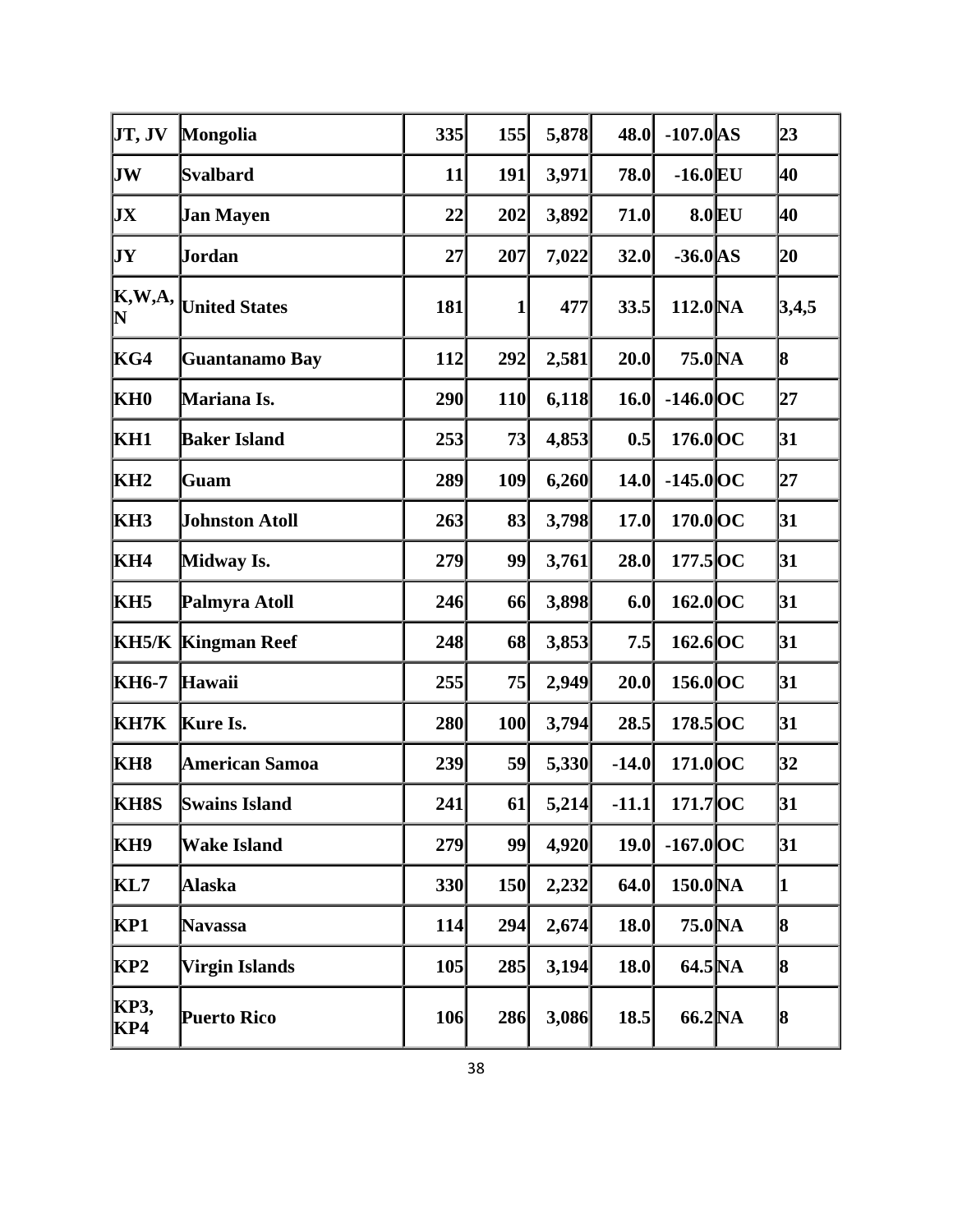| JT, JV              | Mongolia                  | 335 | 155        | 5,878 | 48.0    | $-107.0$ AS         |          | 23       |
|---------------------|---------------------------|-----|------------|-------|---------|---------------------|----------|----------|
| JW                  | Svalbard                  | 11  | 191        | 3,971 | 78.0    | $-16.0$ EU          |          | 40       |
| IJХ                 | <b>Jan Mayen</b>          | 22  | 202        | 3,892 | 71.0    |                     | $8.0$ EU | 40       |
| JY                  | Jordan                    | 27  | 207        | 7,022 | 32.0    | $-36.0$ AS          |          | 20       |
| K,W,A,<br>${\bf N}$ | <b>United States</b>      | 181 | 1          | 477   | 33.5    | 112.0 <sub>NA</sub> |          | 3,4,5    |
| KG4                 | Guantanamo Bay            | 112 | 292        | 2,581 | 20.0    | 75.0 <sub>NA</sub>  |          | 8        |
| KH <sub>0</sub>     | Mariana Is.               | 290 | <b>110</b> | 6,118 | 16.0    | $-146.0$ OC         |          | 27       |
| KH1                 | <b>Baker Island</b>       | 253 | 73         | 4,853 | 0.5     | 176.0 OC            |          | 31       |
| KH <sub>2</sub>     | Guam                      | 289 | 109        | 6,260 | 14.0    | $-145.0$ OC         |          | 27       |
| KH3                 | <b>Johnston Atoll</b>     | 263 | 83         | 3,798 | 17.0    | 170.0 OC            |          | 31       |
| KH4                 | Midway Is.                | 279 | 99         | 3,761 | 28.0    | $177.5$ OC          |          | 31       |
| KH5                 | Palmyra Atoll             | 246 | 66         | 3,898 | 6.0     | $162.0$ OC          |          | 31       |
|                     | <b>KH5/K Kingman Reef</b> | 248 | 68         | 3,853 | 7.5     | $162.6$ OC          |          | 31       |
| KH6-7               | Hawaii                    | 255 | 75         | 2,949 | 20.0    | $156.0$ OC          |          | 31       |
| KH7K                | Kure Is.                  | 280 | 100        | 3,794 | 28.5    | 178.5 OC            |          | 31       |
| KH8                 | <b>American Samoa</b>     | 239 | 59         | 5,330 | $-14.0$ | 171.0 OC            |          | 32       |
| <b>KH8S</b>         | <b>Swains Island</b>      | 241 | 61         | 5,214 | $-11.1$ | 171.7 OC            |          | 31       |
| KH9                 | <b>Wake Island</b>        | 279 | 99         | 4,920 | 19.0    | $-167.0$ OC         |          | 31       |
| KL7                 | Alaska                    | 330 | <b>150</b> | 2,232 | 64.0    | 150.0 <sub>NA</sub> |          | $\bf{1}$ |
| KP1                 | <b>Navassa</b>            | 114 | 294        | 2,674 | 18.0    | 75.0 NA             |          | 8        |
| KP2                 | Virgin Islands            | 105 | 285        | 3,194 | 18.0    | 64.5 NA             |          | 8        |
| KP3,<br>KP4         | <b>Puerto Rico</b>        | 106 | 286        | 3,086 | 18.5    | 66.2 NA             |          | 8        |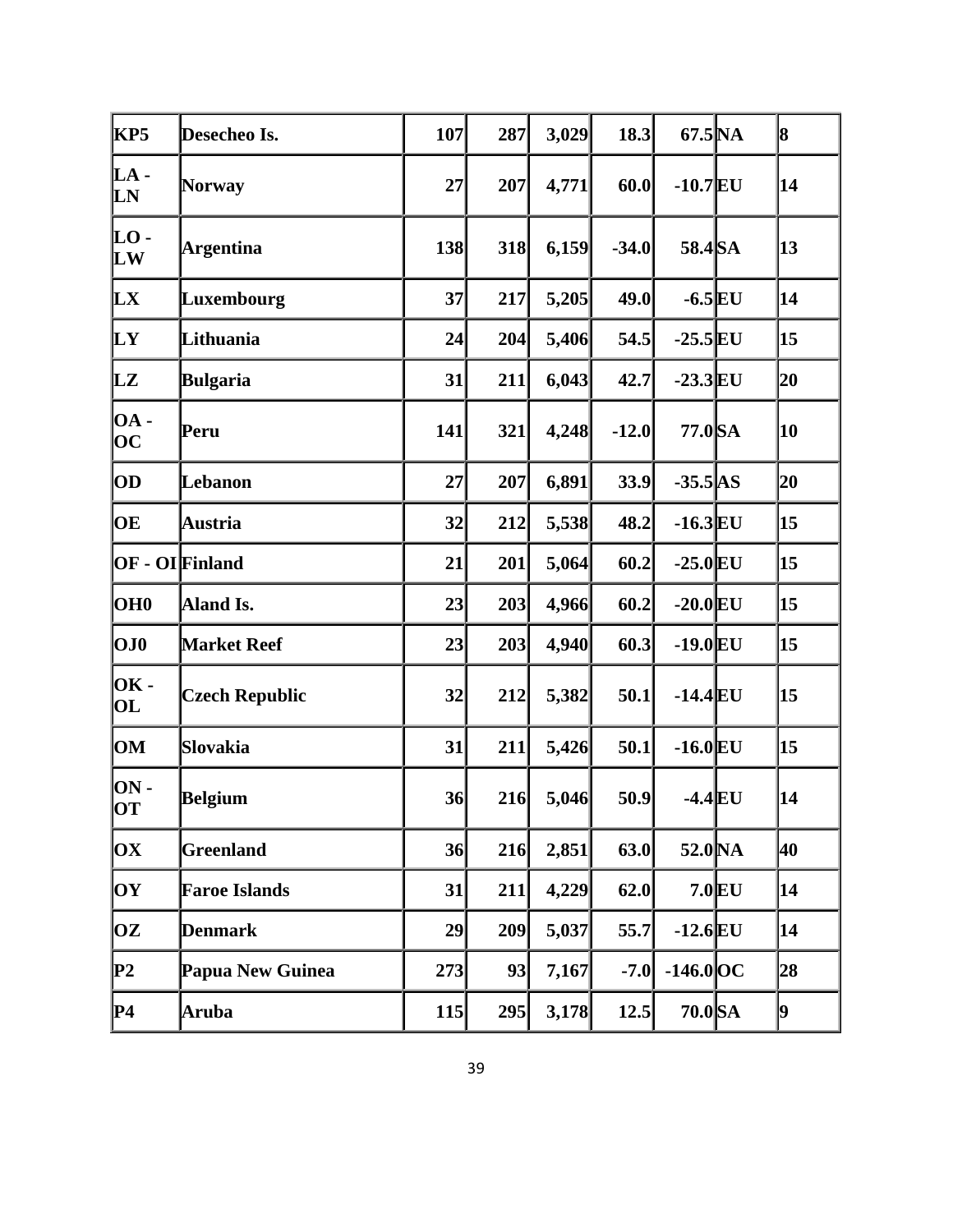| KP5                                    | Desecheo Is.          | 107        | 287 | 3,029 | 18.3    | $67.5\text{NA}$ |          | 8  |
|----------------------------------------|-----------------------|------------|-----|-------|---------|-----------------|----------|----|
| LA -<br>LN                             | <b>Norway</b>         | 27         | 207 | 4,771 | 60.0    | $-10.7$ EU      |          | 14 |
| LO -<br>LW                             | Argentina             | 138        | 318 | 6,159 | $-34.0$ | 58.4 SA         |          | 13 |
| LX                                     | Luxembourg            | 37         | 217 | 5,205 | 49.0    | $-6.5$ EU       |          | 14 |
| LY                                     | Lithuania             | 24         | 204 | 5,406 | 54.5    | $-25.5$ EU      |          | 15 |
| LZ                                     | Bulgaria              | 31         | 211 | 6,043 | 42.7    | $-23.3$ EU      |          | 20 |
| <b>OA</b> -<br>$\overline{\text{OC}}$  | Peru                  | 141        | 321 | 4,248 | $-12.0$ | 77.0 SA         |          | 10 |
| OD                                     | Lebanon               | 27         | 207 | 6,891 | 33.9    | $-35.5$ AS      |          | 20 |
| OE                                     | Austria               | 32         | 212 | 5,538 | 48.2    | $-16.3$ EU      |          | 15 |
|                                        | OF - OIFinland        | 21         | 201 | 5,064 | 60.2    | $-25.0$ EU      |          | 15 |
| OH <sub>0</sub>                        | Aland Is.             | 23         | 203 | 4,966 | 60.2    | $-20.0$ EU      |          | 15 |
| OJO                                    | <b>Market Reef</b>    | 23         | 203 | 4,940 | 60.3    | $-19.0$ EU      |          | 15 |
| <b>OK-</b><br>$\overline{\textbf{OL}}$ | <b>Czech Republic</b> | 32         | 212 | 5,382 | 50.1    | $-14.4$ EU      |          | 15 |
| OM                                     | <b>Slovakia</b>       | 31         | 211 | 5,426 | 50.1    | $-16.0$ EU      |          | 15 |
| $ON -$<br>ЮT                           | Belgium               | 36         | 216 | 5,046 | 50.9    | $-4.4$ EU       |          | 14 |
| OХ                                     | <b>Greenland</b>      | 36         | 216 | 2,851 | 63.0    | 52.0 NA         |          | 40 |
| OY                                     | <b>Faroe Islands</b>  | 31         | 211 | 4,229 | 62.0    |                 | $7.0$ EU | 14 |
| OZ                                     | <b>Denmark</b>        | 29         | 209 | 5,037 | 55.7    | $-12.6$ EU      |          | 14 |
| P2                                     | Papua New Guinea      | 273        | 93  | 7,167 | $-7.0$  | $-146.0$ OC     |          | 28 |
| P4                                     | Aruba                 | <b>115</b> | 295 | 3,178 | 12.5    | 70.0 SA         |          | þ. |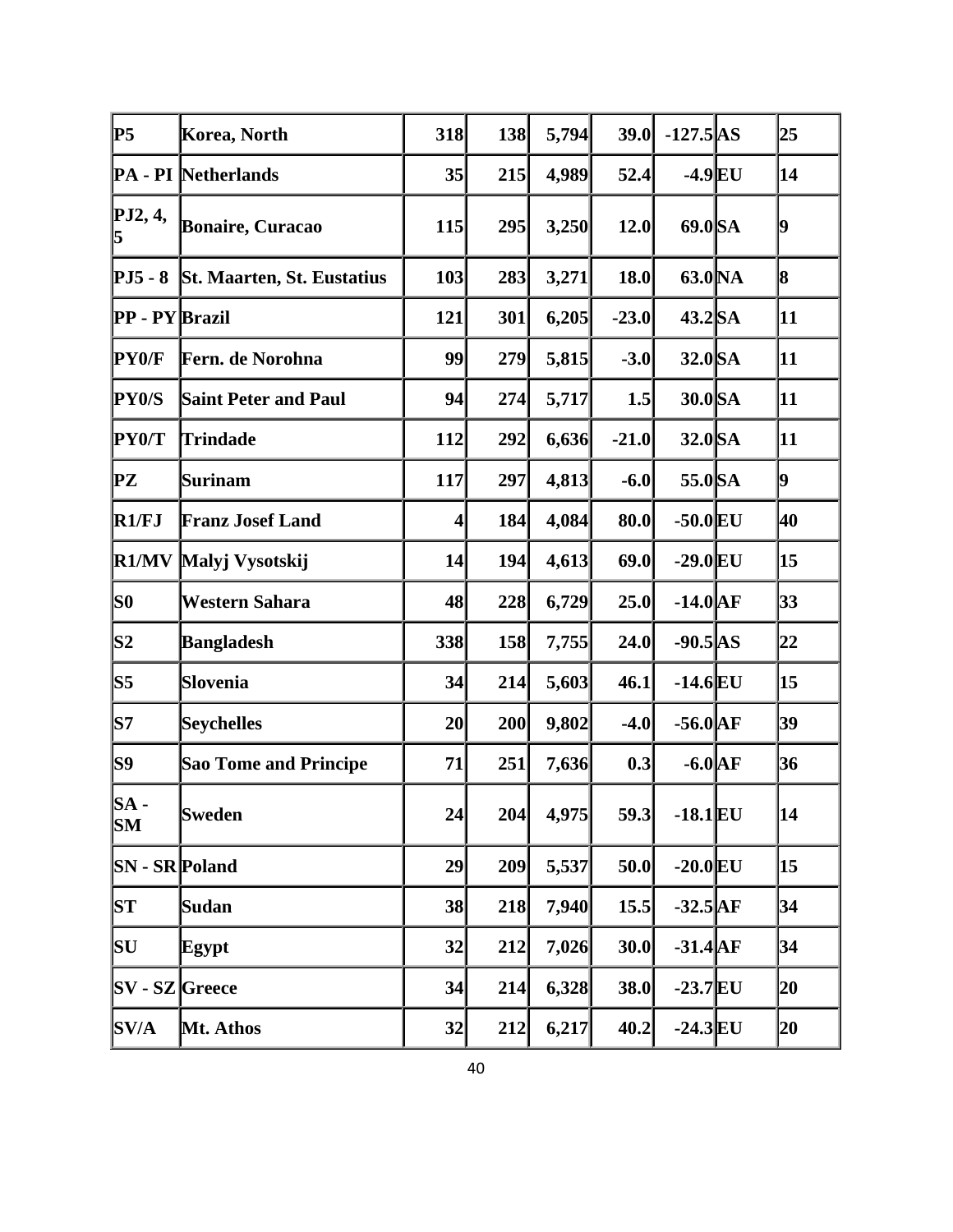| lP5                     | Korea, North                 | 318             | 138 | 5,794 | 39.0    | $-127.5$ AS        | 25 |
|-------------------------|------------------------------|-----------------|-----|-------|---------|--------------------|----|
|                         | <b>PA</b> - PI Netherlands   | 35              | 215 | 4,989 | 52.4    | $-4.9$ EU          | 14 |
| PJ2, 4,                 | <b>Bonaire, Curacao</b>      | 115             | 295 | 3,250 | 12.0    | 69.0 SA            | 9  |
| $PJ5 - 8$               | St. Maarten, St. Eustatius   | 103             | 283 | 3,271 | 18.0    | 63.0 <sub>NA</sub> | 8  |
| <b>PP</b> - PY Brazil   |                              | 121             | 301 | 6,205 | $-23.0$ | $43.2$ SA          | 11 |
| <b>PY0/F</b>            | Fern. de Norohna             | 99              | 279 | 5,815 | $-3.0$  | 32.0 SA            | 11 |
| <b>PY0/S</b>            | <b>Saint Peter and Paul</b>  | 94              | 274 | 5,717 | 1.5     | 30.0 SA            | 11 |
| <b>PY0/T</b>            | <b>Trindade</b>              | 112             | 292 | 6,636 | $-21.0$ | $32.0$ SA          | 11 |
| $\mathbf{P} \mathbf{Z}$ | <b>Surinam</b>               | 117             | 297 | 4,813 | $-6.0$  | 55.0 SA            | 9  |
| R1/FJ                   | <b>Franz Josef Land</b>      | $\vert 4 \vert$ | 184 | 4,084 | 80.0    | $-50.0$ EU         | 40 |
| R1/MV                   | Malyj Vysotskij              | 14              | 194 | 4,613 | 69.0    | $-29.0$ EU         | 15 |
| lso                     | Western Sahara               | 48              | 228 | 6,729 | 25.0    | $-14.0$ $AF$       | 33 |
| S2                      | <b>Bangladesh</b>            | 338             | 158 | 7,755 | 24.0    | $-90.5$ AS         | 22 |
| S5                      | Slovenia                     | 34              | 214 | 5,603 | 46.1    | $-14.6$ EU         | 15 |
| S7                      | <b>Seychelles</b>            | 20              | 200 | 9,802 | $-4.0$  | $-56.0$ AF         | 39 |
| S9                      | <b>Sao Tome and Principe</b> | 71              | 251 | 7,636 | 0.3     | $-6.0$ $AF$        | 36 |
| SA -<br><b>SM</b>       | Sweden                       | 24              | 204 | 4,975 | 59.3    | $-18.1$ EU         | 14 |
| <b>SN</b> - SR Poland   |                              | 29              | 209 | 5,537 | 50.0    | $-20.0$ EU         | 15 |
| SТ                      | Sudan                        | 38              | 218 | 7,940 | 15.5    | $-32.5$ AF         | 34 |
| SU                      | Egypt                        | 32              | 212 | 7,026 | 30.0    | $-31.4$ $AF$       | 34 |
| $SV - SZ$ Greece        |                              | 34              | 214 | 6,328 | 38.0    | $-23.7$ EU         | 20 |
| SV/A                    | Mt. Athos                    | $32\vert$       | 212 | 6,217 | 40.2    | $-24.3$ EU         | 20 |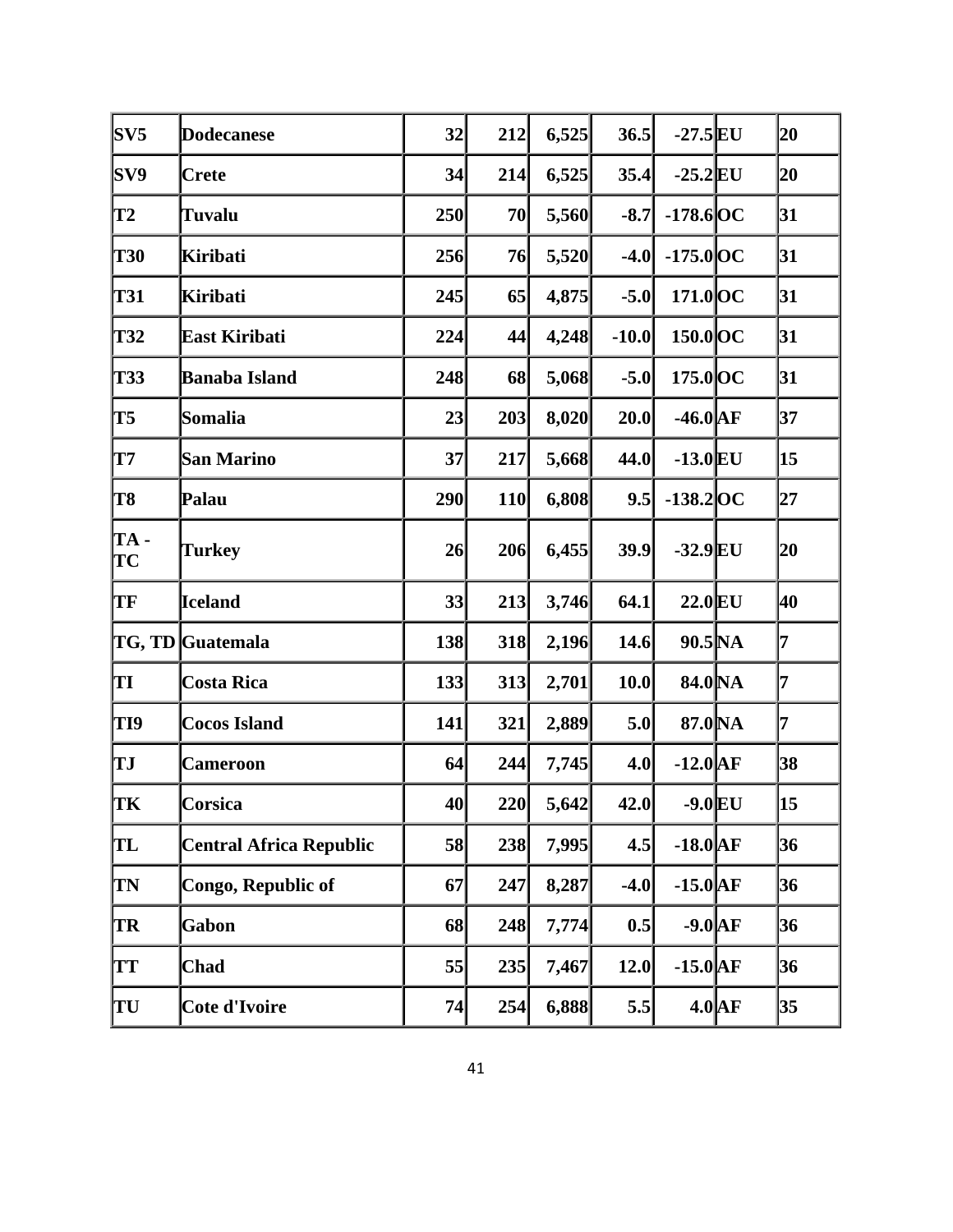| S <sub>VS</sub>  | Dodecanese                     | 32  | 212        | 6,525 | 36.5    | $-27.5$ EU         |          | 20             |
|------------------|--------------------------------|-----|------------|-------|---------|--------------------|----------|----------------|
| SV9              | <b>Crete</b>                   | 34  | 214        | 6,525 | 35.4    | $-25.2$ EU         |          | 20             |
| <b>T2</b>        | <b>Tuvalu</b>                  | 250 | 70         | 5,560 | $-8.7$  | $-178.6$ OC        |          | 31             |
| <b>T30</b>       | Kiribati                       | 256 | 76         | 5,520 | $-4.0$  | $-175.0$ OC        |          | 31             |
| T31              | <b>Kiribati</b>                | 245 | 65         | 4,875 | $-5.0$  | $171.0$ OC         |          | 31             |
| T32              | East Kiribati                  | 224 | 44         | 4,248 | $-10.0$ | 150.0 OC           |          | 31             |
| T33              | <b>Banaba Island</b>           | 248 | 68         | 5,068 | $-5.0$  | $175.0$ OC         |          | 31             |
| T5               | Somalia                        | 23  | 203        | 8,020 | 20.0    | $-46.0$ AF         |          | 37             |
| $\mathbf{T}7$    | San Marino                     | 37  | 217        | 5,668 | 44.0    | $-13.0$ EU         |          | 15             |
| T8               | Palau                          | 290 | <b>110</b> | 6,808 | 9.5     | $-138.2$ OC        |          | 27             |
| TA-<br><b>TC</b> | <b>Turkey</b>                  | 26  | 206        | 6,455 | 39.9    | $-32.9$ EU         |          | 20             |
| TF               | <b>Iceland</b>                 | 33  | 213        | 3,746 | 64.1    | $22.0$ EU          |          | 40             |
|                  | TG, TD Guatemala               | 138 | 318        | 2,196 | 14.6    | $90.5\text{NA}$    |          | $\overline{7}$ |
| TI               | <b>Costa Rica</b>              | 133 | 313        | 2,701 | 10.0    | 84.0 <sub>NA</sub> |          | 7              |
| TI9              | <b>Cocos Island</b>            | 141 | 321        | 2,889 | 5.0     | 87.0 NA            |          | 7              |
| TЈ               | Cameroon                       | 64  | 244        | 7,745 | 4.0     | $-12.0$ AF         |          | 38             |
| TК               | Corsica                        | 40  | 220        | 5,642 | 42.0    | $-9.0$ EU          |          | 15             |
| TL               | <b>Central Africa Republic</b> | 58  | 238        | 7,995 | 4.5     | $-18.0$ AF         |          | 36             |
| <b>TN</b>        | Congo, Republic of             | 67  | 247        | 8,287 | $-4.0$  | $-15.0$ AF         |          | 36             |
| TR               | Gabon                          | 68  | 248        | 7,774 | 0.5     | $-9.0$ $AF$        |          | 36             |
| <b>TT</b>        | <b>Chad</b>                    | 55  | 235        | 7,467 | 12.0    | $-15.0$ $AF$       |          | 36             |
| TU               | <b>Cote d'Ivoire</b>           | 74  | 254        | 6,888 | 5.5     |                    | $4.0$ AF | 35             |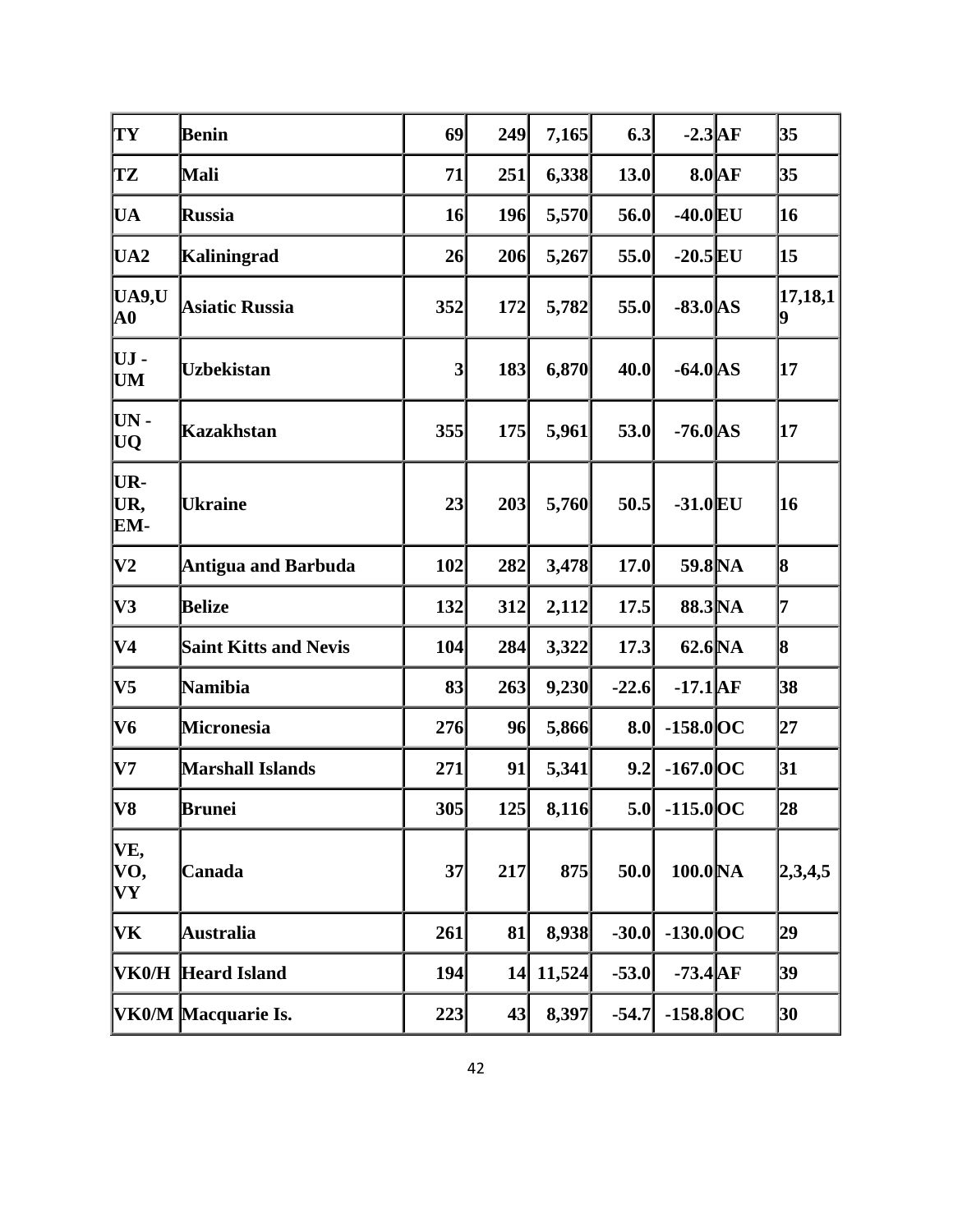| TY                                   | Benin                        | 69              | 249 | 7,165  | 6.3     | $-2.3$ AF           |          | 35           |
|--------------------------------------|------------------------------|-----------------|-----|--------|---------|---------------------|----------|--------------|
| TZ                                   | Mali                         | 71              | 251 | 6,338  | 13.0    |                     | $8.0$ AF | 35           |
| <b>UA</b>                            | <b>Russia</b>                | 16              | 196 | 5,570  | 56.0    | $-40.0$ EU          |          | 16           |
| UA <sub>2</sub>                      | <b>Kaliningrad</b>           | 26              | 206 | 5,267  | 55.0    | $-20.5$ EU          |          | 15           |
| UA9,U<br>$\mathbf{A0}$               | <b>Asiatic Russia</b>        | 352             | 172 | 5,782  | 55.0    | $-83.0$ AS          |          | 17,18,1<br>9 |
| UJ -<br><b>UM</b>                    | <b>Uzbekistan</b>            | $\vert 3 \vert$ | 183 | 6,870  | 40.0    | $-64.0$ AS          |          | 17           |
| $UN -$<br>UQ                         | <b>Kazakhstan</b>            | 355             | 175 | 5,961  | 53.0    | $-76.0$ AS          |          | 17           |
| UR-<br>UR,<br>EM-                    | <b>Ukraine</b>               | 23              | 203 | 5,760  | 50.5    | $-31.0$ EU          |          | 16           |
| $\bf V2$                             | <b>Antigua and Barbuda</b>   | 102             | 282 | 3,478  | 17.0    | 59.8 NA             |          | 8            |
| V3                                   | <b>Belize</b>                | 132             | 312 | 2,112  | 17.5    | 88.3 NA             |          | 7            |
| $\bf V4$                             | <b>Saint Kitts and Nevis</b> | 104             | 284 | 3,322  | 17.3    | 62.6 <sub>NA</sub>  |          | 8            |
| V <sub>5</sub>                       | <b>Namibia</b>               | 83              | 263 | 9,230  | $-22.6$ | $-17.1$ $AF$        |          | 38           |
| V6                                   | Micronesia                   | 276             | 96  | 5,866  | 8.0     | $-158.0$ OC         |          | 27           |
| $\bf V7$                             | <b>Marshall Islands</b>      | 271             | 91  | 5,341  | 9.2     | $-167.0$ OC         |          | 31           |
| V8                                   | Brunei                       | 305             | 125 | 8,116  | 5.0     | $-115.0$ OC         |          | 28           |
| VE,<br>VO,<br>$\mathbf{V}\mathbf{Y}$ | Canada                       | 37              | 217 | 875    | 50.0    | 100.0 <sub>NA</sub> |          | 2,3,4,5      |
| VK                                   | <b>Australia</b>             | 261             | 81  | 8,938  | $-30.0$ | $-130.0$ OC         |          | 29           |
|                                      | VK0/H Heard Island           | 194             | 14  | 11,524 | $-53.0$ | $-73.4$ $AF$        |          | 39           |
|                                      | VK0/M Macquarie Is.          | 223             | 43  | 8,397  | $-54.7$ | $-158.8$ OC         |          | 30           |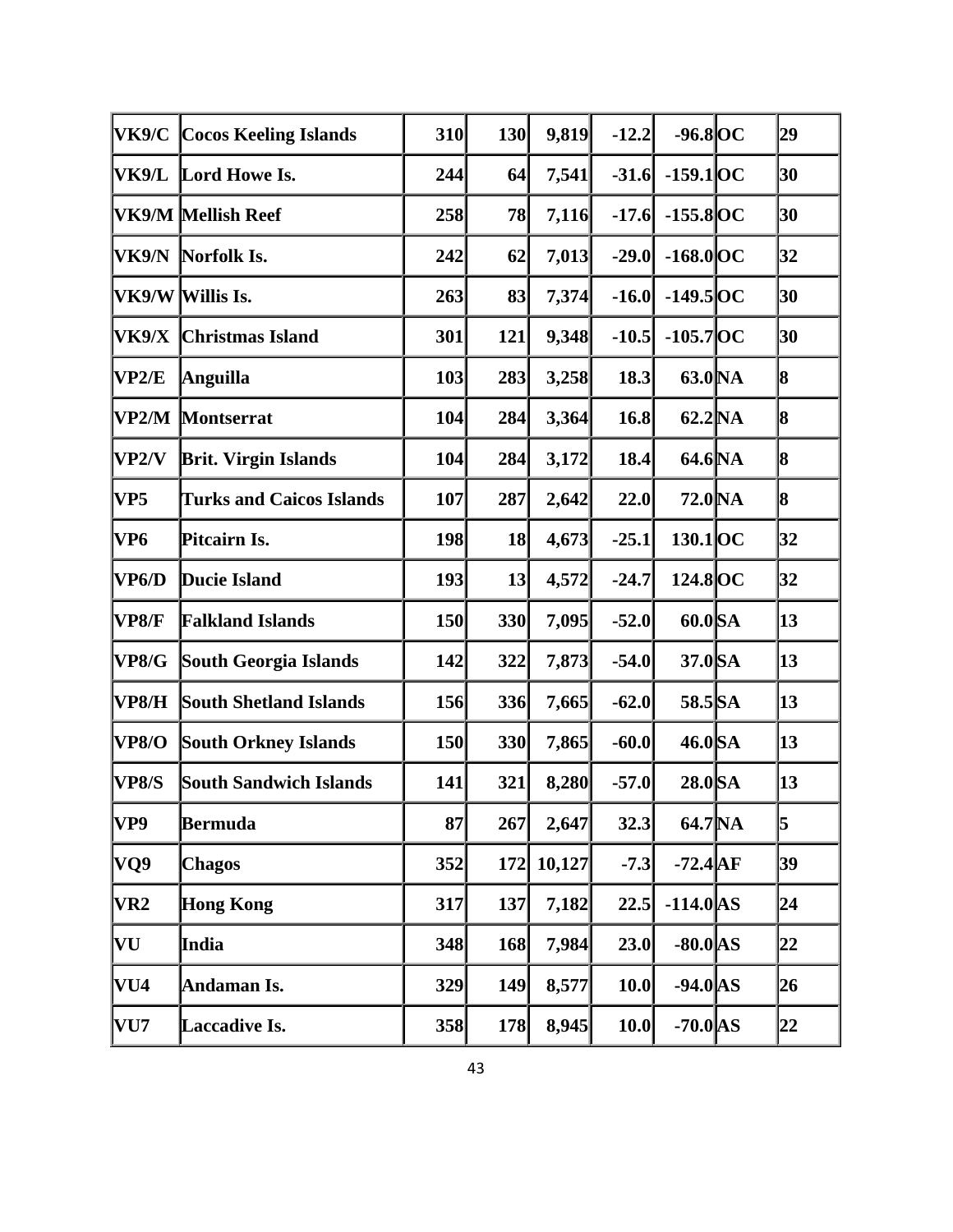| <b>VK9/C</b>    | <b>Cocos Keeling Islands</b>    | 310 | 130 | 9,819  | $-12.2$ | $-96.8$ OC         | 29 |
|-----------------|---------------------------------|-----|-----|--------|---------|--------------------|----|
| VK9/L           | Lord Howe Is.                   | 244 | 64  | 7,541  | $-31.6$ | $-159.1$ OC        | 30 |
|                 | VK9/M Mellish Reef              | 258 | 78  | 7,116  | $-17.6$ | $-155.8$ OC        | 30 |
| VK9/N           | Norfolk Is.                     | 242 | 62  | 7,013  | $-29.0$ | $-168.0$ OC        | 32 |
|                 | VK9/W Willis Is.                | 263 | 83  | 7,374  | $-16.0$ | $-149.5$ OC        | 30 |
| VK9/X           | <b>Christmas Island</b>         | 301 | 121 | 9,348  | $-10.5$ | $-105.7$ OC        | 30 |
| VP2/E           | Anguilla                        | 103 | 283 | 3,258  | 18.3    | 63.0 <sub>NA</sub> | 8  |
| VP2/M           | <b>Montserrat</b>               | 104 | 284 | 3,364  | 16.8    | 62.2 <sub>NA</sub> | 8  |
| VP2/V           | <b>Brit. Virgin Islands</b>     | 104 | 284 | 3,172  | 18.4    | 64.6 NA            | 8  |
| VP <sub>5</sub> | <b>Turks and Caicos Islands</b> | 107 | 287 | 2,642  | 22.0    | 72.0 <sub>NA</sub> | 8  |
| VP6             | Pitcairn Is.                    | 198 | 18  | 4,673  | $-25.1$ | $130.1$ OC         | 32 |
| VP6/D           | Ducie Island                    | 193 | 13  | 4,572  | $-24.7$ | 124.8 OC           | 32 |
| <b>VP8/F</b>    | <b>Falkland Islands</b>         | 150 | 330 | 7,095  | $-52.0$ | 60.0 SA            | 13 |
| <b>VP8/G</b>    | South Georgia Islands           | 142 | 322 | 7,873  | $-54.0$ | 37.0 SA            | 13 |
| VP8/H           | <b>South Shetland Islands</b>   | 156 | 336 | 7,665  | $-62.0$ | 58.5 SA            | 13 |
| <b>VP8/O</b>    | <b>South Orkney Islands</b>     | 150 | 330 | 7,865  | $-60.0$ | $46.0$ SA          | 13 |
| <b>VP8/S</b>    | South Sandwich Islands          | 141 | 321 | 8,280  | $-57.0$ | $28.0$ SA          | 13 |
| VP9             | Bermuda                         | 87  | 267 | 2,647  | 32.3    | $64.7\text{NA}$    | 5  |
| VQ9             | <b>Chagos</b>                   | 352 | 172 | 10,127 | $-7.3$  | $-72.4$ AF         | 39 |
| VR <sub>2</sub> | <b>Hong Kong</b>                | 317 | 137 | 7,182  | 22.5    | $-114.0$ AS        | 24 |
| VU              | India                           | 348 | 168 | 7,984  | 23.0    | $-80.0$ AS         | 22 |
| VU4             | Andaman Is.                     | 329 | 149 | 8,577  | 10.0    | $-94.0$ AS         | 26 |
| VU7             | Laccadive Is.                   | 358 | 178 | 8,945  | 10.0    | $-70.0$ AS         | 22 |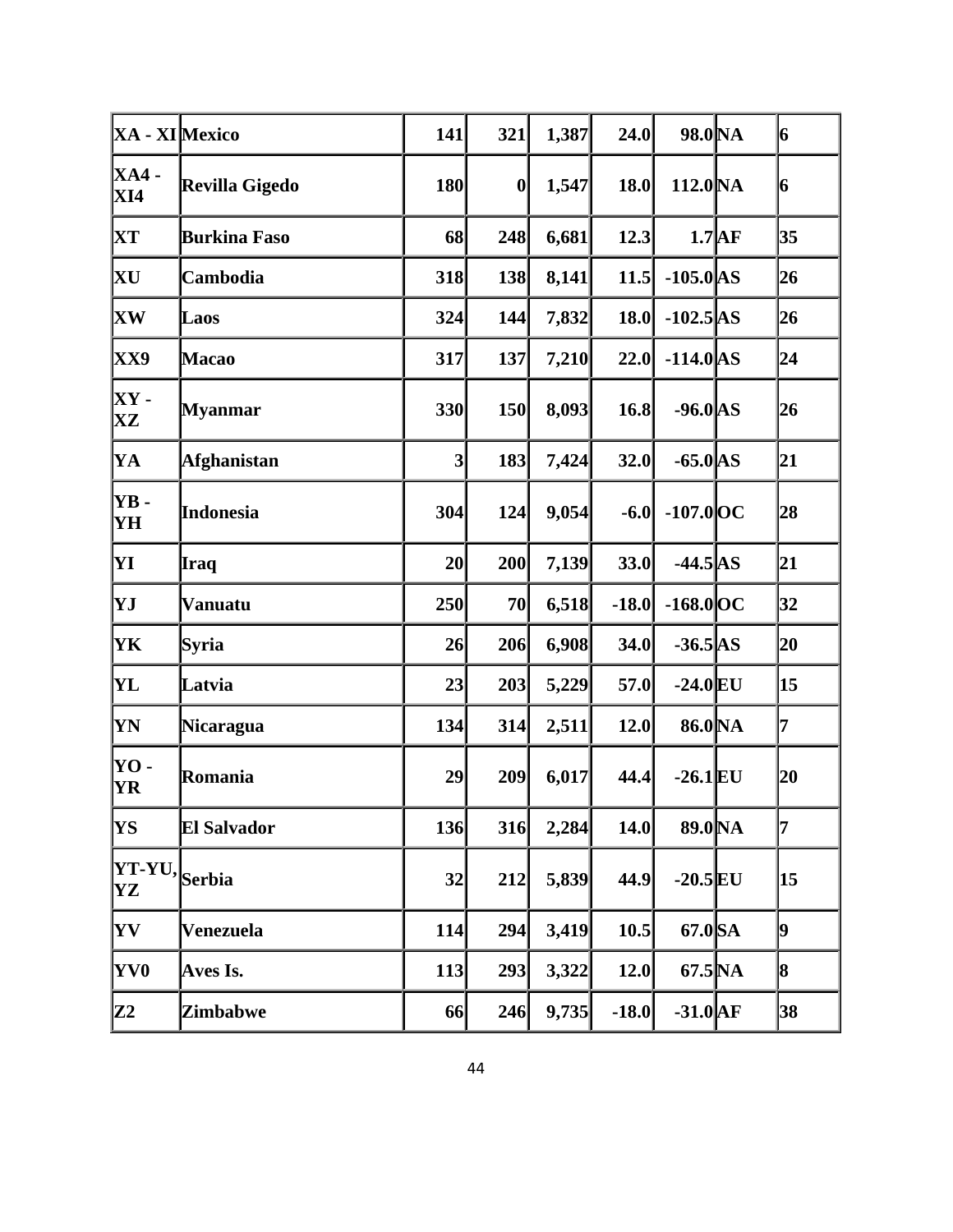| XA - XI Mexico                    |                     | 141             | 321 | 1,387 | 24.0    | 98.0 NA             |                | 6  |
|-----------------------------------|---------------------|-----------------|-----|-------|---------|---------------------|----------------|----|
| <b>XA4 -</b><br>XI4               | Revilla Gigedo      | 180             | 0   | 1,547 | 18.0    | 112.0 <sub>NA</sub> |                | 6  |
| XТ                                | <b>Burkina Faso</b> | 68              | 248 | 6,681 | 12.3    |                     | $1.7\text{AF}$ | 35 |
| XU                                | Cambodia            | 318             | 138 | 8,141 | 11.5    | $-105.0$ AS         |                | 26 |
| <b>XW</b>                         | Laos                | 324             | 144 | 7,832 | 18.0    | $-102.5$ AS         |                | 26 |
| <b>XX9</b>                        | <b>Macao</b>        | 317             | 137 | 7,210 | 22.0    | $-114.0$ AS         |                | 24 |
| $XY -$<br>$\mathbf{X} \mathbf{Z}$ | <b>Myanmar</b>      | 330             | 150 | 8,093 | 16.8    | $-96.0$ AS          |                | 26 |
| YA                                | <b>Afghanistan</b>  | $\vert 3 \vert$ | 183 | 7,424 | 32.0    | $-65.0$ AS          |                | 21 |
| YB-<br>YH                         | Indonesia           | 304             | 124 | 9,054 | $-6.0$  | $-107.0$ OC         |                | 28 |
| YІ                                | Iraq                | 20 <sub>l</sub> | 200 | 7,139 | 33.0    | $-44.5$ AS          |                | 21 |
| YJ                                | Vanuatu             | 250             | 70  | 6,518 | $-18.0$ | $-168.0$ OC         |                | 32 |
| YK                                | Syria               | 26              | 206 | 6,908 | 34.0    | $-36.5$ AS          |                | 20 |
| YL                                | Latvia              | 23              | 203 | 5,229 | 57.0    | $-24.0$ EU          |                | 15 |
| YN                                | <b>Nicaragua</b>    | 134             | 314 | 2,511 | 12.0    | 86.0 <sub>NA</sub>  |                | 7  |
| YO -<br>YR                        | Romania             | 29              | 209 | 6,017 | 44.4    | $-26.1$ EU          |                | 20 |
| YS                                | <b>El Salvador</b>  | 136             | 316 | 2,284 | 14.0    | 89.0 NA             |                | 7  |
| YT-YU,Serbia<br>YZ                |                     | 32              | 212 | 5,839 | 44.9    | $-20.5$ EU          |                | 15 |
| <b>YV</b>                         | Venezuela           | 114             | 294 | 3,419 | 10.5    | 67.0 SA             |                | 9  |
| YV0                               | Aves Is.            | 113             | 293 | 3,322 | 12.0    | $67.5\text{NA}$     |                | 8  |
| Z2                                | <b>Zimbabwe</b>     | 66              | 246 | 9,735 | $-18.0$ | $-31.0$ $AF$        |                | 38 |